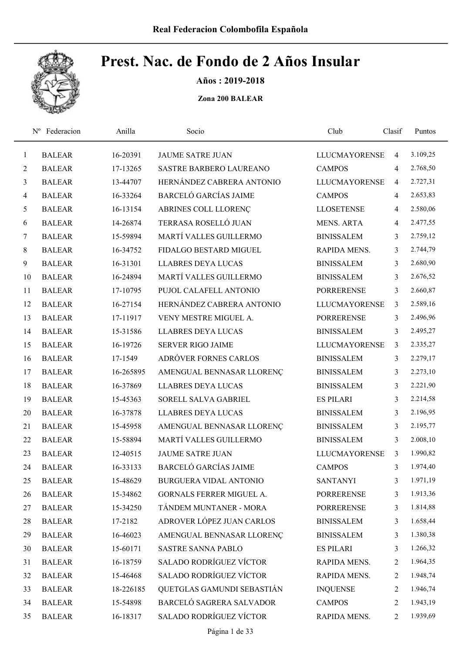

Años : 2019-2018

|                | Federacion<br>$N^{\rm o}$ | Anilla    | Socio                          | Club                 | Clasif         | Puntos   |
|----------------|---------------------------|-----------|--------------------------------|----------------------|----------------|----------|
| $\mathbf{1}$   | <b>BALEAR</b>             | 16-20391  | <b>JAUME SATRE JUAN</b>        | <b>LLUCMAYORENSE</b> | 4              | 3.109,25 |
| $\overline{2}$ | <b>BALEAR</b>             | 17-13265  | <b>SASTRE BARBERO LAUREANO</b> | <b>CAMPOS</b>        | 4              | 2.768,50 |
| $\mathfrak{Z}$ | <b>BALEAR</b>             | 13-44707  | HERNÁNDEZ CABRERA ANTONIO      | <b>LLUCMAYORENSE</b> | $\overline{4}$ | 2.727,31 |
| $\overline{4}$ | <b>BALEAR</b>             | 16-33264  | <b>BARCELÓ GARCÍAS JAIME</b>   | <b>CAMPOS</b>        | $\overline{4}$ | 2.653,83 |
| 5              | <b>BALEAR</b>             | 16-13154  | ABRINES COLL LLORENÇ           | <b>LLOSETENSE</b>    | 4              | 2.580,06 |
| 6              | <b>BALEAR</b>             | 14-26874  | TERRASA ROSELLÓ JUAN           | <b>MENS. ARTA</b>    | $\overline{4}$ | 2.477,55 |
| $\tau$         | <b>BALEAR</b>             | 15-59894  | MARTÍ VALLES GUILLERMO         | <b>BINISSALEM</b>    | 3              | 2.759,12 |
| $8\,$          | <b>BALEAR</b>             | 16-34752  | FIDALGO BESTARD MIGUEL         | RAPIDA MENS.         | 3              | 2.744,79 |
| 9              | <b>BALEAR</b>             | 16-31301  | <b>LLABRES DEYA LUCAS</b>      | <b>BINISSALEM</b>    | 3              | 2.680,90 |
| 10             | <b>BALEAR</b>             | 16-24894  | MARTÍ VALLES GUILLERMO         | <b>BINISSALEM</b>    | 3              | 2.676,52 |
| 11             | <b>BALEAR</b>             | 17-10795  | PUJOL CALAFELL ANTONIO         | <b>PORRERENSE</b>    | 3              | 2.660,87 |
| 12             | <b>BALEAR</b>             | 16-27154  | HERNÁNDEZ CABRERA ANTONIO      | <b>LLUCMAYORENSE</b> | $\overline{3}$ | 2.589,16 |
| 13             | <b>BALEAR</b>             | 17-11917  | VENY MESTRE MIGUEL A.          | <b>PORRERENSE</b>    | 3              | 2.496,96 |
| 14             | <b>BALEAR</b>             | 15-31586  | <b>LLABRES DEYA LUCAS</b>      | <b>BINISSALEM</b>    | 3              | 2.495,27 |
| 15             | <b>BALEAR</b>             | 16-19726  | <b>SERVER RIGO JAIME</b>       | <b>LLUCMAYORENSE</b> | 3              | 2.335,27 |
| 16             | <b>BALEAR</b>             | 17-1549   | ADRÓVER FORNES CARLOS          | <b>BINISSALEM</b>    | 3              | 2.279,17 |
| 17             | <b>BALEAR</b>             | 16-265895 | AMENGUAL BENNASAR LLORENÇ      | <b>BINISSALEM</b>    | 3              | 2.273,10 |
| 18             | <b>BALEAR</b>             | 16-37869  | <b>LLABRES DEYA LUCAS</b>      | <b>BINISSALEM</b>    | $\overline{3}$ | 2.221,90 |
| 19             | <b>BALEAR</b>             | 15-45363  | SORELL SALVA GABRIEL           | <b>ES PILARI</b>     | 3              | 2.214,58 |
| 20             | <b>BALEAR</b>             | 16-37878  | <b>LLABRES DEYA LUCAS</b>      | <b>BINISSALEM</b>    | 3              | 2.196,95 |
| 21             | <b>BALEAR</b>             | 15-45958  | AMENGUAL BENNASAR LLORENÇ      | <b>BINISSALEM</b>    | 3              | 2.195,77 |
| 22             | <b>BALEAR</b>             | 15-58894  | MARTÍ VALLES GUILLERMO         | <b>BINISSALEM</b>    | 3              | 2.008,10 |
| 23             | <b>BALEAR</b>             | 12-40515  | <b>JAUME SATRE JUAN</b>        | <b>LLUCMAYORENSE</b> | 3              | 1.990,82 |
| 24             | <b>BALEAR</b>             | 16-33133  | <b>BARCELÓ GARCÍAS JAIME</b>   | <b>CAMPOS</b>        | 3              | 1.974,40 |
| 25             | <b>BALEAR</b>             | 15-48629  | <b>BURGUERA VIDAL ANTONIO</b>  | <b>SANTANYI</b>      | 3              | 1.971,19 |
| 26             | <b>BALEAR</b>             | 15-34862  | GORNALS FERRER MIGUEL A.       | <b>PORRERENSE</b>    | 3              | 1.913,36 |
| 27             | <b>BALEAR</b>             | 15-34250  | TÁNDEM MUNTANER - MORA         | <b>PORRERENSE</b>    | 3              | 1.814,88 |
| 28             | <b>BALEAR</b>             | 17-2182   | ADROVER LÓPEZ JUAN CARLOS      | <b>BINISSALEM</b>    | 3              | 1.658,44 |
| 29             | <b>BALEAR</b>             | 16-46023  | AMENGUAL BENNASAR LLORENÇ      | <b>BINISSALEM</b>    | 3              | 1.380,38 |
| 30             | <b>BALEAR</b>             | 15-60171  | SASTRE SANNA PABLO             | <b>ES PILARI</b>     | 3              | 1.266,32 |
| 31             | <b>BALEAR</b>             | 16-18759  | <b>SALADO RODRÍGUEZ VÍCTOR</b> | RAPIDA MENS.         | 2              | 1.964,35 |
| 32             | <b>BALEAR</b>             | 15-46468  | <b>SALADO RODRÍGUEZ VÍCTOR</b> | RAPIDA MENS.         | 2              | 1.948,74 |
| 33             | <b>BALEAR</b>             | 18-226185 | QUETGLAS GAMUNDI SEBASTIÁN     | <b>INQUENSE</b>      | 2              | 1.946,74 |
| 34             | <b>BALEAR</b>             | 15-54898  | BARCELÓ SAGRERA SALVADOR       | <b>CAMPOS</b>        | 2              | 1.943,19 |
| 35             | <b>BALEAR</b>             | 16-18317  | SALADO RODRÍGUEZ VÍCTOR        | RAPIDA MENS.         | $\overline{2}$ | 1.939,69 |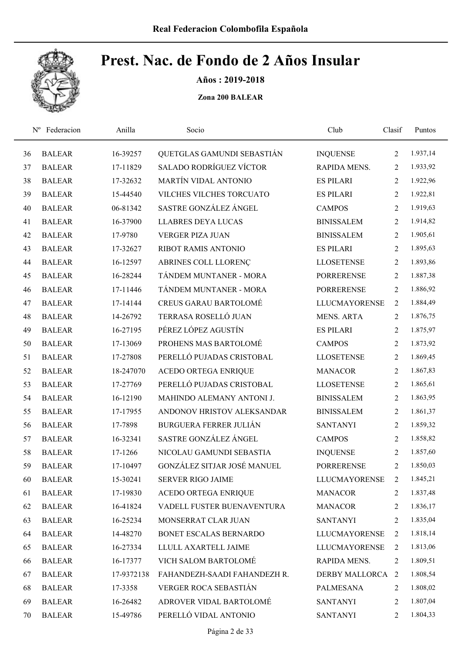

Años : 2019-2018

| $N^{\rm o}$ | Federacion    | Anilla     | Socio                          | Club                 | Clasif         | Puntos   |
|-------------|---------------|------------|--------------------------------|----------------------|----------------|----------|
| 36          | <b>BALEAR</b> | 16-39257   | QUETGLAS GAMUNDI SEBASTIÁN     | <b>INQUENSE</b>      | $\overline{2}$ | 1.937,14 |
| 37          | <b>BALEAR</b> | 17-11829   | <b>SALADO RODRÍGUEZ VÍCTOR</b> | RAPIDA MENS.         | 2              | 1.933,92 |
| 38          | <b>BALEAR</b> | 17-32632   | MARTÍN VIDAL ANTONIO           | <b>ES PILARI</b>     | $\overline{2}$ | 1.922,96 |
| 39          | <b>BALEAR</b> | 15-44540   | VILCHES VILCHES TORCUATO       | <b>ES PILARI</b>     | $\overline{2}$ | 1.922,81 |
| 40          | <b>BALEAR</b> | 06-81342   | SASTRE GONZÁLEZ ÁNGEL          | <b>CAMPOS</b>        | $\overline{2}$ | 1.919,63 |
| 41          | <b>BALEAR</b> | 16-37900   | <b>LLABRES DEYA LUCAS</b>      | <b>BINISSALEM</b>    | $\overline{2}$ | 1.914,82 |
| 42          | <b>BALEAR</b> | 17-9780    | <b>VERGER PIZA JUAN</b>        | <b>BINISSALEM</b>    | $\overline{2}$ | 1.905,61 |
| 43          | <b>BALEAR</b> | 17-32627   | RIBOT RAMIS ANTONIO            | <b>ES PILARI</b>     | $\overline{2}$ | 1.895,63 |
| 44          | <b>BALEAR</b> | 16-12597   | ABRINES COLL LLORENÇ           | <b>LLOSETENSE</b>    | 2              | 1.893,86 |
| 45          | <b>BALEAR</b> | 16-28244   | TÁNDEM MUNTANER - MORA         | <b>PORRERENSE</b>    | 2              | 1.887,38 |
| 46          | <b>BALEAR</b> | 17-11446   | TÁNDEM MUNTANER - MORA         | <b>PORRERENSE</b>    | $\overline{2}$ | 1.886,92 |
| 47          | <b>BALEAR</b> | 17-14144   | <b>CREUS GARAU BARTOLOMÉ</b>   | <b>LLUCMAYORENSE</b> | 2              | 1.884,49 |
| 48          | <b>BALEAR</b> | 14-26792   | TERRASA ROSELLÓ JUAN           | <b>MENS. ARTA</b>    | $\overline{2}$ | 1.876,75 |
| 49          | <b>BALEAR</b> | 16-27195   | PÉREZ LÓPEZ AGUSTÍN            | <b>ES PILARI</b>     | $\overline{2}$ | 1.875,97 |
| 50          | <b>BALEAR</b> | 17-13069   | PROHENS MAS BARTOLOMÉ          | <b>CAMPOS</b>        | $\overline{2}$ | 1.873,92 |
| 51          | <b>BALEAR</b> | 17-27808   | PERELLÓ PUJADAS CRISTOBAL      | <b>LLOSETENSE</b>    | $\overline{2}$ | 1.869,45 |
| 52          | <b>BALEAR</b> | 18-247070  | ACEDO ORTEGA ENRIQUE           | <b>MANACOR</b>       | $\overline{2}$ | 1.867,83 |
| 53          | <b>BALEAR</b> | 17-27769   | PERELLÓ PUJADAS CRISTOBAL      | <b>LLOSETENSE</b>    | $\overline{2}$ | 1.865,61 |
| 54          | <b>BALEAR</b> | 16-12190   | MAHINDO ALEMANY ANTONI J.      | <b>BINISSALEM</b>    | $\overline{2}$ | 1.863,95 |
| 55          | <b>BALEAR</b> | 17-17955   | ANDONOV HRISTOV ALEKSANDAR     | <b>BINISSALEM</b>    | $\overline{2}$ | 1.861,37 |
| 56          | <b>BALEAR</b> | 17-7898    | <b>BURGUERA FERRER JULIÁN</b>  | <b>SANTANYI</b>      | $\overline{2}$ | 1.859,32 |
| 57          | <b>BALEAR</b> | 16-32341   | SASTRE GONZÁLEZ ÁNGEL          | <b>CAMPOS</b>        | 2              | 1.858,82 |
| 58          | <b>BALEAR</b> | 17-1266    | NICOLAU GAMUNDI SEBASTIA       | <b>INQUENSE</b>      | 2              | 1.857,60 |
| 59          | <b>BALEAR</b> | 17-10497   | GONZÁLEZ SITJAR JOSÉ MANUEL    | <b>PORRERENSE</b>    | $\overline{2}$ | 1.850,03 |
| 60          | <b>BALEAR</b> | 15-30241   | <b>SERVER RIGO JAIME</b>       | <b>LLUCMAYORENSE</b> | 2              | 1.845,21 |
| 61          | <b>BALEAR</b> | 17-19830   | <b>ACEDO ORTEGA ENRIQUE</b>    | <b>MANACOR</b>       | 2              | 1.837,48 |
| 62          | <b>BALEAR</b> | 16-41824   | VADELL FUSTER BUENAVENTURA     | <b>MANACOR</b>       | 2              | 1.836,17 |
| 63          | <b>BALEAR</b> | 16-25234   | MONSERRAT CLAR JUAN            | <b>SANTANYI</b>      | 2              | 1.835,04 |
| 64          | <b>BALEAR</b> | 14-48270   | BONET ESCALAS BERNARDO         | <b>LLUCMAYORENSE</b> | 2              | 1.818,14 |
| 65          | <b>BALEAR</b> | 16-27334   | LLULL AXARTELL JAIME           | <b>LLUCMAYORENSE</b> | 2              | 1.813,06 |
| 66          | <b>BALEAR</b> | 16-17377   | VICH SALOM BARTOLOMÉ           | RAPIDA MENS.         | 2              | 1.809,51 |
| 67          | <b>BALEAR</b> | 17-9372138 | FAHANDEZH-SAADI FAHANDEZH R.   | DERBY MALLORCA 2     |                | 1.808,54 |
| 68          | <b>BALEAR</b> | 17-3358    | VERGER ROCA SEBASTIÁN          | PALMESANA            | 2              | 1.808,02 |
| 69          | <b>BALEAR</b> | 16-26482   | ADROVER VIDAL BARTOLOMÉ        | <b>SANTANYI</b>      | 2              | 1.807,04 |
| 70          | <b>BALEAR</b> | 15-49786   | PERELLÓ VIDAL ANTONIO          | <b>SANTANYI</b>      | $\overline{2}$ | 1.804,33 |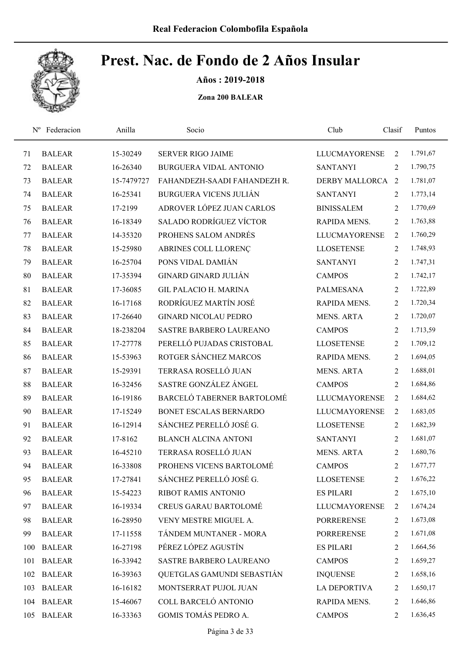

Años : 2019-2018

|     | Federacion<br>$N^{\rm o}$ | Anilla     | Socio                          | Club                 | Clasif         | Puntos   |
|-----|---------------------------|------------|--------------------------------|----------------------|----------------|----------|
| 71  | <b>BALEAR</b>             | 15-30249   | <b>SERVER RIGO JAIME</b>       | <b>LLUCMAYORENSE</b> | $\overline{2}$ | 1.791,67 |
| 72  | <b>BALEAR</b>             | 16-26340   | <b>BURGUERA VIDAL ANTONIO</b>  | <b>SANTANYI</b>      | 2              | 1.790,75 |
| 73  | <b>BALEAR</b>             | 15-7479727 | FAHANDEZH-SAADI FAHANDEZH R.   | DERBY MALLORCA 2     |                | 1.781,07 |
| 74  | <b>BALEAR</b>             | 16-25341   | <b>BURGUERA VICENS JULIÁN</b>  | <b>SANTANYI</b>      | 2              | 1.773,14 |
| 75  | <b>BALEAR</b>             | 17-2199    | ADROVER LÓPEZ JUAN CARLOS      | <b>BINISSALEM</b>    | $\overline{2}$ | 1.770,69 |
| 76  | <b>BALEAR</b>             | 16-18349   | <b>SALADO RODRÍGUEZ VÍCTOR</b> | RAPIDA MENS.         | $\overline{2}$ | 1.763,88 |
| 77  | <b>BALEAR</b>             | 14-35320   | PROHENS SALOM ANDRÉS           | <b>LLUCMAYORENSE</b> | 2              | 1.760,29 |
| 78  | <b>BALEAR</b>             | 15-25980   | ABRINES COLL LLORENÇ           | <b>LLOSETENSE</b>    | $\overline{2}$ | 1.748,93 |
| 79  | <b>BALEAR</b>             | 16-25704   | PONS VIDAL DAMIÁN              | <b>SANTANYI</b>      | $\overline{2}$ | 1.747,31 |
| 80  | <b>BALEAR</b>             | 17-35394   | <b>GINARD GINARD JULIÁN</b>    | <b>CAMPOS</b>        | 2              | 1.742,17 |
| 81  | <b>BALEAR</b>             | 17-36085   | <b>GIL PALACIO H. MARINA</b>   | <b>PALMESANA</b>     | $\overline{2}$ | 1.722,89 |
| 82  | <b>BALEAR</b>             | 16-17168   | RODRÍGUEZ MARTÍN JOSÉ          | RAPIDA MENS.         | $\overline{2}$ | 1.720,34 |
| 83  | <b>BALEAR</b>             | 17-26640   | <b>GINARD NICOLAU PEDRO</b>    | <b>MENS. ARTA</b>    | $\overline{2}$ | 1.720,07 |
| 84  | <b>BALEAR</b>             | 18-238204  | SASTRE BARBERO LAUREANO        | <b>CAMPOS</b>        | $\overline{2}$ | 1.713,59 |
| 85  | <b>BALEAR</b>             | 17-27778   | PERELLÓ PUJADAS CRISTOBAL      | <b>LLOSETENSE</b>    | $\overline{2}$ | 1.709,12 |
| 86  | <b>BALEAR</b>             | 15-53963   | ROTGER SÁNCHEZ MARCOS          | RAPIDA MENS.         | 2              | 1.694,05 |
| 87  | <b>BALEAR</b>             | 15-29391   | TERRASA ROSELLÓ JUAN           | <b>MENS. ARTA</b>    | 2              | 1.688,01 |
| 88  | <b>BALEAR</b>             | 16-32456   | SASTRE GONZÁLEZ ÁNGEL          | <b>CAMPOS</b>        | $\overline{2}$ | 1.684,86 |
| 89  | <b>BALEAR</b>             | 16-19186   | BARCELÓ TABERNER BARTOLOMÉ     | <b>LLUCMAYORENSE</b> | $\overline{2}$ | 1.684,62 |
| 90  | <b>BALEAR</b>             | 17-15249   | BONET ESCALAS BERNARDO         | <b>LLUCMAYORENSE</b> | 2              | 1.683,05 |
| 91  | <b>BALEAR</b>             | 16-12914   | SÁNCHEZ PERELLÓ JOSÉ G.        | <b>LLOSETENSE</b>    | $\overline{2}$ | 1.682,39 |
| 92  | <b>BALEAR</b>             | 17-8162    | <b>BLANCH ALCINA ANTONI</b>    | <b>SANTANYI</b>      | 2              | 1.681,07 |
| 93  | <b>BALEAR</b>             | 16-45210   | TERRASA ROSELLÓ JUAN           | <b>MENS. ARTA</b>    | 2              | 1.680,76 |
| 94  | <b>BALEAR</b>             | 16-33808   | PROHENS VICENS BARTOLOMÉ       | <b>CAMPOS</b>        | 2              | 1.677,77 |
| 95  | <b>BALEAR</b>             | 17-27841   | SÁNCHEZ PERELLÓ JOSÉ G.        | <b>LLOSETENSE</b>    | 2              | 1.676,22 |
| 96  | <b>BALEAR</b>             | 15-54223   | RIBOT RAMIS ANTONIO            | <b>ES PILARI</b>     | 2              | 1.675,10 |
| 97  | <b>BALEAR</b>             | 16-19334   | <b>CREUS GARAU BARTOLOMÉ</b>   | <b>LLUCMAYORENSE</b> | 2              | 1.674,24 |
| 98  | <b>BALEAR</b>             | 16-28950   | VENY MESTRE MIGUEL A.          | PORRERENSE           | 2              | 1.673,08 |
| 99  | <b>BALEAR</b>             | 17-11558   | TÁNDEM MUNTANER - MORA         | <b>PORRERENSE</b>    | 2              | 1.671,08 |
| 100 | <b>BALEAR</b>             | 16-27198   | PÉREZ LÓPEZ AGUSTÍN            | <b>ES PILARI</b>     | 2              | 1.664,56 |
| 101 | <b>BALEAR</b>             | 16-33942   | SASTRE BARBERO LAUREANO        | <b>CAMPOS</b>        | 2              | 1.659,27 |
| 102 | <b>BALEAR</b>             | 16-39363   | QUETGLAS GAMUNDI SEBASTIÁN     | <b>INQUENSE</b>      | 2              | 1.658,16 |
| 103 | <b>BALEAR</b>             | 16-16182   | MONTSERRAT PUJOL JUAN          | <b>LA DEPORTIVA</b>  | 2              | 1.650,17 |
| 104 | <b>BALEAR</b>             | 15-46067   | COLL BARCELÓ ANTONIO           | RAPIDA MENS.         | 2              | 1.646,86 |
| 105 | <b>BALEAR</b>             | 16-33363   | GOMIS TOMÁS PEDRO A.           | <b>CAMPOS</b>        | 2              | 1.636,45 |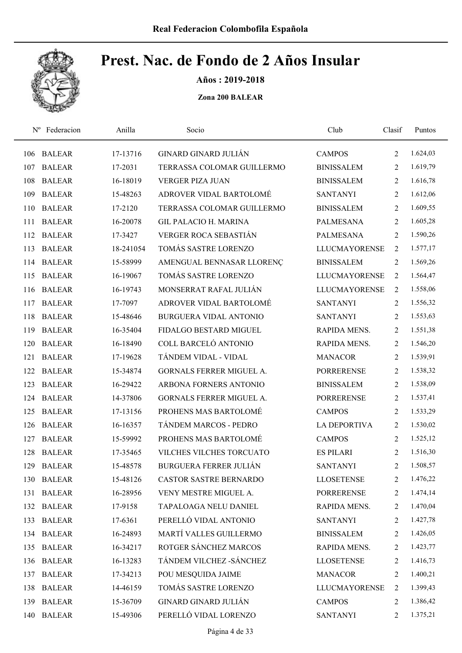

Años : 2019-2018

| $N^{\rm o}$ | Federacion    | Anilla    | Socio                           | Club                 | Clasif         | Puntos   |
|-------------|---------------|-----------|---------------------------------|----------------------|----------------|----------|
| 106         | <b>BALEAR</b> | 17-13716  | <b>GINARD GINARD JULIÁN</b>     | <b>CAMPOS</b>        | 2              | 1.624,03 |
| 107         | <b>BALEAR</b> | 17-2031   | TERRASSA COLOMAR GUILLERMO      | <b>BINISSALEM</b>    | 2              | 1.619,79 |
| 108         | <b>BALEAR</b> | 16-18019  | <b>VERGER PIZA JUAN</b>         | <b>BINISSALEM</b>    | 2              | 1.616,78 |
| 109         | <b>BALEAR</b> | 15-48263  | ADROVER VIDAL BARTOLOMÉ         | <b>SANTANYI</b>      | 2              | 1.612,06 |
| 110         | <b>BALEAR</b> | 17-2120   | TERRASSA COLOMAR GUILLERMO      | <b>BINISSALEM</b>    | 2              | 1.609,55 |
| 111         | <b>BALEAR</b> | 16-20078  | <b>GIL PALACIO H. MARINA</b>    | <b>PALMESANA</b>     | 2              | 1.605,28 |
| 112         | <b>BALEAR</b> | 17-3427   | <b>VERGER ROCA SEBASTIÁN</b>    | <b>PALMESANA</b>     | $\overline{2}$ | 1.590,26 |
| 113         | <b>BALEAR</b> | 18-241054 | TOMÁS SASTRE LORENZO            | <b>LLUCMAYORENSE</b> | 2              | 1.577,17 |
| 114         | <b>BALEAR</b> | 15-58999  | AMENGUAL BENNASAR LLORENÇ       | <b>BINISSALEM</b>    | 2              | 1.569,26 |
| 115         | <b>BALEAR</b> | 16-19067  | TOMÁS SASTRE LORENZO            | <b>LLUCMAYORENSE</b> | 2              | 1.564,47 |
| 116         | <b>BALEAR</b> | 16-19743  | MONSERRAT RAFAL JULIÁN          | <b>LLUCMAYORENSE</b> | 2              | 1.558,06 |
| 117         | <b>BALEAR</b> | 17-7097   | ADROVER VIDAL BARTOLOMÉ         | <b>SANTANYI</b>      | 2              | 1.556,32 |
| 118         | <b>BALEAR</b> | 15-48646  | <b>BURGUERA VIDAL ANTONIO</b>   | <b>SANTANYI</b>      | 2              | 1.553,63 |
| 119         | <b>BALEAR</b> | 16-35404  | FIDALGO BESTARD MIGUEL          | RAPIDA MENS.         | 2              | 1.551,38 |
| 120         | <b>BALEAR</b> | 16-18490  | COLL BARCELÓ ANTONIO            | RAPIDA MENS.         | 2              | 1.546,20 |
| 121         | <b>BALEAR</b> | 17-19628  | TÁNDEM VIDAL - VIDAL            | <b>MANACOR</b>       | 2              | 1.539,91 |
| 122         | <b>BALEAR</b> | 15-34874  | <b>GORNALS FERRER MIGUEL A.</b> | <b>PORRERENSE</b>    | $\overline{2}$ | 1.538,32 |
| 123         | <b>BALEAR</b> | 16-29422  | ARBONA FORNERS ANTONIO          | <b>BINISSALEM</b>    | $\overline{2}$ | 1.538,09 |
| 124         | <b>BALEAR</b> | 14-37806  | GORNALS FERRER MIGUEL A.        | <b>PORRERENSE</b>    | 2              | 1.537,41 |
| 125         | <b>BALEAR</b> | 17-13156  | PROHENS MAS BARTOLOMÉ           | <b>CAMPOS</b>        | 2              | 1.533,29 |
| 126         | <b>BALEAR</b> | 16-16357  | TÁNDEM MARCOS - PEDRO           | <b>LA DEPORTIVA</b>  | 2              | 1.530,02 |
| 127         | <b>BALEAR</b> | 15-59992  | PROHENS MAS BARTOLOMÉ           | <b>CAMPOS</b>        | 2              | 1.525,12 |
| 128         | <b>BALEAR</b> | 17-35465  | VILCHES VILCHES TORCUATO        | <b>ES PILARI</b>     | 2              | 1.516,30 |
| 129         | <b>BALEAR</b> | 15-48578  | <b>BURGUERA FERRER JULIÁN</b>   | <b>SANTANYI</b>      | $\overline{2}$ | 1.508,57 |
| 130         | <b>BALEAR</b> | 15-48126  | CASTOR SASTRE BERNARDO          | <b>LLOSETENSE</b>    | 2              | 1.476,22 |
| 131         | <b>BALEAR</b> | 16-28956  | VENY MESTRE MIGUEL A.           | <b>PORRERENSE</b>    | 2              | 1.474,14 |
| 132         | <b>BALEAR</b> | 17-9158   | TAPALOAGA NELU DANIEL           | RAPIDA MENS.         | 2              | 1.470,04 |
| 133         | <b>BALEAR</b> | 17-6361   | PERELLÓ VIDAL ANTONIO           | <b>SANTANYI</b>      | 2              | 1.427,78 |
| 134         | <b>BALEAR</b> | 16-24893  | MARTÍ VALLES GUILLERMO          | <b>BINISSALEM</b>    | 2              | 1.426,05 |
| 135         | <b>BALEAR</b> | 16-34217  | ROTGER SÁNCHEZ MARCOS           | RAPIDA MENS.         | 2              | 1.423,77 |
| 136         | <b>BALEAR</b> | 16-13283  | TÁNDEM VILCHEZ - SÁNCHEZ        | <b>LLOSETENSE</b>    | 2              | 1.416,73 |
| 137         | <b>BALEAR</b> | 17-34213  | POU MESQUIDA JAIME              | <b>MANACOR</b>       | 2              | 1.400,21 |
| 138         | <b>BALEAR</b> | 14-46159  | TOMÁS SASTRE LORENZO            | <b>LLUCMAYORENSE</b> | 2              | 1.399,43 |
| 139         | <b>BALEAR</b> | 15-36709  | <b>GINARD GINARD JULIÁN</b>     | <b>CAMPOS</b>        | 2              | 1.386,42 |
| 140         | <b>BALEAR</b> | 15-49306  | PERELLÓ VIDAL LORENZO           | <b>SANTANYI</b>      | 2              | 1.375,21 |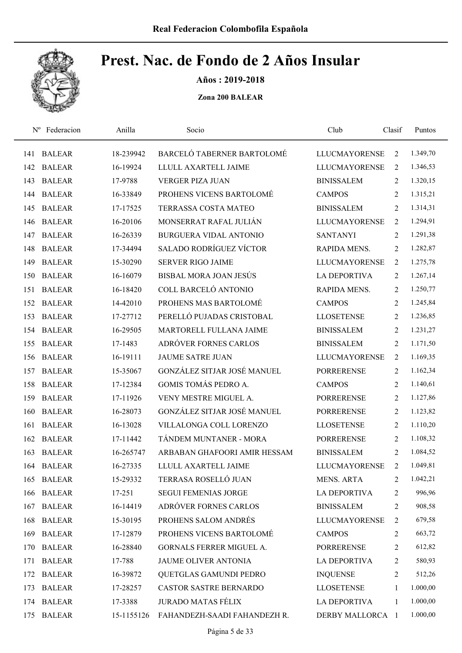

Años : 2019-2018

| $N^{\rm o}$ | Federacion    | Anilla     | Socio                         | Club                 | Clasif         | Puntos   |  |
|-------------|---------------|------------|-------------------------------|----------------------|----------------|----------|--|
| 141         | <b>BALEAR</b> | 18-239942  | BARCELÓ TABERNER BARTOLOMÉ    | <b>LLUCMAYORENSE</b> | $\overline{2}$ | 1.349,70 |  |
| 142         | <b>BALEAR</b> | 16-19924   | LLULL AXARTELL JAIME          | <b>LLUCMAYORENSE</b> | 2              | 1.346,53 |  |
| 143         | <b>BALEAR</b> | 17-9788    | <b>VERGER PIZA JUAN</b>       | <b>BINISSALEM</b>    | 2              | 1.320,15 |  |
| 144         | <b>BALEAR</b> | 16-33849   | PROHENS VICENS BARTOLOMÉ      | <b>CAMPOS</b>        | 2              | 1.315,21 |  |
| 145         | <b>BALEAR</b> | 17-17525   | TERRASSA COSTA MATEO          | <b>BINISSALEM</b>    | 2              | 1.314,31 |  |
| 146         | <b>BALEAR</b> | 16-20106   | MONSERRAT RAFAL JULIÁN        | <b>LLUCMAYORENSE</b> | 2              | 1.294,91 |  |
| 147         | <b>BALEAR</b> | 16-26339   | <b>BURGUERA VIDAL ANTONIO</b> | <b>SANTANYI</b>      | 2              | 1.291,38 |  |
| 148         | <b>BALEAR</b> | 17-34494   | SALADO RODRÍGUEZ VÍCTOR       | RAPIDA MENS.         | 2              | 1.282,87 |  |
| 149         | <b>BALEAR</b> | 15-30290   | <b>SERVER RIGO JAIME</b>      | <b>LLUCMAYORENSE</b> | 2              | 1.275,78 |  |
| 150         | <b>BALEAR</b> | 16-16079   | BISBAL MORA JOAN JESÚS        | <b>LA DEPORTIVA</b>  | 2              | 1.267,14 |  |
| 151         | <b>BALEAR</b> | 16-18420   | COLL BARCELÓ ANTONIO          | RAPIDA MENS.         | 2              | 1.250,77 |  |
| 152         | <b>BALEAR</b> | 14-42010   | PROHENS MAS BARTOLOMÉ         | <b>CAMPOS</b>        | $\overline{2}$ | 1.245,84 |  |
| 153         | <b>BALEAR</b> | 17-27712   | PERELLÓ PUJADAS CRISTOBAL     | <b>LLOSETENSE</b>    | 2              | 1.236,85 |  |
| 154         | <b>BALEAR</b> | 16-29505   | MARTORELL FULLANA JAIME       | <b>BINISSALEM</b>    | 2              | 1.231,27 |  |
| 155         | <b>BALEAR</b> | 17-1483    | ADRÓVER FORNES CARLOS         | <b>BINISSALEM</b>    | $\overline{2}$ | 1.171,50 |  |
| 156         | <b>BALEAR</b> | 16-19111   | <b>JAUME SATRE JUAN</b>       | <b>LLUCMAYORENSE</b> | 2              | 1.169,35 |  |
| 157         | <b>BALEAR</b> | 15-35067   | GONZÁLEZ SITJAR JOSÉ MANUEL   | <b>PORRERENSE</b>    | $\overline{2}$ | 1.162,34 |  |
| 158         | <b>BALEAR</b> | 17-12384   | GOMIS TOMÁS PEDRO A.          | <b>CAMPOS</b>        | 2              | 1.140,61 |  |
| 159         | <b>BALEAR</b> | 17-11926   | VENY MESTRE MIGUEL A.         | <b>PORRERENSE</b>    | $\overline{2}$ | 1.127,86 |  |
| 160         | <b>BALEAR</b> | 16-28073   | GONZÁLEZ SITJAR JOSÉ MANUEL   | <b>PORRERENSE</b>    | 2              | 1.123,82 |  |
| 161         | <b>BALEAR</b> | 16-13028   | VILLALONGA COLL LORENZO       | <b>LLOSETENSE</b>    | 2              | 1.110,20 |  |
| 162         | <b>BALEAR</b> | 17-11442   | TÁNDEM MUNTANER - MORA        | <b>PORRERENSE</b>    | 2              | 1.108,32 |  |
| 163         | <b>BALEAR</b> | 16-265747  | ARBABAN GHAFOORI AMIR HESSAM  | <b>BINISSALEM</b>    | 2              | 1.084,52 |  |
| 164         | <b>BALEAR</b> | 16-27335   | LLULL AXARTELL JAIME          | <b>LLUCMAYORENSE</b> | 2              | 1.049,81 |  |
| 165         | <b>BALEAR</b> | 15-29332   | TERRASA ROSELLÓ JUAN          | <b>MENS. ARTA</b>    | 2              | 1.042,21 |  |
| 166         | <b>BALEAR</b> | 17-251     | <b>SEGUI FEMENIAS JORGE</b>   | <b>LA DEPORTIVA</b>  | 2              | 996,96   |  |
| 167         | <b>BALEAR</b> | 16-14419   | ADRÓVER FORNES CARLOS         | <b>BINISSALEM</b>    | $\overline{c}$ | 908,58   |  |
| 168         | <b>BALEAR</b> | 15-30195   | PROHENS SALOM ANDRÉS          | <b>LLUCMAYORENSE</b> | 2              | 679,58   |  |
| 169         | <b>BALEAR</b> | 17-12879   | PROHENS VICENS BARTOLOMÉ      | <b>CAMPOS</b>        | 2              | 663,72   |  |
| 170         | <b>BALEAR</b> | 16-28840   | GORNALS FERRER MIGUEL A.      | <b>PORRERENSE</b>    | $\overline{c}$ | 612,82   |  |
| 171         | <b>BALEAR</b> | 17-788     | JAUME OLIVER ANTONIA          | <b>LA DEPORTIVA</b>  | 2              | 580,93   |  |
| 172         | <b>BALEAR</b> | 16-39872   | QUETGLAS GAMUNDI PEDRO        | <b>INQUENSE</b>      | 2              | 512,26   |  |
| 173         | <b>BALEAR</b> | 17-28257   | CASTOR SASTRE BERNARDO        | <b>LLOSETENSE</b>    | 1              | 1.000,00 |  |
|             | 174 BALEAR    | 17-3388    | <b>JURADO MATAS FÉLIX</b>     | <b>LA DEPORTIVA</b>  | 1              | 1.000,00 |  |
| 175         | <b>BALEAR</b> | 15-1155126 | FAHANDEZH-SAADI FAHANDEZH R.  | DERBY MALLORCA 1     |                | 1.000,00 |  |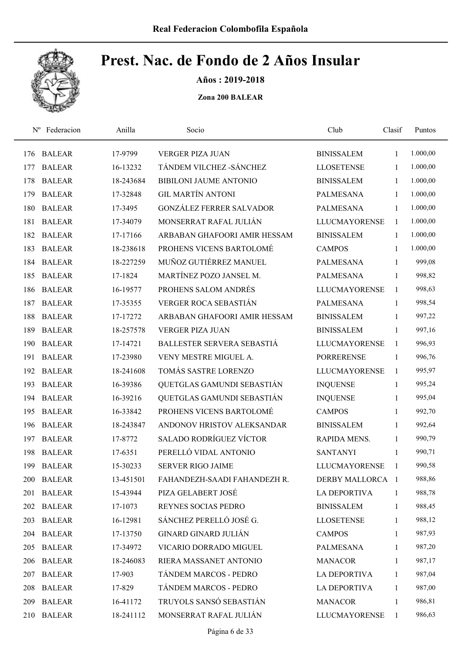

Años : 2019-2018

| $N^{\rm o}$ | Federacion    | Anilla    | Socio                           | Club                 | Clasif         | Puntos   |  |
|-------------|---------------|-----------|---------------------------------|----------------------|----------------|----------|--|
| 176         | <b>BALEAR</b> | 17-9799   | <b>VERGER PIZA JUAN</b>         | <b>BINISSALEM</b>    | $\mathbf{1}$   | 1.000,00 |  |
| 177         | <b>BALEAR</b> | 16-13232  | TÁNDEM VILCHEZ - SÁNCHEZ        | <b>LLOSETENSE</b>    | 1              | 1.000,00 |  |
| 178         | <b>BALEAR</b> | 18-243684 | <b>BIBILONI JAUME ANTONIO</b>   | <b>BINISSALEM</b>    | $\mathbf{1}$   | 1.000,00 |  |
| 179         | <b>BALEAR</b> | 17-32848  | <b>GIL MARTÍN ANTONI</b>        | <b>PALMESANA</b>     | 1              | 1.000,00 |  |
| 180         | <b>BALEAR</b> | 17-3495   | <b>GONZÁLEZ FERRER SALVADOR</b> | <b>PALMESANA</b>     | $\mathbf{1}$   | 1.000,00 |  |
| 181         | <b>BALEAR</b> | 17-34079  | MONSERRAT RAFAL JULIÁN          | <b>LLUCMAYORENSE</b> | $\mathbf{1}$   | 1.000,00 |  |
| 182         | <b>BALEAR</b> | 17-17166  | ARBABAN GHAFOORI AMIR HESSAM    | <b>BINISSALEM</b>    | $\mathbf{1}$   | 1.000,00 |  |
| 183         | <b>BALEAR</b> | 18-238618 | PROHENS VICENS BARTOLOMÉ        | <b>CAMPOS</b>        | $\mathbf{1}$   | 1.000,00 |  |
| 184         | <b>BALEAR</b> | 18-227259 | MUÑOZ GUTIÉRREZ MANUEL          | <b>PALMESANA</b>     | $\mathbf{1}$   | 999,08   |  |
| 185         | <b>BALEAR</b> | 17-1824   | MARTÍNEZ POZO JANSEL M.         | <b>PALMESANA</b>     | 1              | 998,82   |  |
| 186         | <b>BALEAR</b> | 16-19577  | PROHENS SALOM ANDRÉS            | <b>LLUCMAYORENSE</b> | $\mathbf{1}$   | 998,63   |  |
| 187         | <b>BALEAR</b> | 17-35355  | <b>VERGER ROCA SEBASTIÁN</b>    | <b>PALMESANA</b>     | 1              | 998,54   |  |
| 188         | <b>BALEAR</b> | 17-17272  | ARBABAN GHAFOORI AMIR HESSAM    | <b>BINISSALEM</b>    | 1              | 997,22   |  |
| 189         | <b>BALEAR</b> | 18-257578 | <b>VERGER PIZA JUAN</b>         | <b>BINISSALEM</b>    | $\mathbf{1}$   | 997,16   |  |
| 190         | <b>BALEAR</b> | 17-14721  | BALLESTER SERVERA SEBASTIÁ      | <b>LLUCMAYORENSE</b> | $\mathbf{1}$   | 996,93   |  |
| 191         | <b>BALEAR</b> | 17-23980  | VENY MESTRE MIGUEL A.           | <b>PORRERENSE</b>    | 1              | 996,76   |  |
| 192         | <b>BALEAR</b> | 18-241608 | TOMÁS SASTRE LORENZO            | <b>LLUCMAYORENSE</b> | $\overline{1}$ | 995,97   |  |
| 193         | <b>BALEAR</b> | 16-39386  | QUETGLAS GAMUNDI SEBASTIÁN      | <b>INQUENSE</b>      | $\mathbf{1}$   | 995,24   |  |
| 194         | <b>BALEAR</b> | 16-39216  | QUETGLAS GAMUNDI SEBASTIÁN      | <b>INQUENSE</b>      | 1              | 995,04   |  |
| 195         | <b>BALEAR</b> | 16-33842  | PROHENS VICENS BARTOLOMÉ        | <b>CAMPOS</b>        | 1              | 992,70   |  |
| 196         | <b>BALEAR</b> | 18-243847 | ANDONOV HRISTOV ALEKSANDAR      | <b>BINISSALEM</b>    | 1              | 992,64   |  |
| 197         | <b>BALEAR</b> | 17-8772   | SALADO RODRÍGUEZ VÍCTOR         | RAPIDA MENS.         | $\mathbf{1}$   | 990,79   |  |
| 198         | <b>BALEAR</b> | 17-6351   | PERELLÓ VIDAL ANTONIO           | <b>SANTANYI</b>      | 1              | 990,71   |  |
| 199         | <b>BALEAR</b> | 15-30233  | <b>SERVER RIGO JAIME</b>        | <b>LLUCMAYORENSE</b> | 1              | 990,58   |  |
| 200         | <b>BALEAR</b> | 13-451501 | FAHANDEZH-SAADI FAHANDEZH R.    | DERBY MALLORCA 1     |                | 988,86   |  |
| 201         | <b>BALEAR</b> | 15-43944  | PIZA GELABERT JOSÉ              | <b>LA DEPORTIVA</b>  | 1              | 988,78   |  |
|             | 202 BALEAR    | 17-1073   | REYNES SOCIAS PEDRO             | <b>BINISSALEM</b>    | $\mathbf{1}$   | 988,45   |  |
| 203         | <b>BALEAR</b> | 16-12981  | SÁNCHEZ PERELLÓ JOSÉ G.         | <b>LLOSETENSE</b>    | $\mathbf{1}$   | 988,12   |  |
| 204         | <b>BALEAR</b> | 17-13750  | <b>GINARD GINARD JULIÁN</b>     | <b>CAMPOS</b>        | 1              | 987,93   |  |
| 205         | <b>BALEAR</b> | 17-34972  | VICARIO DORRADO MIGUEL          | PALMESANA            | $\mathbf{1}$   | 987,20   |  |
| 206         | <b>BALEAR</b> | 18-246083 | RIERA MASSANET ANTONIO          | <b>MANACOR</b>       | $\mathbf{1}$   | 987,17   |  |
| 207         | <b>BALEAR</b> | 17-903    | TÁNDEM MARCOS - PEDRO           | LA DEPORTIVA         | 1              | 987,04   |  |
| 208         | <b>BALEAR</b> | 17-829    | TÁNDEM MARCOS - PEDRO           | <b>LA DEPORTIVA</b>  | $\mathbf{1}$   | 987,00   |  |
| 209         | <b>BALEAR</b> | 16-41172  | TRUYOLS SANSÓ SEBASTIÁN         | <b>MANACOR</b>       | $\mathbf{1}$   | 986,81   |  |
| 210         | <b>BALEAR</b> | 18-241112 | MONSERRAT RAFAL JULIÁN          | <b>LLUCMAYORENSE</b> | $\mathbf{1}$   | 986,63   |  |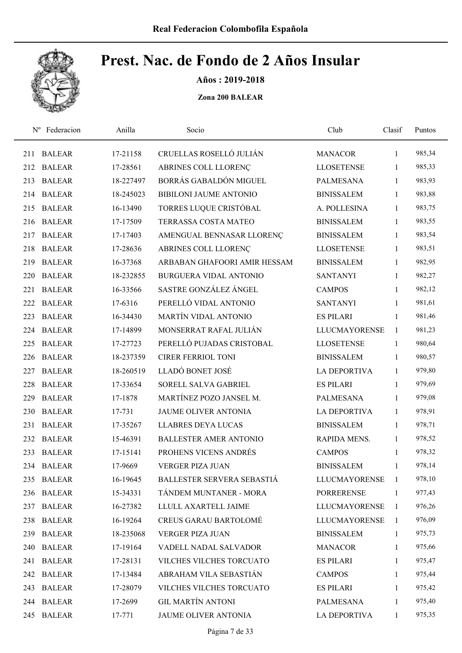

Años : 2019-2018

| $N^{\rm o}$ | Federacion    | Anilla    | Socio                         | Club                 | Clasif       | Puntos |
|-------------|---------------|-----------|-------------------------------|----------------------|--------------|--------|
| 211         | <b>BALEAR</b> | 17-21158  | CRUELLAS ROSELLÓ JULIÁN       | <b>MANACOR</b>       | $\mathbf{1}$ | 985,34 |
| 212         | <b>BALEAR</b> | 17-28561  | ABRINES COLL LLORENÇ          | <b>LLOSETENSE</b>    | 1            | 985,33 |
| 213         | <b>BALEAR</b> | 18-227497 | BORRÁS GABALDÓN MIGUEL        | <b>PALMESANA</b>     | $\mathbf{1}$ | 983,93 |
| 214         | <b>BALEAR</b> | 18-245023 | <b>BIBILONI JAUME ANTONIO</b> | <b>BINISSALEM</b>    | $\mathbf{1}$ | 983,88 |
| 215         | <b>BALEAR</b> | 16-13490  | TORRES LUQUE CRISTÓBAL        | A. POLLESINA         | $\mathbf{1}$ | 983,75 |
| 216         | <b>BALEAR</b> | 17-17509  | <b>TERRASSA COSTA MATEO</b>   | <b>BINISSALEM</b>    | $\mathbf{1}$ | 983,55 |
| 217         | <b>BALEAR</b> | 17-17403  | AMENGUAL BENNASAR LLORENÇ     | <b>BINISSALEM</b>    | $\mathbf{1}$ | 983,54 |
| 218         | <b>BALEAR</b> | 17-28636  | ABRINES COLL LLORENÇ          | <b>LLOSETENSE</b>    | $\mathbf{1}$ | 983,51 |
| 219         | <b>BALEAR</b> | 16-37368  | ARBABAN GHAFOORI AMIR HESSAM  | <b>BINISSALEM</b>    | $\mathbf{1}$ | 982,95 |
| 220         | <b>BALEAR</b> | 18-232855 | <b>BURGUERA VIDAL ANTONIO</b> | <b>SANTANYI</b>      | $\mathbf{1}$ | 982,27 |
| 221         | <b>BALEAR</b> | 16-33566  | SASTRE GONZÁLEZ ÁNGEL         | <b>CAMPOS</b>        | 1            | 982,12 |
| 222         | <b>BALEAR</b> | 17-6316   | PERELLÓ VIDAL ANTONIO         | <b>SANTANYI</b>      | 1            | 981,61 |
| 223         | <b>BALEAR</b> | 16-34430  | MARTÍN VIDAL ANTONIO          | <b>ES PILARI</b>     | 1            | 981,46 |
| 224         | <b>BALEAR</b> | 17-14899  | MONSERRAT RAFAL JULIÁN        | <b>LLUCMAYORENSE</b> | 1            | 981,23 |
| 225         | <b>BALEAR</b> | 17-27723  | PERELLÓ PUJADAS CRISTOBAL     | <b>LLOSETENSE</b>    | 1            | 980,64 |
| 226         | <b>BALEAR</b> | 18-237359 | <b>CIRER FERRIOL TONI</b>     | <b>BINISSALEM</b>    | $\mathbf{1}$ | 980,57 |
| 227         | <b>BALEAR</b> | 18-260519 | LLADÓ BONET JOSÉ              | LA DEPORTIVA         | $\mathbf{1}$ | 979,80 |
| 228         | <b>BALEAR</b> | 17-33654  | SORELL SALVA GABRIEL          | <b>ES PILARI</b>     | $\mathbf{1}$ | 979,69 |
| 229         | <b>BALEAR</b> | 17-1878   | MARTÍNEZ POZO JANSEL M.       | <b>PALMESANA</b>     | $\mathbf{1}$ | 979,08 |
| 230         | <b>BALEAR</b> | 17-731    | <b>JAUME OLIVER ANTONIA</b>   | <b>LA DEPORTIVA</b>  | $\mathbf{1}$ | 978,91 |
| 231         | <b>BALEAR</b> | 17-35267  | <b>LLABRES DEYA LUCAS</b>     | <b>BINISSALEM</b>    | $\mathbf{1}$ | 978,71 |
| 232         | <b>BALEAR</b> | 15-46391  | <b>BALLESTER AMER ANTONIO</b> | RAPIDA MENS.         | $\mathbf{1}$ | 978,52 |
| 233         | <b>BALEAR</b> | 17-15141  | PROHENS VICENS ANDRÉS         | <b>CAMPOS</b>        | 1            | 978,32 |
|             | 234 BALEAR    | 17-9669   | <b>VERGER PIZA JUAN</b>       | <b>BINISSALEM</b>    | $\mathbf{1}$ | 978,14 |
|             | 235 BALEAR    | 16-19645  | BALLESTER SERVERA SEBASTIÁ    | <b>LLUCMAYORENSE</b> | 1            | 978,10 |
| 236         | <b>BALEAR</b> | 15-34331  | TÁNDEM MUNTANER - MORA        | <b>PORRERENSE</b>    | $\mathbf{1}$ | 977,43 |
| 237         | <b>BALEAR</b> | 16-27382  | LLULL AXARTELL JAIME          | <b>LLUCMAYORENSE</b> | 1            | 976,26 |
| 238         | <b>BALEAR</b> | 16-19264  | <b>CREUS GARAU BARTOLOMÉ</b>  | <b>LLUCMAYORENSE</b> | 1            | 976,09 |
| 239         | <b>BALEAR</b> | 18-235068 | VERGER PIZA JUAN              | <b>BINISSALEM</b>    | $\mathbf{1}$ | 975,73 |
| 240         | <b>BALEAR</b> | 17-19164  | VADELL NADAL SALVADOR         | <b>MANACOR</b>       | $\mathbf{1}$ | 975,66 |
| 241         | <b>BALEAR</b> | 17-28131  | VILCHES VILCHES TORCUATO      | <b>ES PILARI</b>     | $\mathbf{1}$ | 975,47 |
| 242         | <b>BALEAR</b> | 17-13484  | ABRAHAM VILA SEBASTIÁN        | <b>CAMPOS</b>        | $\mathbf{1}$ | 975,44 |
| 243         | <b>BALEAR</b> | 17-28079  | VILCHES VILCHES TORCUATO      | <b>ES PILARI</b>     | $\mathbf{1}$ | 975,42 |
|             | 244 BALEAR    | 17-2699   | <b>GIL MARTÍN ANTONI</b>      | <b>PALMESANA</b>     | $\mathbf{1}$ | 975,40 |
| 245         | <b>BALEAR</b> | 17-771    | JAUME OLIVER ANTONIA          | LA DEPORTIVA         | $\mathbf{1}$ | 975,35 |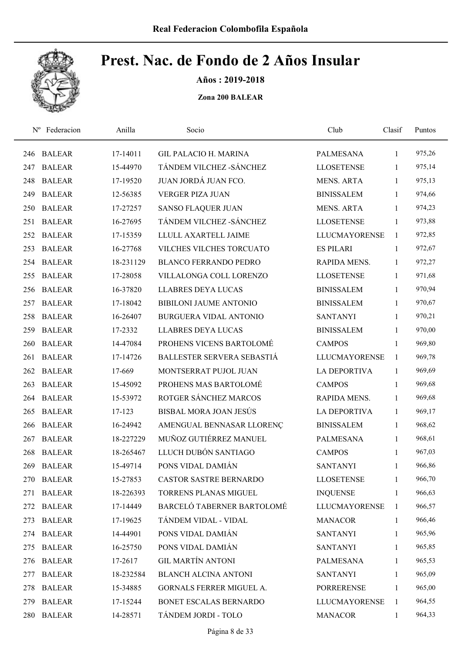

Años : 2019-2018

| $N^{\rm o}$ | Federacion    | Anilla    | Socio                         | Club                 | Clasif       | Puntos |
|-------------|---------------|-----------|-------------------------------|----------------------|--------------|--------|
| 246         | <b>BALEAR</b> | 17-14011  | <b>GIL PALACIO H. MARINA</b>  | <b>PALMESANA</b>     | 1            | 975,26 |
| 247         | <b>BALEAR</b> | 15-44970  | TÁNDEM VILCHEZ - SÁNCHEZ      | <b>LLOSETENSE</b>    | 1            | 975,14 |
| 248         | <b>BALEAR</b> | 17-19520  | JUAN JORDÁ JUAN FCO.          | <b>MENS. ARTA</b>    | 1            | 975,13 |
| 249         | <b>BALEAR</b> | 12-56385  | <b>VERGER PIZA JUAN</b>       | <b>BINISSALEM</b>    | 1            | 974,66 |
| 250         | <b>BALEAR</b> | 17-27257  | <b>SANSO FLAQUER JUAN</b>     | <b>MENS. ARTA</b>    | $\mathbf{1}$ | 974,23 |
| 251         | <b>BALEAR</b> | 16-27695  | TÁNDEM VILCHEZ - SÁNCHEZ      | <b>LLOSETENSE</b>    | $\mathbf{1}$ | 973,88 |
| 252         | <b>BALEAR</b> | 17-15359  | LLULL AXARTELL JAIME          | <b>LLUCMAYORENSE</b> | 1            | 972,85 |
| 253         | <b>BALEAR</b> | 16-27768  | VILCHES VILCHES TORCUATO      | <b>ES PILARI</b>     | $\mathbf{1}$ | 972,67 |
| 254         | <b>BALEAR</b> | 18-231129 | <b>BLANCO FERRANDO PEDRO</b>  | RAPIDA MENS.         | $\mathbf{1}$ | 972,27 |
| 255         | <b>BALEAR</b> | 17-28058  | VILLALONGA COLL LORENZO       | <b>LLOSETENSE</b>    | $\mathbf{1}$ | 971,68 |
| 256         | <b>BALEAR</b> | 16-37820  | <b>LLABRES DEYA LUCAS</b>     | <b>BINISSALEM</b>    | $\mathbf{1}$ | 970,94 |
| 257         | <b>BALEAR</b> | 17-18042  | <b>BIBILONI JAUME ANTONIO</b> | <b>BINISSALEM</b>    | $\mathbf{1}$ | 970,67 |
| 258         | <b>BALEAR</b> | 16-26407  | <b>BURGUERA VIDAL ANTONIO</b> | <b>SANTANYI</b>      | 1            | 970,21 |
| 259         | <b>BALEAR</b> | 17-2332   | <b>LLABRES DEYA LUCAS</b>     | <b>BINISSALEM</b>    | $\mathbf{1}$ | 970,00 |
| 260         | <b>BALEAR</b> | 14-47084  | PROHENS VICENS BARTOLOMÉ      | <b>CAMPOS</b>        | 1            | 969,80 |
| 261         | <b>BALEAR</b> | 17-14726  | BALLESTER SERVERA SEBASTIÁ    | <b>LLUCMAYORENSE</b> | 1            | 969,78 |
| 262         | <b>BALEAR</b> | 17-669    | MONTSERRAT PUJOL JUAN         | <b>LA DEPORTIVA</b>  | 1            | 969,69 |
| 263         | <b>BALEAR</b> | 15-45092  | PROHENS MAS BARTOLOMÉ         | <b>CAMPOS</b>        | $\mathbf{1}$ | 969,68 |
| 264         | <b>BALEAR</b> | 15-53972  | ROTGER SÁNCHEZ MARCOS         | RAPIDA MENS.         | $\mathbf{1}$ | 969,68 |
| 265         | <b>BALEAR</b> | 17-123    | BISBAL MORA JOAN JESÚS        | <b>LA DEPORTIVA</b>  | $\mathbf{1}$ | 969,17 |
| 266         | <b>BALEAR</b> | 16-24942  | AMENGUAL BENNASAR LLORENÇ     | <b>BINISSALEM</b>    | $\mathbf{1}$ | 968,62 |
| 267         | <b>BALEAR</b> | 18-227229 | MUÑOZ GUTIÉRREZ MANUEL        | PALMESANA            | 1            | 968,61 |
| 268         | <b>BALEAR</b> | 18-265467 | LLUCH DUBÓN SANTIAGO          | <b>CAMPOS</b>        | 1            | 967,03 |
| 269         | <b>BALEAR</b> | 15-49714  | PONS VIDAL DAMIÁN             | <b>SANTANYI</b>      | $\mathbf{1}$ | 966,86 |
| 270         | <b>BALEAR</b> | 15-27853  | CASTOR SASTRE BERNARDO        | <b>LLOSETENSE</b>    | 1            | 966,70 |
| 271         | <b>BALEAR</b> | 18-226393 | TORRENS PLANAS MIGUEL         | <b>INQUENSE</b>      | 1            | 966,63 |
|             | 272 BALEAR    | 17-14449  | BARCELÓ TABERNER BARTOLOMÉ    | <b>LLUCMAYORENSE</b> | 1            | 966,57 |
| 273         | <b>BALEAR</b> | 17-19625  | TÁNDEM VIDAL - VIDAL          | <b>MANACOR</b>       | $\mathbf{1}$ | 966,46 |
| 274         | <b>BALEAR</b> | 14-44901  | PONS VIDAL DAMIÁN             | <b>SANTANYI</b>      | $\mathbf{1}$ | 965,96 |
| 275         | <b>BALEAR</b> | 16-25750  | PONS VIDAL DAMIÁN             | <b>SANTANYI</b>      | $\mathbf{1}$ | 965,85 |
| 276         | <b>BALEAR</b> | 17-2617   | <b>GIL MARTÍN ANTONI</b>      | PALMESANA            | $\mathbf{1}$ | 965,53 |
| 277         | <b>BALEAR</b> | 18-232584 | <b>BLANCH ALCINA ANTONI</b>   | <b>SANTANYI</b>      | 1            | 965,09 |
| 278         | <b>BALEAR</b> | 15-34885  | GORNALS FERRER MIGUEL A.      | <b>PORRERENSE</b>    | $\mathbf{1}$ | 965,00 |
| 279         | <b>BALEAR</b> | 17-15244  | BONET ESCALAS BERNARDO        | LLUCMAYORENSE        | 1            | 964,55 |
| 280         | <b>BALEAR</b> | 14-28571  | TÁNDEM JORDI - TOLO           | <b>MANACOR</b>       | $\mathbf{1}$ | 964,33 |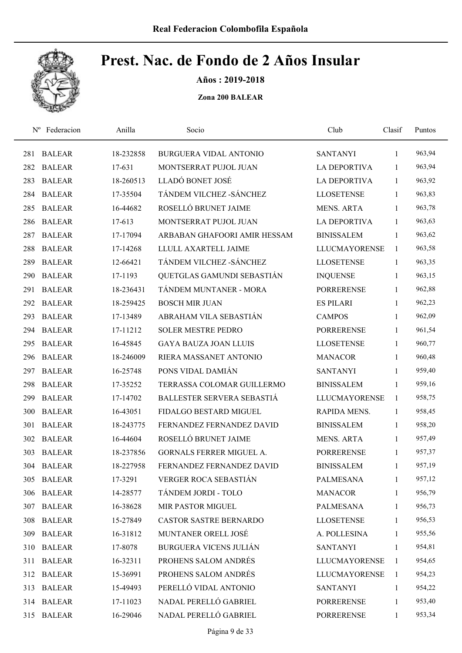

Años : 2019-2018

| $N^{\rm o}$ | Federacion    | Anilla    | Socio                         | Club                 | Clasif       | Puntos |
|-------------|---------------|-----------|-------------------------------|----------------------|--------------|--------|
| 281         | <b>BALEAR</b> | 18-232858 | BURGUERA VIDAL ANTONIO        | <b>SANTANYI</b>      | 1            | 963,94 |
| 282         | <b>BALEAR</b> | 17-631    | MONTSERRAT PUJOL JUAN         | <b>LA DEPORTIVA</b>  | 1            | 963,94 |
| 283         | <b>BALEAR</b> | 18-260513 | LLADÓ BONET JOSÉ              | <b>LA DEPORTIVA</b>  | 1            | 963,92 |
| 284         | <b>BALEAR</b> | 17-35504  | TÁNDEM VILCHEZ - SÁNCHEZ      | <b>LLOSETENSE</b>    | 1            | 963,83 |
| 285         | <b>BALEAR</b> | 16-44682  | ROSELLÓ BRUNET JAIME          | <b>MENS. ARTA</b>    | $\mathbf{1}$ | 963,78 |
| 286         | <b>BALEAR</b> | 17-613    | MONTSERRAT PUJOL JUAN         | <b>LA DEPORTIVA</b>  | $\mathbf{1}$ | 963,63 |
| 287         | <b>BALEAR</b> | 17-17094  | ARBABAN GHAFOORI AMIR HESSAM  | <b>BINISSALEM</b>    | 1            | 963,62 |
| 288         | <b>BALEAR</b> | 17-14268  | LLULL AXARTELL JAIME          | <b>LLUCMAYORENSE</b> | 1            | 963,58 |
| 289         | <b>BALEAR</b> | 12-66421  | TÁNDEM VILCHEZ - SÁNCHEZ      | <b>LLOSETENSE</b>    | $\mathbf{1}$ | 963,35 |
| 290         | <b>BALEAR</b> | 17-1193   | QUETGLAS GAMUNDI SEBASTIÁN    | <b>INQUENSE</b>      | 1            | 963,15 |
| 291         | <b>BALEAR</b> | 18-236431 | TÁNDEM MUNTANER - MORA        | <b>PORRERENSE</b>    | $\mathbf{1}$ | 962,88 |
| 292         | <b>BALEAR</b> | 18-259425 | <b>BOSCH MIR JUAN</b>         | <b>ES PILARI</b>     | 1            | 962,23 |
| 293         | <b>BALEAR</b> | 17-13489  | ABRAHAM VILA SEBASTIÁN        | <b>CAMPOS</b>        | 1            | 962,09 |
| 294         | <b>BALEAR</b> | 17-11212  | <b>SOLER MESTRE PEDRO</b>     | <b>PORRERENSE</b>    | $\mathbf{1}$ | 961,54 |
| 295         | <b>BALEAR</b> | 16-45845  | <b>GAYA BAUZA JOAN LLUIS</b>  | <b>LLOSETENSE</b>    | 1            | 960,77 |
| 296         | <b>BALEAR</b> | 18-246009 | RIERA MASSANET ANTONIO        | <b>MANACOR</b>       | $\mathbf{1}$ | 960,48 |
| 297         | <b>BALEAR</b> | 16-25748  | PONS VIDAL DAMIÁN             | <b>SANTANYI</b>      | $\mathbf{1}$ | 959,40 |
| 298         | <b>BALEAR</b> | 17-35252  | TERRASSA COLOMAR GUILLERMO    | <b>BINISSALEM</b>    | $\mathbf{1}$ | 959,16 |
| 299         | <b>BALEAR</b> | 17-14702  | BALLESTER SERVERA SEBASTIÁ    | <b>LLUCMAYORENSE</b> | 1            | 958,75 |
| 300         | <b>BALEAR</b> | 16-43051  | FIDALGO BESTARD MIGUEL        | RAPIDA MENS.         | $\mathbf{1}$ | 958,45 |
| 301         | <b>BALEAR</b> | 18-243775 | FERNANDEZ FERNANDEZ DAVID     | <b>BINISSALEM</b>    | $\mathbf{1}$ | 958,20 |
| 302         | <b>BALEAR</b> | 16-44604  | ROSELLÓ BRUNET JAIME          | <b>MENS. ARTA</b>    | 1            | 957,49 |
| 303         | <b>BALEAR</b> | 18-237856 | GORNALS FERRER MIGUEL A.      | <b>PORRERENSE</b>    | $\mathbf{1}$ | 957,37 |
|             | 304 BALEAR    | 18-227958 | FERNANDEZ FERNANDEZ DAVID     | <b>BINISSALEM</b>    | 1            | 957,19 |
| 305         | <b>BALEAR</b> | 17-3291   | <b>VERGER ROCA SEBASTIÁN</b>  | <b>PALMESANA</b>     | 1            | 957,12 |
| 306         | <b>BALEAR</b> | 14-28577  | TÁNDEM JORDI - TOLO           | <b>MANACOR</b>       | $\mathbf{1}$ | 956,79 |
| 307         | <b>BALEAR</b> | 16-38628  | MIR PASTOR MIGUEL             | <b>PALMESANA</b>     | 1            | 956,73 |
| 308         | <b>BALEAR</b> | 15-27849  | <b>CASTOR SASTRE BERNARDO</b> | <b>LLOSETENSE</b>    | $\mathbf{1}$ | 956,53 |
| 309         | <b>BALEAR</b> | 16-31812  | MUNTANER ORELL JOSÉ           | A. POLLESINA         | 1            | 955,56 |
| 310         | <b>BALEAR</b> | 17-8078   | <b>BURGUERA VICENS JULIÁN</b> | <b>SANTANYI</b>      | 1            | 954,81 |
| 311         | <b>BALEAR</b> | 16-32311  | PROHENS SALOM ANDRÉS          | <b>LLUCMAYORENSE</b> | 1            | 954,65 |
| 312         | <b>BALEAR</b> | 15-36991  | PROHENS SALOM ANDRÉS          | <b>LLUCMAYORENSE</b> | 1            | 954,23 |
| 313         | <b>BALEAR</b> | 15-49493  | PERELLÓ VIDAL ANTONIO         | <b>SANTANYI</b>      | $\mathbf{1}$ | 954,22 |
|             | 314 BALEAR    | 17-11023  | NADAL PERELLÓ GABRIEL         | <b>PORRERENSE</b>    | 1            | 953,40 |
| 315         | <b>BALEAR</b> | 16-29046  | NADAL PERELLÓ GABRIEL         | PORRERENSE           | $\mathbf{1}$ | 953,34 |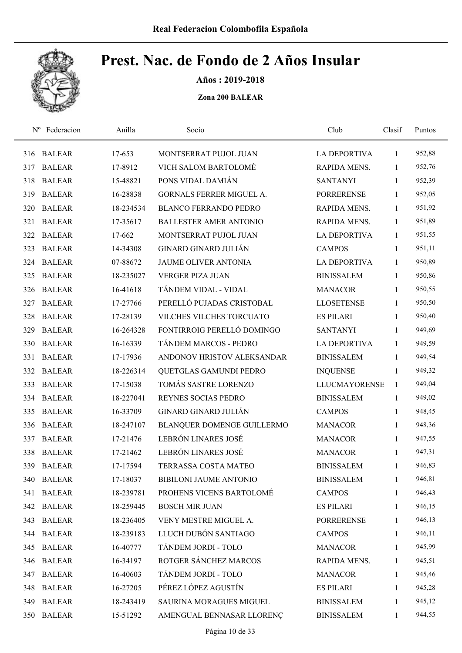

Años : 2019-2018

| $N^{\rm o}$ | Federacion    | Anilla    | Socio                           | Club                 | Clasif       | Puntos |
|-------------|---------------|-----------|---------------------------------|----------------------|--------------|--------|
| 316         | <b>BALEAR</b> | 17-653    | MONTSERRAT PUJOL JUAN           | <b>LA DEPORTIVA</b>  | 1            | 952,88 |
| 317         | <b>BALEAR</b> | 17-8912   | VICH SALOM BARTOLOMÉ            | RAPIDA MENS.         | 1            | 952,76 |
| 318         | <b>BALEAR</b> | 15-48821  | PONS VIDAL DAMIÁN               | <b>SANTANYI</b>      | 1            | 952,39 |
| 319         | <b>BALEAR</b> | 16-28838  | <b>GORNALS FERRER MIGUEL A.</b> | <b>PORRERENSE</b>    | 1            | 952,05 |
| 320         | <b>BALEAR</b> | 18-234534 | <b>BLANCO FERRANDO PEDRO</b>    | <b>RAPIDA MENS.</b>  | 1            | 951,92 |
| 321         | <b>BALEAR</b> | 17-35617  | <b>BALLESTER AMER ANTONIO</b>   | RAPIDA MENS.         | 1            | 951,89 |
| 322         | <b>BALEAR</b> | 17-662    | MONTSERRAT PUJOL JUAN           | LA DEPORTIVA         | $\mathbf{1}$ | 951,55 |
| 323         | <b>BALEAR</b> | 14-34308  | <b>GINARD GINARD JULIÁN</b>     | <b>CAMPOS</b>        | 1            | 951,11 |
| 324         | <b>BALEAR</b> | 07-88672  | <b>JAUME OLIVER ANTONIA</b>     | <b>LA DEPORTIVA</b>  | 1            | 950,89 |
| 325         | <b>BALEAR</b> | 18-235027 | <b>VERGER PIZA JUAN</b>         | <b>BINISSALEM</b>    | 1            | 950,86 |
| 326         | <b>BALEAR</b> | 16-41618  | TÁNDEM VIDAL - VIDAL            | <b>MANACOR</b>       | 1            | 950,55 |
| 327         | <b>BALEAR</b> | 17-27766  | PERELLÓ PUJADAS CRISTOBAL       | <b>LLOSETENSE</b>    | 1            | 950,50 |
| 328         | <b>BALEAR</b> | 17-28139  | VILCHES VILCHES TORCUATO        | <b>ES PILARI</b>     | 1            | 950,40 |
| 329         | <b>BALEAR</b> | 16-264328 | FONTIRROIG PERELLÓ DOMINGO      | <b>SANTANYI</b>      | 1            | 949,69 |
| 330         | <b>BALEAR</b> | 16-16339  | TÁNDEM MARCOS - PEDRO           | <b>LA DEPORTIVA</b>  | 1            | 949,59 |
| 331         | <b>BALEAR</b> | 17-17936  | ANDONOV HRISTOV ALEKSANDAR      | <b>BINISSALEM</b>    | 1            | 949,54 |
| 332         | <b>BALEAR</b> | 18-226314 | QUETGLAS GAMUNDI PEDRO          | <b>INQUENSE</b>      | 1            | 949,32 |
| 333         | <b>BALEAR</b> | 17-15038  | TOMÁS SASTRE LORENZO            | <b>LLUCMAYORENSE</b> | 1            | 949,04 |
| 334         | <b>BALEAR</b> | 18-227041 | REYNES SOCIAS PEDRO             | <b>BINISSALEM</b>    | $\mathbf{1}$ | 949,02 |
| 335         | <b>BALEAR</b> | 16-33709  | <b>GINARD GINARD JULIÁN</b>     | <b>CAMPOS</b>        | $\mathbf{1}$ | 948,45 |
| 336         | <b>BALEAR</b> | 18-247107 | BLANQUER DOMENGE GUILLERMO      | <b>MANACOR</b>       | 1            | 948,36 |
| 337         | <b>BALEAR</b> | 17-21476  | LEBRÓN LINARES JOSÉ             | <b>MANACOR</b>       | 1            | 947,55 |
| 338         | <b>BALEAR</b> | 17-21462  | LEBRÓN LINARES JOSÉ             | <b>MANACOR</b>       | 1            | 947,31 |
| 339         | <b>BALEAR</b> | 17-17594  | TERRASSA COSTA MATEO            | <b>BINISSALEM</b>    | $\mathbf{1}$ | 946,83 |
| 340         | <b>BALEAR</b> | 17-18037  | <b>BIBILONI JAUME ANTONIO</b>   | <b>BINISSALEM</b>    | 1            | 946,81 |
| 341         | <b>BALEAR</b> | 18-239781 | PROHENS VICENS BARTOLOMÉ        | <b>CAMPOS</b>        | 1            | 946,43 |
|             | 342 BALEAR    | 18-259445 | <b>BOSCH MIR JUAN</b>           | <b>ES PILARI</b>     | 1            | 946,15 |
| 343         | <b>BALEAR</b> | 18-236405 | VENY MESTRE MIGUEL A.           | <b>PORRERENSE</b>    | 1            | 946,13 |
| 344         | <b>BALEAR</b> | 18-239183 | LLUCH DUBÓN SANTIAGO            | <b>CAMPOS</b>        | 1            | 946,11 |
| 345         | <b>BALEAR</b> | 16-40777  | TÁNDEM JORDI - TOLO             | <b>MANACOR</b>       | 1            | 945,99 |
| 346         | <b>BALEAR</b> | 16-34197  | ROTGER SÁNCHEZ MARCOS           | RAPIDA MENS.         | 1            | 945,51 |
| 347         | <b>BALEAR</b> | 16-40603  | TÁNDEM JORDI - TOLO             | <b>MANACOR</b>       | 1            | 945,46 |
| 348         | <b>BALEAR</b> | 16-27205  | PÉREZ LÓPEZ AGUSTÍN             | <b>ES PILARI</b>     | $\mathbf{1}$ | 945,28 |
| 349         | <b>BALEAR</b> | 18-243419 | SAURINA MORAGUES MIGUEL         | <b>BINISSALEM</b>    | 1            | 945,12 |
| 350         | <b>BALEAR</b> | 15-51292  | AMENGUAL BENNASAR LLORENÇ       | <b>BINISSALEM</b>    | $\mathbf{1}$ | 944,55 |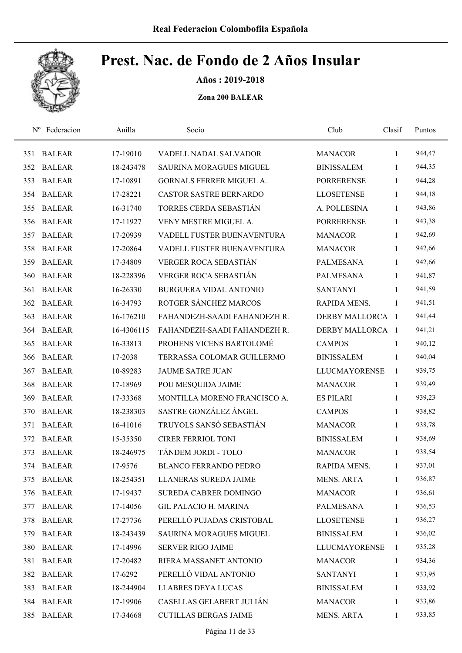

Años : 2019-2018

| $N^{\rm o}$ | Federacion    | Anilla     | Socio                           | Club                 | Clasif       | Puntos |
|-------------|---------------|------------|---------------------------------|----------------------|--------------|--------|
| 351         | <b>BALEAR</b> | 17-19010   | VADELL NADAL SALVADOR           | <b>MANACOR</b>       | 1            | 944,47 |
| 352         | <b>BALEAR</b> | 18-243478  | <b>SAURINA MORAGUES MIGUEL</b>  | <b>BINISSALEM</b>    | 1            | 944,35 |
| 353         | <b>BALEAR</b> | 17-10891   | <b>GORNALS FERRER MIGUEL A.</b> | <b>PORRERENSE</b>    | 1            | 944,28 |
| 354         | <b>BALEAR</b> | 17-28221   | <b>CASTOR SASTRE BERNARDO</b>   | <b>LLOSETENSE</b>    | 1            | 944,18 |
| 355         | <b>BALEAR</b> | 16-31740   | TORRES CERDA SEBASTIÁN          | A. POLLESINA         | 1            | 943,86 |
| 356         | <b>BALEAR</b> | 17-11927   | VENY MESTRE MIGUEL A.           | <b>PORRERENSE</b>    | $\mathbf{1}$ | 943,38 |
| 357         | <b>BALEAR</b> | 17-20939   | VADELL FUSTER BUENAVENTURA      | <b>MANACOR</b>       | $\mathbf{1}$ | 942,69 |
| 358         | <b>BALEAR</b> | 17-20864   | VADELL FUSTER BUENAVENTURA      | <b>MANACOR</b>       | 1            | 942,66 |
| 359         | <b>BALEAR</b> | 17-34809   | VERGER ROCA SEBASTIÁN           | <b>PALMESANA</b>     | 1            | 942,66 |
| 360         | <b>BALEAR</b> | 18-228396  | <b>VERGER ROCA SEBASTIÁN</b>    | <b>PALMESANA</b>     | $\mathbf{1}$ | 941,87 |
| 361         | <b>BALEAR</b> | 16-26330   | <b>BURGUERA VIDAL ANTONIO</b>   | <b>SANTANYI</b>      | 1            | 941,59 |
| 362         | <b>BALEAR</b> | 16-34793   | ROTGER SÁNCHEZ MARCOS           | RAPIDA MENS.         | $\mathbf{1}$ | 941,51 |
| 363         | <b>BALEAR</b> | 16-176210  | FAHANDEZH-SAADI FAHANDEZH R.    | DERBY MALLORCA 1     |              | 941,44 |
| 364         | <b>BALEAR</b> | 16-4306115 | FAHANDEZH-SAADI FAHANDEZH R.    | DERBY MALLORCA 1     |              | 941,21 |
| 365         | <b>BALEAR</b> | 16-33813   | PROHENS VICENS BARTOLOMÉ        | <b>CAMPOS</b>        | $\mathbf{1}$ | 940,12 |
| 366         | <b>BALEAR</b> | 17-2038    | TERRASSA COLOMAR GUILLERMO      | <b>BINISSALEM</b>    | $\mathbf{1}$ | 940,04 |
| 367         | <b>BALEAR</b> | 10-89283   | <b>JAUME SATRE JUAN</b>         | <b>LLUCMAYORENSE</b> | $\mathbf{1}$ | 939,75 |
| 368         | <b>BALEAR</b> | 17-18969   | POU MESQUIDA JAIME              | <b>MANACOR</b>       | $\mathbf{1}$ | 939,49 |
| 369         | <b>BALEAR</b> | 17-33368   | MONTILLA MORENO FRANCISCO A.    | <b>ES PILARI</b>     | $\mathbf{1}$ | 939,23 |
| 370         | <b>BALEAR</b> | 18-238303  | SASTRE GONZÁLEZ ÁNGEL           | <b>CAMPOS</b>        | $\mathbf{1}$ | 938,82 |
| 371         | <b>BALEAR</b> | 16-41016   | TRUYOLS SANSÓ SEBASTIÁN         | <b>MANACOR</b>       | $\mathbf{1}$ | 938,78 |
| 372         | <b>BALEAR</b> | 15-35350   | <b>CIRER FERRIOL TONI</b>       | <b>BINISSALEM</b>    | 1            | 938,69 |
| 373         | <b>BALEAR</b> | 18-246975  | TÁNDEM JORDI - TOLO             | <b>MANACOR</b>       | 1            | 938,54 |
|             | 374 BALEAR    | 17-9576    | <b>BLANCO FERRANDO PEDRO</b>    | RAPIDA MENS.         | 1            | 937,01 |
| 375         | <b>BALEAR</b> | 18-254351  | LLANERAS SUREDA JAIME           | <b>MENS. ARTA</b>    | 1            | 936,87 |
| 376         | <b>BALEAR</b> | 17-19437   | SUREDA CABRER DOMINGO           | <b>MANACOR</b>       | 1            | 936,61 |
| 377         | <b>BALEAR</b> | 17-14056   | <b>GIL PALACIO H. MARINA</b>    | PALMESANA            | 1            | 936,53 |
| 378         | <b>BALEAR</b> | 17-27736   | PERELLÓ PUJADAS CRISTOBAL       | <b>LLOSETENSE</b>    | 1            | 936,27 |
| 379         | <b>BALEAR</b> | 18-243439  | SAURINA MORAGUES MIGUEL         | <b>BINISSALEM</b>    | 1            | 936,02 |
| 380         | <b>BALEAR</b> | 17-14996   | <b>SERVER RIGO JAIME</b>        | LLUCMAYORENSE        | 1            | 935,28 |
| 381         | <b>BALEAR</b> | 17-20482   | RIERA MASSANET ANTONIO          | <b>MANACOR</b>       | $\mathbf{1}$ | 934,36 |
| 382         | <b>BALEAR</b> | 17-6292    | PERELLÓ VIDAL ANTONIO           | <b>SANTANYI</b>      | 1            | 933,95 |
| 383         | <b>BALEAR</b> | 18-244904  | <b>LLABRES DEYA LUCAS</b>       | <b>BINISSALEM</b>    | $\mathbf{1}$ | 933,92 |
|             | 384 BALEAR    | 17-19906   | CASELLAS GELABERT JULIÁN        | <b>MANACOR</b>       | 1            | 933,86 |
| 385         | <b>BALEAR</b> | 17-34668   | <b>CUTILLAS BERGAS JAIME</b>    | <b>MENS. ARTA</b>    | $\mathbf{1}$ | 933,85 |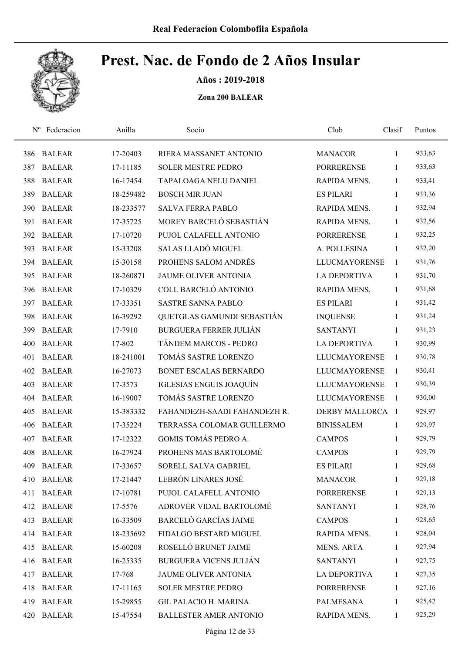

Años : 2019-2018

| $N^{\rm o}$ | Federacion    | Anilla    | Socio                         | Club                 | Clasif       | Puntos |
|-------------|---------------|-----------|-------------------------------|----------------------|--------------|--------|
| 386         | <b>BALEAR</b> | 17-20403  | RIERA MASSANET ANTONIO        | <b>MANACOR</b>       | 1            | 933,63 |
| 387         | <b>BALEAR</b> | 17-11185  | <b>SOLER MESTRE PEDRO</b>     | <b>PORRERENSE</b>    | 1            | 933,63 |
| 388         | <b>BALEAR</b> | 16-17454  | TAPALOAGA NELU DANIEL         | RAPIDA MENS.         | 1            | 933,41 |
| 389         | <b>BALEAR</b> | 18-259482 | <b>BOSCH MIR JUAN</b>         | <b>ES PILARI</b>     | $\mathbf{1}$ | 933,36 |
| 390         | <b>BALEAR</b> | 18-233577 | <b>SALVA FERRA PABLO</b>      | RAPIDA MENS.         | $\mathbf{1}$ | 932,94 |
| 391         | <b>BALEAR</b> | 17-35725  | MOREY BARCELÓ SEBASTIÁN       | RAPIDA MENS.         | 1            | 932,56 |
| 392         | <b>BALEAR</b> | 17-10720  | PUJOL CALAFELL ANTONIO        | <b>PORRERENSE</b>    | 1            | 932,25 |
| 393         | <b>BALEAR</b> | 15-33208  | SALAS LLADÓ MIGUEL            | A. POLLESINA         | 1            | 932,20 |
| 394         | <b>BALEAR</b> | 15-30158  | PROHENS SALOM ANDRÉS          | <b>LLUCMAYORENSE</b> | 1            | 931,76 |
| 395         | <b>BALEAR</b> | 18-260871 | <b>JAUME OLIVER ANTONIA</b>   | <b>LA DEPORTIVA</b>  | 1            | 931,70 |
| 396         | <b>BALEAR</b> | 17-10329  | COLL BARCELÓ ANTONIO          | RAPIDA MENS.         | 1            | 931,68 |
| 397         | <b>BALEAR</b> | 17-33351  | <b>SASTRE SANNA PABLO</b>     | <b>ES PILARI</b>     | 1            | 931,42 |
| 398         | <b>BALEAR</b> | 16-39292  | QUETGLAS GAMUNDI SEBASTIÁN    | <b>INQUENSE</b>      | 1            | 931,24 |
| 399         | <b>BALEAR</b> | 17-7910   | <b>BURGUERA FERRER JULIÁN</b> | <b>SANTANYI</b>      | 1            | 931,23 |
| 400         | <b>BALEAR</b> | 17-802    | TÁNDEM MARCOS - PEDRO         | <b>LA DEPORTIVA</b>  | 1            | 930,99 |
| 401         | <b>BALEAR</b> | 18-241001 | TOMÁS SASTRE LORENZO          | <b>LLUCMAYORENSE</b> | 1            | 930,78 |
| 402         | <b>BALEAR</b> | 16-27073  | BONET ESCALAS BERNARDO        | <b>LLUCMAYORENSE</b> | 1            | 930,41 |
| 403         | <b>BALEAR</b> | 17-3573   | IGLESIAS ENGUIS JOAQUÍN       | <b>LLUCMAYORENSE</b> | 1            | 930,39 |
| 404         | <b>BALEAR</b> | 16-19007  | TOMÁS SASTRE LORENZO          | <b>LLUCMAYORENSE</b> | 1            | 930,00 |
| 405         | <b>BALEAR</b> | 15-383332 | FAHANDEZH-SAADI FAHANDEZH R.  | DERBY MALLORCA 1     |              | 929,97 |
| 406         | <b>BALEAR</b> | 17-35224  | TERRASSA COLOMAR GUILLERMO    | <b>BINISSALEM</b>    | 1            | 929,97 |
| 407         | <b>BALEAR</b> | 17-12322  | GOMIS TOMÁS PEDRO A.          | <b>CAMPOS</b>        | 1            | 929,79 |
| 408         | <b>BALEAR</b> | 16-27924  | PROHENS MAS BARTOLOMÉ         | <b>CAMPOS</b>        | $\mathbf{1}$ | 929,79 |
| 409         | <b>BALEAR</b> | 17-33657  | SORELL SALVA GABRIEL          | <b>ES PILARI</b>     | 1            | 929,68 |
| 410         | <b>BALEAR</b> | 17-21447  | LEBRÓN LINARES JOSÉ           | <b>MANACOR</b>       | 1            | 929,18 |
| 411         | <b>BALEAR</b> | 17-10781  | PUJOL CALAFELL ANTONIO        | <b>PORRERENSE</b>    | $\mathbf{1}$ | 929,13 |
| 412         | <b>BALEAR</b> | 17-5576   | ADROVER VIDAL BARTOLOMÉ       | <b>SANTANYI</b>      | 1            | 928,76 |
| 413         | <b>BALEAR</b> | 16-33509  | <b>BARCELÓ GARCÍAS JAIME</b>  | <b>CAMPOS</b>        | 1            | 928,65 |
| 414         | <b>BALEAR</b> | 18-235692 | FIDALGO BESTARD MIGUEL        | RAPIDA MENS.         | 1            | 928,04 |
| 415         | <b>BALEAR</b> | 15-60208  | ROSELLÓ BRUNET JAIME          | <b>MENS. ARTA</b>    | $\mathbf{1}$ | 927,94 |
| 416         | <b>BALEAR</b> | 16-25335  | <b>BURGUERA VICENS JULIÁN</b> | <b>SANTANYI</b>      | $\mathbf{1}$ | 927,75 |
| 417         | <b>BALEAR</b> | 17-768    | JAUME OLIVER ANTONIA          | <b>LA DEPORTIVA</b>  | 1            | 927,35 |
| 418         | <b>BALEAR</b> | 17-11165  | <b>SOLER MESTRE PEDRO</b>     | <b>PORRERENSE</b>    | $\mathbf{1}$ | 927,16 |
| 419         | <b>BALEAR</b> | 15-29855  | <b>GIL PALACIO H. MARINA</b>  | PALMESANA            | 1            | 925,42 |
| 420         | <b>BALEAR</b> | 15-47554  | <b>BALLESTER AMER ANTONIO</b> | RAPIDA MENS.         | $\mathbf{1}$ | 925,29 |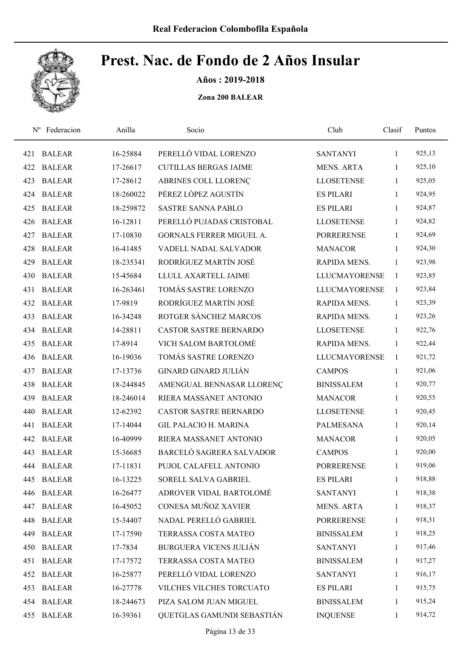

Años : 2019-2018

| $N^{\rm o}$ | Federacion    | Anilla    | Socio                         | Club                 | Clasif       | Puntos |
|-------------|---------------|-----------|-------------------------------|----------------------|--------------|--------|
| 421         | <b>BALEAR</b> | 16-25884  | PERELLÓ VIDAL LORENZO         | <b>SANTANYI</b>      | $\mathbf{1}$ | 925,13 |
| 422         | <b>BALEAR</b> | 17-26617  | <b>CUTILLAS BERGAS JAIME</b>  | <b>MENS. ARTA</b>    | 1            | 925,10 |
| 423         | <b>BALEAR</b> | 17-28612  | ABRINES COLL LLORENÇ          | <b>LLOSETENSE</b>    | $\mathbf{1}$ | 925,05 |
| 424         | <b>BALEAR</b> | 18-260022 | PÉREZ LÓPEZ AGUSTÍN           | <b>ES PILARI</b>     | 1            | 924,95 |
| 425         | <b>BALEAR</b> | 18-259872 | SASTRE SANNA PABLO            | <b>ES PILARI</b>     | $\mathbf{1}$ | 924,87 |
| 426         | <b>BALEAR</b> | 16-12811  | PERELLÓ PUJADAS CRISTOBAL     | <b>LLOSETENSE</b>    | $\mathbf{1}$ | 924,82 |
| 427         | <b>BALEAR</b> | 17-10830  | GORNALS FERRER MIGUEL A.      | <b>PORRERENSE</b>    | $\mathbf{1}$ | 924,69 |
| 428         | <b>BALEAR</b> | 16-41485  | VADELL NADAL SALVADOR         | <b>MANACOR</b>       | $\mathbf{1}$ | 924,30 |
| 429         | <b>BALEAR</b> | 18-235341 | RODRÍGUEZ MARTÍN JOSÉ         | RAPIDA MENS.         | $\mathbf{1}$ | 923,98 |
| 430         | <b>BALEAR</b> | 15-45684  | LLULL AXARTELL JAIME          | <b>LLUCMAYORENSE</b> | $\mathbf{1}$ | 923,85 |
| 431         | <b>BALEAR</b> | 16-263461 | TOMÁS SASTRE LORENZO          | <b>LLUCMAYORENSE</b> | $\mathbf{1}$ | 923,84 |
| 432         | <b>BALEAR</b> | 17-9819   | RODRÍGUEZ MARTÍN JOSÉ         | RAPIDA MENS.         | $\mathbf{1}$ | 923,39 |
| 433         | <b>BALEAR</b> | 16-34248  | ROTGER SÁNCHEZ MARCOS         | <b>RAPIDA MENS.</b>  | $\mathbf{1}$ | 923,26 |
| 434         | <b>BALEAR</b> | 14-28811  | <b>CASTOR SASTRE BERNARDO</b> | <b>LLOSETENSE</b>    | $\mathbf{1}$ | 922,76 |
| 435         | <b>BALEAR</b> | 17-8914   | VICH SALOM BARTOLOMÉ          | RAPIDA MENS.         | 1            | 922,44 |
| 436         | <b>BALEAR</b> | 16-19036  | TOMÁS SASTRE LORENZO          | <b>LLUCMAYORENSE</b> | $\mathbf{1}$ | 921,72 |
| 437         | <b>BALEAR</b> | 17-13736  | <b>GINARD GINARD JULIÁN</b>   | <b>CAMPOS</b>        | $\mathbf{1}$ | 921,06 |
| 438         | <b>BALEAR</b> | 18-244845 | AMENGUAL BENNASAR LLORENÇ     | <b>BINISSALEM</b>    | $\mathbf{1}$ | 920,77 |
| 439         | <b>BALEAR</b> | 18-246014 | RIERA MASSANET ANTONIO        | <b>MANACOR</b>       | $\mathbf{1}$ | 920,55 |
| 440         | <b>BALEAR</b> | 12-62392  | <b>CASTOR SASTRE BERNARDO</b> | <b>LLOSETENSE</b>    | $\mathbf{1}$ | 920,45 |
| 441         | <b>BALEAR</b> | 17-14044  | <b>GIL PALACIO H. MARINA</b>  | <b>PALMESANA</b>     | $\mathbf{1}$ | 920,14 |
| 442         | <b>BALEAR</b> | 16-40999  | RIERA MASSANET ANTONIO        | <b>MANACOR</b>       | 1            | 920,05 |
| 443         | <b>BALEAR</b> | 15-36685  | BARCELÓ SAGRERA SALVADOR      | <b>CAMPOS</b>        | $\mathbf{1}$ | 920,00 |
| 444         | <b>BALEAR</b> | 17-11831  | PUJOL CALAFELL ANTONIO        | <b>PORRERENSE</b>    | $\mathbf{1}$ | 919,06 |
| 445         | <b>BALEAR</b> | 16-13225  | SORELL SALVA GABRIEL          | <b>ES PILARI</b>     | 1            | 918,88 |
| 446         | <b>BALEAR</b> | 16-26477  | ADROVER VIDAL BARTOLOMÉ       | <b>SANTANYI</b>      | $\mathbf{1}$ | 918,38 |
| 447         | <b>BALEAR</b> | 16-45052  | CONESA MUÑOZ XAVIER           | <b>MENS. ARTA</b>    | 1            | 918,37 |
| 448         | <b>BALEAR</b> | 15-34407  | NADAL PERELLÓ GABRIEL         | <b>PORRERENSE</b>    | $\mathbf{1}$ | 918,31 |
| 449         | <b>BALEAR</b> | 17-17590  | TERRASSA COSTA MATEO          | <b>BINISSALEM</b>    | $\mathbf{1}$ | 918,25 |
| 450         | <b>BALEAR</b> | 17-7834   | <b>BURGUERA VICENS JULIÁN</b> | <b>SANTANYI</b>      | $\mathbf{1}$ | 917,46 |
| 451         | <b>BALEAR</b> | 17-17572  | TERRASSA COSTA MATEO          | <b>BINISSALEM</b>    | $\mathbf{1}$ | 917,27 |
| 452         | <b>BALEAR</b> | 16-25877  | PERELLÓ VIDAL LORENZO         | <b>SANTANYI</b>      | $\mathbf{1}$ | 916,17 |
| 453         | <b>BALEAR</b> | 16-27778  | VILCHES VILCHES TORCUATO      | <b>ES PILARI</b>     | $\mathbf{1}$ | 915,75 |
|             | 454 BALEAR    | 18-244673 | PIZA SALOM JUAN MIGUEL        | <b>BINISSALEM</b>    | 1            | 915,24 |
| 455         | <b>BALEAR</b> | 16-39361  | QUETGLAS GAMUNDI SEBASTIÁN    | <b>INQUENSE</b>      | $\mathbf{1}$ | 914,72 |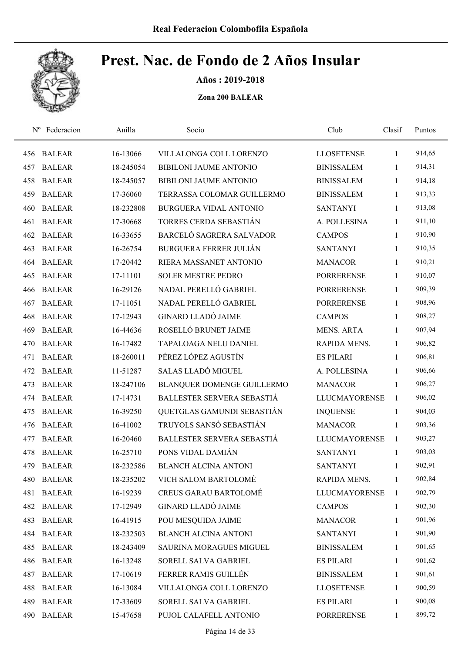

Años : 2019-2018

| $N^{\rm o}$ | Federacion    | Anilla    | Socio                         | Club                 | Clasif       | Puntos |
|-------------|---------------|-----------|-------------------------------|----------------------|--------------|--------|
| 456         | <b>BALEAR</b> | 16-13066  | VILLALONGA COLL LORENZO       | <b>LLOSETENSE</b>    | 1            | 914,65 |
| 457         | <b>BALEAR</b> | 18-245054 | <b>BIBILONI JAUME ANTONIO</b> | <b>BINISSALEM</b>    | 1            | 914,31 |
| 458         | <b>BALEAR</b> | 18-245057 | <b>BIBILONI JAUME ANTONIO</b> | <b>BINISSALEM</b>    | 1            | 914,18 |
| 459         | <b>BALEAR</b> | 17-36060  | TERRASSA COLOMAR GUILLERMO    | <b>BINISSALEM</b>    | 1            | 913,33 |
| 460         | <b>BALEAR</b> | 18-232808 | <b>BURGUERA VIDAL ANTONIO</b> | <b>SANTANYI</b>      | 1            | 913,08 |
| 461         | <b>BALEAR</b> | 17-30668  | TORRES CERDA SEBASTIÁN        | A. POLLESINA         | 1            | 911,10 |
| 462         | <b>BALEAR</b> | 16-33655  | BARCELÓ SAGRERA SALVADOR      | <b>CAMPOS</b>        | 1            | 910,90 |
| 463         | <b>BALEAR</b> | 16-26754  | <b>BURGUERA FERRER JULIÁN</b> | <b>SANTANYI</b>      | 1            | 910,35 |
| 464         | <b>BALEAR</b> | 17-20442  | RIERA MASSANET ANTONIO        | <b>MANACOR</b>       | 1            | 910,21 |
| 465         | <b>BALEAR</b> | 17-11101  | <b>SOLER MESTRE PEDRO</b>     | <b>PORRERENSE</b>    | 1            | 910,07 |
| 466         | <b>BALEAR</b> | 16-29126  | NADAL PERELLÓ GABRIEL         | <b>PORRERENSE</b>    | 1            | 909,39 |
| 467         | <b>BALEAR</b> | 17-11051  | NADAL PERELLÓ GABRIEL         | <b>PORRERENSE</b>    | 1            | 908,96 |
| 468         | <b>BALEAR</b> | 17-12943  | <b>GINARD LLADÓ JAIME</b>     | <b>CAMPOS</b>        | 1            | 908,27 |
| 469         | <b>BALEAR</b> | 16-44636  | ROSELLÓ BRUNET JAIME          | <b>MENS. ARTA</b>    | 1            | 907,94 |
| 470         | <b>BALEAR</b> | 16-17482  | TAPALOAGA NELU DANIEL         | RAPIDA MENS.         | 1            | 906,82 |
| 471         | <b>BALEAR</b> | 18-260011 | PÉREZ LÓPEZ AGUSTÍN           | <b>ES PILARI</b>     | 1            | 906,81 |
| 472         | <b>BALEAR</b> | 11-51287  | SALAS LLADÓ MIGUEL            | A. POLLESINA         | 1            | 906,66 |
| 473         | <b>BALEAR</b> | 18-247106 | BLANQUER DOMENGE GUILLERMO    | <b>MANACOR</b>       | $\mathbf{1}$ | 906,27 |
| 474         | <b>BALEAR</b> | 17-14731  | BALLESTER SERVERA SEBASTIÁ    | <b>LLUCMAYORENSE</b> | 1            | 906,02 |
| 475         | <b>BALEAR</b> | 16-39250  | QUETGLAS GAMUNDI SEBASTIÁN    | <b>INQUENSE</b>      | 1            | 904,03 |
| 476         | <b>BALEAR</b> | 16-41002  | TRUYOLS SANSÓ SEBASTIÁN       | <b>MANACOR</b>       | 1            | 903,36 |
| 477         | <b>BALEAR</b> | 16-20460  | BALLESTER SERVERA SEBASTIÁ    | <b>LLUCMAYORENSE</b> | 1            | 903,27 |
| 478         | <b>BALEAR</b> | 16-25710  | PONS VIDAL DAMIÁN             | <b>SANTANYI</b>      | 1            | 903,03 |
| 479         | <b>BALEAR</b> | 18-232586 | <b>BLANCH ALCINA ANTONI</b>   | <b>SANTANYI</b>      | $\mathbf{1}$ | 902,91 |
| 480         | <b>BALEAR</b> | 18-235202 | VICH SALOM BARTOLOMÉ          | RAPIDA MENS.         | 1            | 902,84 |
| 481         | <b>BALEAR</b> | 16-19239  | <b>CREUS GARAU BARTOLOMÉ</b>  | <b>LLUCMAYORENSE</b> | $\mathbf{1}$ | 902,79 |
| 482         | <b>BALEAR</b> | 17-12949  | <b>GINARD LLADÓ JAIME</b>     | <b>CAMPOS</b>        | 1            | 902,30 |
| 483         | <b>BALEAR</b> | 16-41915  | POU MESQUIDA JAIME            | <b>MANACOR</b>       | 1            | 901,96 |
| 484         | <b>BALEAR</b> | 18-232503 | <b>BLANCH ALCINA ANTONI</b>   | <b>SANTANYI</b>      | $\mathbf{1}$ | 901,90 |
| 485         | <b>BALEAR</b> | 18-243409 | SAURINA MORAGUES MIGUEL       | <b>BINISSALEM</b>    | $\mathbf{1}$ | 901,65 |
| 486         | <b>BALEAR</b> | 16-13248  | SORELL SALVA GABRIEL          | <b>ES PILARI</b>     | $\mathbf{1}$ | 901,62 |
| 487         | <b>BALEAR</b> | 17-10619  | FERRER RAMIS GUILLÉN          | <b>BINISSALEM</b>    | $\mathbf{1}$ | 901,61 |
| 488         | <b>BALEAR</b> | 16-13084  | VILLALONGA COLL LORENZO       | <b>LLOSETENSE</b>    | $\mathbf{1}$ | 900,59 |
| 489         | <b>BALEAR</b> | 17-33609  | SORELL SALVA GABRIEL          | <b>ES PILARI</b>     | 1            | 900,08 |
| 490         | <b>BALEAR</b> | 15-47658  | PUJOL CALAFELL ANTONIO        | <b>PORRERENSE</b>    | $\mathbf{1}$ | 899,72 |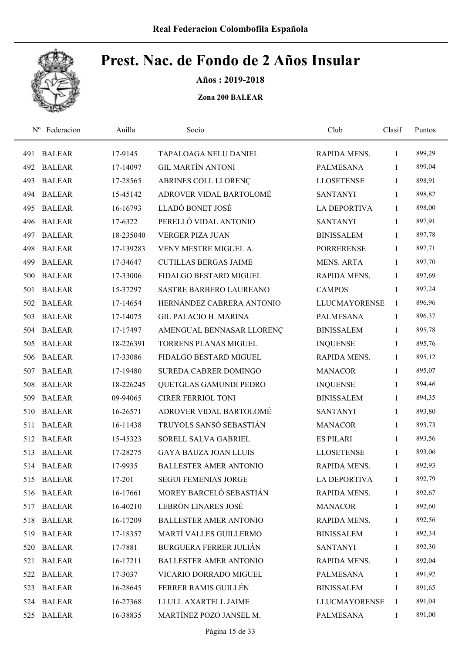

Años : 2019-2018

| $N^{\rm o}$ | Federacion    | Anilla    | Socio                         | Club                 | Clasif       | Puntos |
|-------------|---------------|-----------|-------------------------------|----------------------|--------------|--------|
| 491         | <b>BALEAR</b> | 17-9145   | TAPALOAGA NELU DANIEL         | RAPIDA MENS.         | 1            | 899,29 |
| 492         | <b>BALEAR</b> | 17-14097  | <b>GIL MARTÍN ANTONI</b>      | <b>PALMESANA</b>     | 1            | 899,04 |
| 493         | <b>BALEAR</b> | 17-28565  | ABRINES COLL LLORENÇ          | <b>LLOSETENSE</b>    | 1            | 898,91 |
| 494         | <b>BALEAR</b> | 15-45142  | ADROVER VIDAL BARTOLOMÉ       | <b>SANTANYI</b>      | $\mathbf{1}$ | 898,82 |
| 495         | <b>BALEAR</b> | 16-16793  | LLADÓ BONET JOSÉ              | <b>LA DEPORTIVA</b>  | $\mathbf{1}$ | 898,00 |
| 496         | <b>BALEAR</b> | 17-6322   | PERELLÓ VIDAL ANTONIO         | <b>SANTANYI</b>      | $\mathbf{1}$ | 897,91 |
| 497         | <b>BALEAR</b> | 18-235040 | <b>VERGER PIZA JUAN</b>       | <b>BINISSALEM</b>    | 1            | 897,78 |
| 498         | <b>BALEAR</b> | 17-139283 | VENY MESTRE MIGUEL A.         | <b>PORRERENSE</b>    | 1            | 897,71 |
| 499         | <b>BALEAR</b> | 17-34647  | <b>CUTILLAS BERGAS JAIME</b>  | <b>MENS. ARTA</b>    | 1            | 897,70 |
| 500         | <b>BALEAR</b> | 17-33006  | FIDALGO BESTARD MIGUEL        | RAPIDA MENS.         | 1            | 897,69 |
| 501         | <b>BALEAR</b> | 15-37297  | SASTRE BARBERO LAUREANO       | <b>CAMPOS</b>        | 1            | 897,24 |
| 502         | <b>BALEAR</b> | 17-14654  | HERNÁNDEZ CABRERA ANTONIO     | <b>LLUCMAYORENSE</b> | 1            | 896,96 |
| 503         | <b>BALEAR</b> | 17-14075  | <b>GIL PALACIO H. MARINA</b>  | <b>PALMESANA</b>     | 1            | 896,37 |
| 504         | <b>BALEAR</b> | 17-17497  | AMENGUAL BENNASAR LLORENÇ     | <b>BINISSALEM</b>    | 1            | 895,78 |
| 505         | <b>BALEAR</b> | 18-226391 | <b>TORRENS PLANAS MIGUEL</b>  | <b>INQUENSE</b>      | $\mathbf{1}$ | 895,76 |
| 506         | <b>BALEAR</b> | 17-33086  | FIDALGO BESTARD MIGUEL        | RAPIDA MENS.         | 1            | 895,12 |
| 507         | <b>BALEAR</b> | 17-19480  | SUREDA CABRER DOMINGO         | <b>MANACOR</b>       | $\mathbf{1}$ | 895,07 |
| 508         | <b>BALEAR</b> | 18-226245 | QUETGLAS GAMUNDI PEDRO        | <b>INQUENSE</b>      | 1            | 894,46 |
| 509         | <b>BALEAR</b> | 09-94065  | <b>CIRER FERRIOL TONI</b>     | <b>BINISSALEM</b>    | 1            | 894,35 |
| 510         | <b>BALEAR</b> | 16-26571  | ADROVER VIDAL BARTOLOMÉ       | <b>SANTANYI</b>      | 1            | 893,80 |
| 511         | <b>BALEAR</b> | 16-11438  | TRUYOLS SANSÓ SEBASTIÁN       | <b>MANACOR</b>       | 1            | 893,73 |
| 512         | <b>BALEAR</b> | 15-45323  | SORELL SALVA GABRIEL          | <b>ES PILARI</b>     | 1            | 893,56 |
| 513         | <b>BALEAR</b> | 17-28275  | <b>GAYA BAUZA JOAN LLUIS</b>  | <b>LLOSETENSE</b>    | 1            | 893,06 |
|             | 514 BALEAR    | 17-9935   | <b>BALLESTER AMER ANTONIO</b> | RAPIDA MENS.         | $\mathbf{1}$ | 892,93 |
| 515         | <b>BALEAR</b> | 17-201    | <b>SEGUI FEMENIAS JORGE</b>   | <b>LA DEPORTIVA</b>  | 1            | 892,79 |
| 516         | <b>BALEAR</b> | 16-17661  | MOREY BARCELÓ SEBASTIÁN       | RAPIDA MENS.         | 1            | 892,67 |
| 517         | <b>BALEAR</b> | 16-40210  | LEBRÓN LINARES JOSÉ           | <b>MANACOR</b>       | 1            | 892,60 |
| 518         | <b>BALEAR</b> | 16-17209  | <b>BALLESTER AMER ANTONIO</b> | RAPIDA MENS.         | 1            | 892,56 |
| 519         | <b>BALEAR</b> | 17-18357  | MARTÍ VALLES GUILLERMO        | <b>BINISSALEM</b>    | 1            | 892,34 |
| 520         | <b>BALEAR</b> | 17-7881   | <b>BURGUERA FERRER JULIÁN</b> | <b>SANTANYI</b>      | $\mathbf{1}$ | 892,30 |
| 521         | <b>BALEAR</b> | 16-17211  | <b>BALLESTER AMER ANTONIO</b> | RAPIDA MENS.         | 1            | 892,04 |
| 522         | <b>BALEAR</b> | 17-3037   | VICARIO DORRADO MIGUEL        | PALMESANA            | 1            | 891,92 |
| 523         | <b>BALEAR</b> | 16-28645  | FERRER RAMIS GUILLÉN          | <b>BINISSALEM</b>    | $\mathbf{1}$ | 891,65 |
| 524         | <b>BALEAR</b> | 16-27368  | LLULL AXARTELL JAIME          | <b>LLUCMAYORENSE</b> | 1            | 891,04 |
| 525         | <b>BALEAR</b> | 16-38835  | MARTÍNEZ POZO JANSEL M.       | <b>PALMESANA</b>     | $\mathbf{1}$ | 891,00 |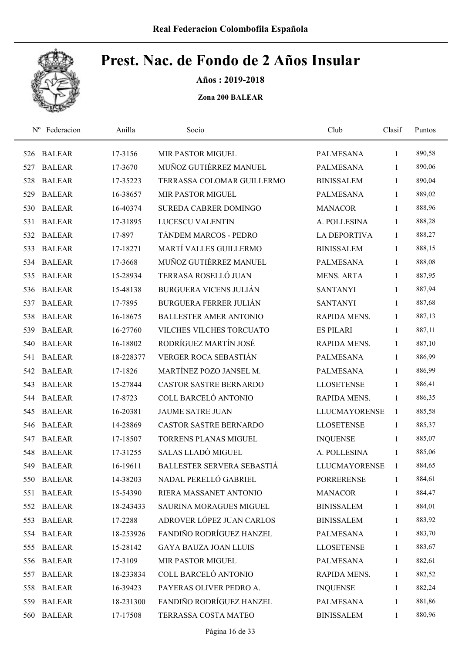

Años : 2019-2018

| $N^{\rm o}$ | Federacion    | Anilla    | Socio                          | Club                 | Clasif       | Puntos |
|-------------|---------------|-----------|--------------------------------|----------------------|--------------|--------|
| 526         | <b>BALEAR</b> | 17-3156   | MIR PASTOR MIGUEL              | <b>PALMESANA</b>     | 1            | 890,58 |
| 527         | <b>BALEAR</b> | 17-3670   | MUÑOZ GUTIÉRREZ MANUEL         | <b>PALMESANA</b>     | 1            | 890,06 |
| 528         | <b>BALEAR</b> | 17-35223  | TERRASSA COLOMAR GUILLERMO     | <b>BINISSALEM</b>    | 1            | 890,04 |
| 529         | <b>BALEAR</b> | 16-38657  | <b>MIR PASTOR MIGUEL</b>       | <b>PALMESANA</b>     | 1            | 889,02 |
| 530         | <b>BALEAR</b> | 16-40374  | SUREDA CABRER DOMINGO          | <b>MANACOR</b>       | 1            | 888,96 |
| 531         | <b>BALEAR</b> | 17-31895  | LUCESCU VALENTIN               | A. POLLESINA         | 1            | 888,28 |
| 532         | <b>BALEAR</b> | 17-897    | TÁNDEM MARCOS - PEDRO          | <b>LA DEPORTIVA</b>  | 1            | 888,27 |
| 533         | <b>BALEAR</b> | 17-18271  | MARTÍ VALLES GUILLERMO         | <b>BINISSALEM</b>    | $\mathbf{1}$ | 888,15 |
| 534         | <b>BALEAR</b> | 17-3668   | MUÑOZ GUTIÉRREZ MANUEL         | <b>PALMESANA</b>     | 1            | 888,08 |
| 535         | <b>BALEAR</b> | 15-28934  | TERRASA ROSELLÓ JUAN           | <b>MENS. ARTA</b>    | 1            | 887,95 |
| 536         | <b>BALEAR</b> | 15-48138  | <b>BURGUERA VICENS JULIÁN</b>  | <b>SANTANYI</b>      | 1            | 887,94 |
| 537         | <b>BALEAR</b> | 17-7895   | <b>BURGUERA FERRER JULIÁN</b>  | <b>SANTANYI</b>      | 1            | 887,68 |
| 538         | <b>BALEAR</b> | 16-18675  | <b>BALLESTER AMER ANTONIO</b>  | <b>RAPIDA MENS.</b>  | 1            | 887,13 |
| 539         | <b>BALEAR</b> | 16-27760  | VILCHES VILCHES TORCUATO       | <b>ES PILARI</b>     | 1            | 887,11 |
| 540         | <b>BALEAR</b> | 16-18802  | RODRÍGUEZ MARTÍN JOSÉ          | RAPIDA MENS.         | 1            | 887,10 |
| 541         | <b>BALEAR</b> | 18-228377 | VERGER ROCA SEBASTIÁN          | <b>PALMESANA</b>     | 1            | 886,99 |
| 542         | <b>BALEAR</b> | 17-1826   | MARTÍNEZ POZO JANSEL M.        | PALMESANA            | 1            | 886,99 |
| 543         | <b>BALEAR</b> | 15-27844  | CASTOR SASTRE BERNARDO         | <b>LLOSETENSE</b>    | 1            | 886,41 |
| 544         | <b>BALEAR</b> | 17-8723   | COLL BARCELÓ ANTONIO           | RAPIDA MENS.         | $\mathbf{1}$ | 886,35 |
| 545         | <b>BALEAR</b> | 16-20381  | <b>JAUME SATRE JUAN</b>        | <b>LLUCMAYORENSE</b> | 1            | 885,58 |
| 546         | <b>BALEAR</b> | 14-28869  | <b>CASTOR SASTRE BERNARDO</b>  | <b>LLOSETENSE</b>    | 1            | 885,37 |
| 547         | <b>BALEAR</b> | 17-18507  | <b>TORRENS PLANAS MIGUEL</b>   | <b>INQUENSE</b>      | 1            | 885,07 |
| 548         | <b>BALEAR</b> | 17-31255  | SALAS LLADÓ MIGUEL             | A. POLLESINA         | 1            | 885,06 |
| 549         | <b>BALEAR</b> | 16-19611  | BALLESTER SERVERA SEBASTIÁ     | <b>LLUCMAYORENSE</b> | 1            | 884,65 |
| 550         | <b>BALEAR</b> | 14-38203  | NADAL PERELLÓ GABRIEL          | <b>PORRERENSE</b>    | 1            | 884,61 |
| 551         | <b>BALEAR</b> | 15-54390  | RIERA MASSANET ANTONIO         | <b>MANACOR</b>       | $\mathbf{1}$ | 884,47 |
|             | 552 BALEAR    | 18-243433 | <b>SAURINA MORAGUES MIGUEL</b> | <b>BINISSALEM</b>    | 1            | 884,01 |
| 553         | <b>BALEAR</b> | 17-2288   | ADROVER LÓPEZ JUAN CARLOS      | <b>BINISSALEM</b>    | $\mathbf{1}$ | 883,92 |
|             | 554 BALEAR    | 18-253926 | FANDIÑO RODRÍGUEZ HANZEL       | <b>PALMESANA</b>     | $\mathbf{1}$ | 883,70 |
| 555         | <b>BALEAR</b> | 15-28142  | <b>GAYA BAUZA JOAN LLUIS</b>   | <b>LLOSETENSE</b>    | $\mathbf{1}$ | 883,67 |
| 556         | <b>BALEAR</b> | 17-3109   | MIR PASTOR MIGUEL              | PALMESANA            | $\mathbf{1}$ | 882,61 |
| 557         | <b>BALEAR</b> | 18-233834 | COLL BARCELÓ ANTONIO           | RAPIDA MENS.         | $\mathbf{1}$ | 882,52 |
| 558         | <b>BALEAR</b> | 16-39423  | PAYERAS OLIVER PEDRO A.        | <b>INQUENSE</b>      | $\mathbf{1}$ | 882,24 |
| 559         | <b>BALEAR</b> | 18-231300 | FANDIÑO RODRÍGUEZ HANZEL       | <b>PALMESANA</b>     | $\mathbf{1}$ | 881,86 |
| 560         | <b>BALEAR</b> | 17-17508  | TERRASSA COSTA MATEO           | <b>BINISSALEM</b>    | $\mathbf{1}$ | 880,96 |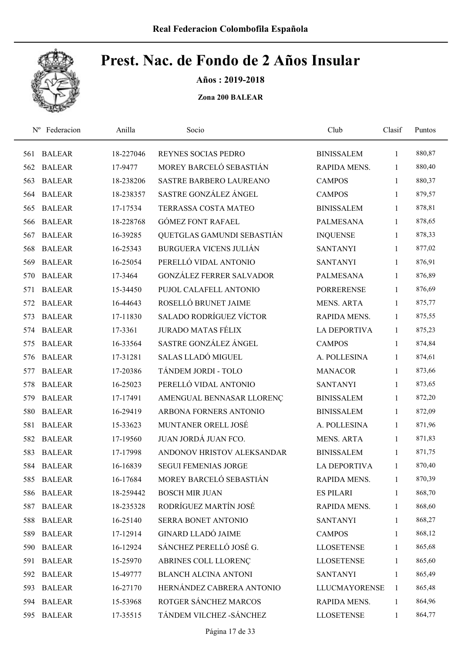

Años : 2019-2018

| $N^{\rm o}$ | Federacion    | Anilla    | Socio                           | Club                 | Clasif       | Puntos |
|-------------|---------------|-----------|---------------------------------|----------------------|--------------|--------|
| 561         | <b>BALEAR</b> | 18-227046 | REYNES SOCIAS PEDRO             | <b>BINISSALEM</b>    | $\mathbf{1}$ | 880,87 |
| 562         | <b>BALEAR</b> | 17-9477   | MOREY BARCELÓ SEBASTIÁN         | RAPIDA MENS.         | 1            | 880,40 |
| 563         | <b>BALEAR</b> | 18-238206 | <b>SASTRE BARBERO LAUREANO</b>  | <b>CAMPOS</b>        | 1            | 880,37 |
| 564         | <b>BALEAR</b> | 18-238357 | SASTRE GONZÁLEZ ÁNGEL           | <b>CAMPOS</b>        | $\mathbf{1}$ | 879,57 |
| 565         | <b>BALEAR</b> | 17-17534  | TERRASSA COSTA MATEO            | <b>BINISSALEM</b>    | $\mathbf{1}$ | 878,81 |
| 566         | <b>BALEAR</b> | 18-228768 | <b>GÓMEZ FONT RAFAEL</b>        | <b>PALMESANA</b>     | 1            | 878,65 |
| 567         | <b>BALEAR</b> | 16-39285  | QUETGLAS GAMUNDI SEBASTIÁN      | <b>INQUENSE</b>      | $\mathbf{1}$ | 878,33 |
| 568         | <b>BALEAR</b> | 16-25343  | <b>BURGUERA VICENS JULIÁN</b>   | <b>SANTANYI</b>      | $\mathbf{1}$ | 877,02 |
| 569         | <b>BALEAR</b> | 16-25054  | PERELLÓ VIDAL ANTONIO           | <b>SANTANYI</b>      | 1            | 876,91 |
| 570         | <b>BALEAR</b> | 17-3464   | <b>GONZÁLEZ FERRER SALVADOR</b> | <b>PALMESANA</b>     | $\mathbf{1}$ | 876,89 |
| 571         | <b>BALEAR</b> | 15-34450  | PUJOL CALAFELL ANTONIO          | <b>PORRERENSE</b>    | 1            | 876,69 |
| 572         | <b>BALEAR</b> | 16-44643  | ROSELLÓ BRUNET JAIME            | <b>MENS. ARTA</b>    | $\mathbf{1}$ | 875,77 |
| 573         | <b>BALEAR</b> | 17-11830  | <b>SALADO RODRÍGUEZ VÍCTOR</b>  | <b>RAPIDA MENS.</b>  | 1            | 875,55 |
| 574         | <b>BALEAR</b> | 17-3361   | <b>JURADO MATAS FÉLIX</b>       | LA DEPORTIVA         | $\mathbf{1}$ | 875,23 |
| 575         | <b>BALEAR</b> | 16-33564  | SASTRE GONZÁLEZ ÁNGEL           | <b>CAMPOS</b>        | 1            | 874,84 |
| 576         | <b>BALEAR</b> | 17-31281  | SALAS LLADÓ MIGUEL              | A. POLLESINA         | 1            | 874,61 |
| 577         | <b>BALEAR</b> | 17-20386  | TÁNDEM JORDI - TOLO             | <b>MANACOR</b>       | $\mathbf{1}$ | 873,66 |
| 578         | <b>BALEAR</b> | 16-25023  | PERELLÓ VIDAL ANTONIO           | <b>SANTANYI</b>      | $\mathbf{1}$ | 873,65 |
| 579         | <b>BALEAR</b> | 17-17491  | AMENGUAL BENNASAR LLORENÇ       | <b>BINISSALEM</b>    | $\mathbf{1}$ | 872,20 |
| 580         | <b>BALEAR</b> | 16-29419  | ARBONA FORNERS ANTONIO          | <b>BINISSALEM</b>    | $\mathbf{1}$ | 872,09 |
| 581         | <b>BALEAR</b> | 15-33623  | MUNTANER ORELL JOSÉ             | A. POLLESINA         | $\mathbf{1}$ | 871,96 |
| 582         | <b>BALEAR</b> | 17-19560  | JUAN JORDÁ JUAN FCO.            | <b>MENS. ARTA</b>    | 1            | 871,83 |
| 583         | <b>BALEAR</b> | 17-17998  | ANDONOV HRISTOV ALEKSANDAR      | <b>BINISSALEM</b>    | $\mathbf{1}$ | 871,75 |
|             | 584 BALEAR    | 16-16839  | <b>SEGUI FEMENIAS JORGE</b>     | <b>LA DEPORTIVA</b>  | $\mathbf{1}$ | 870,40 |
| 585         | <b>BALEAR</b> | 16-17684  | MOREY BARCELÓ SEBASTIÁN         | RAPIDA MENS.         | 1            | 870,39 |
| 586         | <b>BALEAR</b> | 18-259442 | <b>BOSCH MIR JUAN</b>           | <b>ES PILARI</b>     | 1            | 868,70 |
| 587         | <b>BALEAR</b> | 18-235328 | RODRÍGUEZ MARTÍN JOSÉ           | RAPIDA MENS.         | 1            | 868,60 |
| 588         | <b>BALEAR</b> | 16-25140  | SERRA BONET ANTONIO             | <b>SANTANYI</b>      | $\mathbf{1}$ | 868,27 |
| 589         | <b>BALEAR</b> | 17-12914  | <b>GINARD LLADÓ JAIME</b>       | <b>CAMPOS</b>        | $\mathbf{1}$ | 868,12 |
| 590         | <b>BALEAR</b> | 16-12924  | SÁNCHEZ PERELLÓ JOSÉ G.         | <b>LLOSETENSE</b>    | $\mathbf{1}$ | 865,68 |
| 591         | <b>BALEAR</b> | 15-25970  | ABRINES COLL LLORENÇ            | <b>LLOSETENSE</b>    | $\mathbf{1}$ | 865,60 |
| 592         | <b>BALEAR</b> | 15-49777  | <b>BLANCH ALCINA ANTONI</b>     | <b>SANTANYI</b>      | $\mathbf{1}$ | 865,49 |
| 593         | <b>BALEAR</b> | 16-27170  | HERNÁNDEZ CABRERA ANTONIO       | <b>LLUCMAYORENSE</b> | $\mathbf{1}$ | 865,48 |
|             | 594 BALEAR    | 15-53968  | ROTGER SÁNCHEZ MARCOS           | RAPIDA MENS.         | 1            | 864,96 |
| 595         | <b>BALEAR</b> | 17-35515  | TÁNDEM VILCHEZ - SÁNCHEZ        | <b>LLOSETENSE</b>    | $\mathbf{1}$ | 864,77 |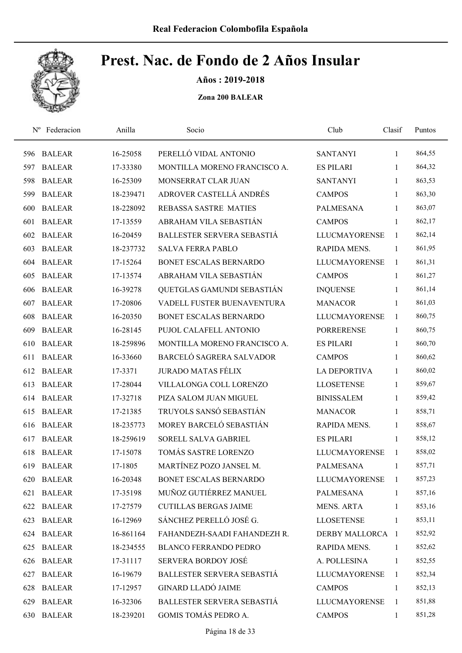

Años : 2019-2018

| $N^{\rm o}$ | Federacion    | Anilla    | Socio                         | Club                 | Clasif       | Puntos |
|-------------|---------------|-----------|-------------------------------|----------------------|--------------|--------|
| 596         | <b>BALEAR</b> | 16-25058  | PERELLÓ VIDAL ANTONIO         | <b>SANTANYI</b>      | 1            | 864,55 |
| 597         | <b>BALEAR</b> | 17-33380  | MONTILLA MORENO FRANCISCO A.  | <b>ES PILARI</b>     | 1            | 864,32 |
| 598         | <b>BALEAR</b> | 16-25309  | MONSERRAT CLAR JUAN           | <b>SANTANYI</b>      | $\mathbf{1}$ | 863,53 |
| 599         | <b>BALEAR</b> | 18-239471 | ADROVER CASTELLÁ ANDRÉS       | <b>CAMPOS</b>        | $\mathbf{1}$ | 863,30 |
| 600         | <b>BALEAR</b> | 18-228092 | REBASSA SASTRE MATIES         | <b>PALMESANA</b>     | $\mathbf{1}$ | 863,07 |
| 601         | <b>BALEAR</b> | 17-13559  | ABRAHAM VILA SEBASTIÁN        | <b>CAMPOS</b>        | $\mathbf{1}$ | 862,17 |
| 602         | <b>BALEAR</b> | 16-20459  | BALLESTER SERVERA SEBASTIÁ    | <b>LLUCMAYORENSE</b> | 1            | 862,14 |
| 603         | <b>BALEAR</b> | 18-237732 | <b>SALVA FERRA PABLO</b>      | RAPIDA MENS.         | $\mathbf{1}$ | 861,95 |
| 604         | <b>BALEAR</b> | 17-15264  | <b>BONET ESCALAS BERNARDO</b> | <b>LLUCMAYORENSE</b> | 1            | 861,31 |
| 605         | <b>BALEAR</b> | 17-13574  | ABRAHAM VILA SEBASTIÁN        | <b>CAMPOS</b>        | $\mathbf{1}$ | 861,27 |
| 606         | <b>BALEAR</b> | 16-39278  | QUETGLAS GAMUNDI SEBASTIÁN    | <b>INQUENSE</b>      | 1            | 861,14 |
| 607         | <b>BALEAR</b> | 17-20806  | VADELL FUSTER BUENAVENTURA    | <b>MANACOR</b>       | 1            | 861,03 |
| 608         | <b>BALEAR</b> | 16-20350  | <b>BONET ESCALAS BERNARDO</b> | <b>LLUCMAYORENSE</b> | $\mathbf{1}$ | 860,75 |
| 609         | <b>BALEAR</b> | 16-28145  | PUJOL CALAFELL ANTONIO        | <b>PORRERENSE</b>    | $\mathbf{1}$ | 860,75 |
| 610         | <b>BALEAR</b> | 18-259896 | MONTILLA MORENO FRANCISCO A.  | <b>ES PILARI</b>     | $\mathbf{1}$ | 860,70 |
| 611         | <b>BALEAR</b> | 16-33660  | BARCELÓ SAGRERA SALVADOR      | <b>CAMPOS</b>        | $\mathbf{1}$ | 860,62 |
| 612         | <b>BALEAR</b> | 17-3371   | <b>JURADO MATAS FÉLIX</b>     | <b>LA DEPORTIVA</b>  | $\mathbf{1}$ | 860,02 |
| 613         | <b>BALEAR</b> | 17-28044  | VILLALONGA COLL LORENZO       | <b>LLOSETENSE</b>    | $\mathbf{1}$ | 859,67 |
| 614         | <b>BALEAR</b> | 17-32718  | PIZA SALOM JUAN MIGUEL        | <b>BINISSALEM</b>    | 1            | 859,42 |
| 615         | <b>BALEAR</b> | 17-21385  | TRUYOLS SANSÓ SEBASTIÁN       | <b>MANACOR</b>       | 1            | 858,71 |
| 616         | <b>BALEAR</b> | 18-235773 | MOREY BARCELÓ SEBASTIÁN       | RAPIDA MENS.         | $\mathbf{1}$ | 858,67 |
| 617         | <b>BALEAR</b> | 18-259619 | SORELL SALVA GABRIEL          | <b>ES PILARI</b>     | 1            | 858,12 |
| 618         | <b>BALEAR</b> | 17-15078  | TOMÁS SASTRE LORENZO          | <b>LLUCMAYORENSE</b> | $\mathbf{1}$ | 858,02 |
| 619         | <b>BALEAR</b> | 17-1805   | MARTÍNEZ POZO JANSEL M.       | <b>PALMESANA</b>     | $\mathbf{1}$ | 857,71 |
| 620         | <b>BALEAR</b> | 16-20348  | BONET ESCALAS BERNARDO        | <b>LLUCMAYORENSE</b> | 1            | 857,23 |
| 621         | <b>BALEAR</b> | 17-35198  | MUÑOZ GUTIÉRREZ MANUEL        | PALMESANA            | $\mathbf{1}$ | 857,16 |
|             | 622 BALEAR    | 17-27579  | <b>CUTILLAS BERGAS JAIME</b>  | <b>MENS. ARTA</b>    | 1            | 853,16 |
| 623         | <b>BALEAR</b> | 16-12969  | SÁNCHEZ PERELLÓ JOSÉ G.       | <b>LLOSETENSE</b>    | 1            | 853,11 |
| 624         | <b>BALEAR</b> | 16-861164 | FAHANDEZH-SAADI FAHANDEZH R.  | DERBY MALLORCA 1     |              | 852,92 |
| 625         | <b>BALEAR</b> | 18-234555 | <b>BLANCO FERRANDO PEDRO</b>  | RAPIDA MENS.         | 1            | 852,62 |
| 626         | <b>BALEAR</b> | 17-31117  | SERVERA BORDOY JOSÉ           | A. POLLESINA         | 1            | 852,55 |
| 627         | <b>BALEAR</b> | 16-19679  | BALLESTER SERVERA SEBASTIÁ    | LLUCMAYORENSE        | 1            | 852,34 |
| 628         | <b>BALEAR</b> | 17-12957  | <b>GINARD LLADÓ JAIME</b>     | <b>CAMPOS</b>        | 1            | 852,13 |
| 629         | <b>BALEAR</b> | 16-32306  | BALLESTER SERVERA SEBASTIÁ    | <b>LLUCMAYORENSE</b> | 1            | 851,88 |
| 630         | <b>BALEAR</b> | 18-239201 | GOMIS TOMÁS PEDRO A.          | <b>CAMPOS</b>        | $\mathbf{1}$ | 851,28 |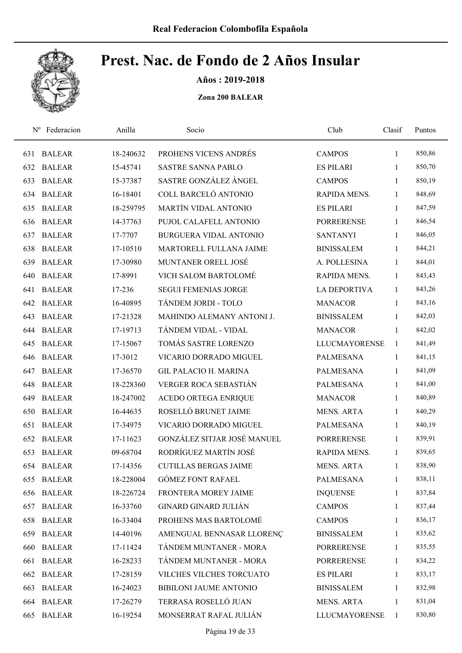

Años : 2019-2018

| $N^{\rm o}$ | Federacion    | Anilla    | Socio                         | Club                 | Clasif       | Puntos |
|-------------|---------------|-----------|-------------------------------|----------------------|--------------|--------|
| 631         | <b>BALEAR</b> | 18-240632 | PROHENS VICENS ANDRÉS         | <b>CAMPOS</b>        | 1            | 850,86 |
| 632         | <b>BALEAR</b> | 15-45741  | <b>SASTRE SANNA PABLO</b>     | <b>ES PILARI</b>     | 1            | 850,70 |
| 633         | <b>BALEAR</b> | 15-37387  | SASTRE GONZÁLEZ ÁNGEL         | <b>CAMPOS</b>        | $\mathbf{1}$ | 850,19 |
| 634         | <b>BALEAR</b> | 16-18401  | COLL BARCELÓ ANTONIO          | RAPIDA MENS.         | $\mathbf{1}$ | 848,69 |
| 635         | <b>BALEAR</b> | 18-259795 | <b>MARTÍN VIDAL ANTONIO</b>   | <b>ES PILARI</b>     | $\mathbf{1}$ | 847,59 |
| 636         | <b>BALEAR</b> | 14-37763  | PUJOL CALAFELL ANTONIO        | <b>PORRERENSE</b>    | $\mathbf{1}$ | 846,54 |
| 637         | <b>BALEAR</b> | 17-7707   | <b>BURGUERA VIDAL ANTONIO</b> | <b>SANTANYI</b>      | $\mathbf{1}$ | 846,05 |
| 638         | <b>BALEAR</b> | 17-10510  | MARTORELL FULLANA JAIME       | <b>BINISSALEM</b>    | 1            | 844,21 |
| 639         | <b>BALEAR</b> | 17-30980  | MUNTANER ORELL JOSÉ           | A. POLLESINA         | 1            | 844,01 |
| 640         | <b>BALEAR</b> | 17-8991   | VICH SALOM BARTOLOMÉ          | RAPIDA MENS.         | 1            | 843,43 |
| 641         | <b>BALEAR</b> | 17-236    | <b>SEGUI FEMENIAS JORGE</b>   | <b>LA DEPORTIVA</b>  | $\mathbf{1}$ | 843,26 |
| 642         | <b>BALEAR</b> | 16-40895  | TÁNDEM JORDI - TOLO           | <b>MANACOR</b>       | $\mathbf{1}$ | 843,16 |
| 643         | <b>BALEAR</b> | 17-21328  | MAHINDO ALEMANY ANTONI J.     | <b>BINISSALEM</b>    | 1            | 842,03 |
| 644         | <b>BALEAR</b> | 17-19713  | TÁNDEM VIDAL - VIDAL          | <b>MANACOR</b>       | $\mathbf{1}$ | 842,02 |
| 645         | <b>BALEAR</b> | 17-15067  | TOMÁS SASTRE LORENZO          | <b>LLUCMAYORENSE</b> | $\mathbf{1}$ | 841,49 |
| 646         | <b>BALEAR</b> | 17-3012   | VICARIO DORRADO MIGUEL        | PALMESANA            | $\mathbf{1}$ | 841,15 |
| 647         | <b>BALEAR</b> | 17-36570  | <b>GIL PALACIO H. MARINA</b>  | <b>PALMESANA</b>     | $\mathbf{1}$ | 841,09 |
| 648         | <b>BALEAR</b> | 18-228360 | VERGER ROCA SEBASTIÁN         | <b>PALMESANA</b>     | $\mathbf{1}$ | 841,00 |
| 649         | <b>BALEAR</b> | 18-247002 | <b>ACEDO ORTEGA ENRIQUE</b>   | <b>MANACOR</b>       | 1            | 840,89 |
| 650         | <b>BALEAR</b> | 16-44635  | ROSELLÓ BRUNET JAIME          | <b>MENS. ARTA</b>    | 1            | 840,29 |
| 651         | <b>BALEAR</b> | 17-34975  | VICARIO DORRADO MIGUEL        | <b>PALMESANA</b>     | $\mathbf{1}$ | 840,19 |
| 652         | <b>BALEAR</b> | 17-11623  | GONZÁLEZ SITJAR JOSÉ MANUEL   | <b>PORRERENSE</b>    | 1            | 839,91 |
| 653         | <b>BALEAR</b> | 09-68704  | RODRÍGUEZ MARTÍN JOSÉ         | RAPIDA MENS.         | 1            | 839,65 |
| 654         | <b>BALEAR</b> | 17-14356  | <b>CUTILLAS BERGAS JAIME</b>  | <b>MENS. ARTA</b>    | 1            | 838,90 |
| 655         | <b>BALEAR</b> | 18-228004 | <b>GÓMEZ FONT RAFAEL</b>      | <b>PALMESANA</b>     | $\mathbf{1}$ | 838,11 |
| 656         | <b>BALEAR</b> | 18-226724 | FRONTERA MOREY JAIME          | <b>INQUENSE</b>      | $\mathbf{1}$ | 837,84 |
| 657         | <b>BALEAR</b> | 16-33760  | <b>GINARD GINARD JULIÁN</b>   | <b>CAMPOS</b>        | 1            | 837,44 |
| 658         | <b>BALEAR</b> | 16-33404  | PROHENS MAS BARTOLOMÉ         | <b>CAMPOS</b>        | 1            | 836,17 |
| 659         | <b>BALEAR</b> | 14-40196  | AMENGUAL BENNASAR LLORENÇ     | <b>BINISSALEM</b>    | 1            | 835,62 |
| 660         | <b>BALEAR</b> | 17-11424  | TÁNDEM MUNTANER - MORA        | <b>PORRERENSE</b>    | $\mathbf{1}$ | 835,55 |
| 661         | <b>BALEAR</b> | 16-28233  | TÁNDEM MUNTANER - MORA        | <b>PORRERENSE</b>    | 1            | 834,22 |
| 662         | <b>BALEAR</b> | 17-28159  | VILCHES VILCHES TORCUATO      | <b>ES PILARI</b>     | 1            | 833,17 |
| 663         | <b>BALEAR</b> | 16-24023  | BIBILONI JAUME ANTONIO        | <b>BINISSALEM</b>    | 1            | 832,98 |
| 664         | <b>BALEAR</b> | 17-26279  | TERRASA ROSELLÓ JUAN          | <b>MENS. ARTA</b>    | 1            | 831,04 |
| 665         | <b>BALEAR</b> | 16-19254  | MONSERRAT RAFAL JULIÁN        | <b>LLUCMAYORENSE</b> | $\mathbf{1}$ | 830,80 |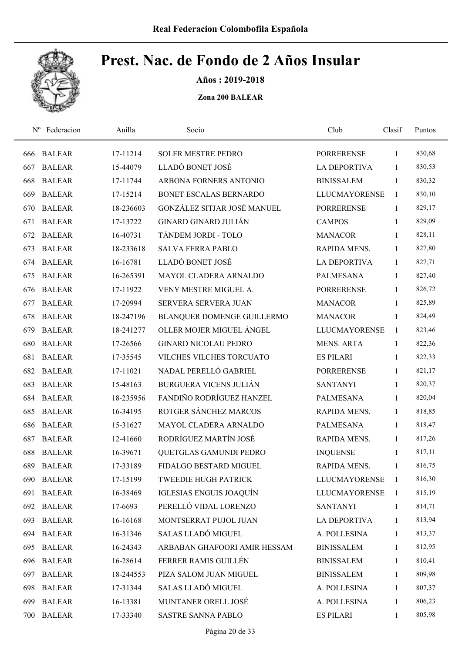

Años : 2019-2018

| $N^{\rm o}$ | Federacion    | Anilla    | Socio                          | Club                 | Clasif       | Puntos |
|-------------|---------------|-----------|--------------------------------|----------------------|--------------|--------|
| 666         | <b>BALEAR</b> | 17-11214  | <b>SOLER MESTRE PEDRO</b>      | <b>PORRERENSE</b>    | 1            | 830,68 |
| 667         | <b>BALEAR</b> | 15-44079  | LLADÓ BONET JOSÉ               | <b>LA DEPORTIVA</b>  | 1            | 830,53 |
| 668         | <b>BALEAR</b> | 17-11744  | ARBONA FORNERS ANTONIO         | <b>BINISSALEM</b>    | $\mathbf{1}$ | 830,32 |
| 669         | <b>BALEAR</b> | 17-15214  | BONET ESCALAS BERNARDO         | <b>LLUCMAYORENSE</b> | 1            | 830,10 |
| 670         | <b>BALEAR</b> | 18-236603 | GONZÁLEZ SITJAR JOSÉ MANUEL    | <b>PORRERENSE</b>    | $\mathbf{1}$ | 829,17 |
| 671         | <b>BALEAR</b> | 17-13722  | <b>GINARD GINARD JULIÁN</b>    | <b>CAMPOS</b>        | $\mathbf{1}$ | 829,09 |
| 672         | <b>BALEAR</b> | 16-40731  | TÁNDEM JORDI - TOLO            | <b>MANACOR</b>       | $\mathbf{1}$ | 828,11 |
| 673         | <b>BALEAR</b> | 18-233618 | <b>SALVA FERRA PABLO</b>       | RAPIDA MENS.         | 1            | 827,80 |
| 674         | <b>BALEAR</b> | 16-16781  | LLADÓ BONET JOSÉ               | <b>LA DEPORTIVA</b>  | 1            | 827,71 |
| 675         | <b>BALEAR</b> | 16-265391 | MAYOL CLADERA ARNALDO          | PALMESANA            | $\mathbf{1}$ | 827,40 |
| 676         | <b>BALEAR</b> | 17-11922  | VENY MESTRE MIGUEL A.          | <b>PORRERENSE</b>    | 1            | 826,72 |
| 677         | <b>BALEAR</b> | 17-20994  | SERVERA SERVERA JUAN           | <b>MANACOR</b>       | 1            | 825,89 |
| 678         | <b>BALEAR</b> | 18-247196 | BLANQUER DOMENGE GUILLERMO     | <b>MANACOR</b>       | 1            | 824,49 |
| 679         | <b>BALEAR</b> | 18-241277 | OLLER MOJER MIGUEL ÁNGEL       | <b>LLUCMAYORENSE</b> | 1            | 823,46 |
| 680         | <b>BALEAR</b> | 17-26566  | <b>GINARD NICOLAU PEDRO</b>    | <b>MENS. ARTA</b>    | $\mathbf{1}$ | 822,36 |
| 681         | <b>BALEAR</b> | 17-35545  | VILCHES VILCHES TORCUATO       | <b>ES PILARI</b>     | $\mathbf{1}$ | 822,33 |
| 682         | <b>BALEAR</b> | 17-11021  | NADAL PERELLÓ GABRIEL          | <b>PORRERENSE</b>    | $\mathbf{1}$ | 821,17 |
| 683         | <b>BALEAR</b> | 15-48163  | <b>BURGUERA VICENS JULIÁN</b>  | <b>SANTANYI</b>      | $\mathbf{1}$ | 820,37 |
| 684         | <b>BALEAR</b> | 18-235956 | FANDIÑO RODRÍGUEZ HANZEL       | <b>PALMESANA</b>     | $\mathbf{1}$ | 820,04 |
| 685         | <b>BALEAR</b> | 16-34195  | ROTGER SÁNCHEZ MARCOS          | RAPIDA MENS.         | $\mathbf{1}$ | 818,85 |
| 686         | <b>BALEAR</b> | 15-31627  | MAYOL CLADERA ARNALDO          | PALMESANA            | 1            | 818,47 |
| 687         | <b>BALEAR</b> | 12-41660  | RODRÍGUEZ MARTÍN JOSÉ          | RAPIDA MENS.         | 1            | 817,26 |
| 688         | <b>BALEAR</b> | 16-39671  | QUETGLAS GAMUNDI PEDRO         | <b>INQUENSE</b>      | 1            | 817,11 |
| 689         | <b>BALEAR</b> | 17-33189  | FIDALGO BESTARD MIGUEL         | RAPIDA MENS.         | $\mathbf{1}$ | 816,75 |
| 690         | <b>BALEAR</b> | 17-15199  | <b>TWEEDIE HUGH PATRICK</b>    | <b>LLUCMAYORENSE</b> | $\mathbf{1}$ | 816,30 |
| 691         | <b>BALEAR</b> | 16-38469  | <b>IGLESIAS ENGUIS JOAQUÍN</b> | <b>LLUCMAYORENSE</b> | $\mathbf{1}$ | 815,19 |
| 692         | <b>BALEAR</b> | 17-6693   | PERELLÓ VIDAL LORENZO          | <b>SANTANYI</b>      | 1            | 814,71 |
| 693         | <b>BALEAR</b> | 16-16168  | MONTSERRAT PUJOL JUAN          | LA DEPORTIVA         | $\mathbf{1}$ | 813,94 |
| 694         | <b>BALEAR</b> | 16-31346  | SALAS LLADÓ MIGUEL             | A. POLLESINA         | $\mathbf{1}$ | 813,37 |
| 695         | <b>BALEAR</b> | 16-24343  | ARBABAN GHAFOORI AMIR HESSAM   | <b>BINISSALEM</b>    | $\mathbf{1}$ | 812,95 |
| 696         | <b>BALEAR</b> | 16-28614  | FERRER RAMIS GUILLÉN           | <b>BINISSALEM</b>    | $\mathbf{1}$ | 810,41 |
| 697         | <b>BALEAR</b> | 18-244553 | PIZA SALOM JUAN MIGUEL         | <b>BINISSALEM</b>    | $\mathbf{1}$ | 809,98 |
| 698         | <b>BALEAR</b> | 17-31344  | SALAS LLADÓ MIGUEL             | A. POLLESINA         | $\mathbf{1}$ | 807,37 |
| 699         | <b>BALEAR</b> | 16-13381  | MUNTANER ORELL JOSÉ            | A. POLLESINA         | $\mathbf{1}$ | 806,23 |
| 700         | <b>BALEAR</b> | 17-33340  | SASTRE SANNA PABLO             | <b>ES PILARI</b>     | $\mathbf{1}$ | 805,98 |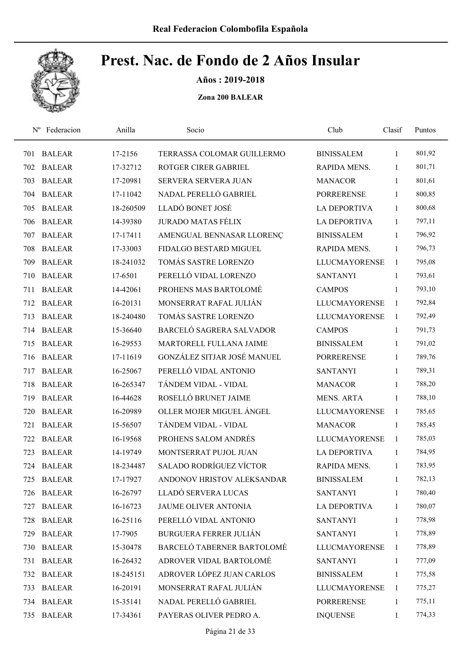

Años : 2019-2018

| $N^{\rm o}$ | Federacion    | Anilla    | Socio                          | Club                 | Clasif       | Puntos |
|-------------|---------------|-----------|--------------------------------|----------------------|--------------|--------|
| 701         | <b>BALEAR</b> | 17-2156   | TERRASSA COLOMAR GUILLERMO     | <b>BINISSALEM</b>    | 1            | 801,92 |
| 702         | <b>BALEAR</b> | 17-32712  | ROTGER CIRER GABRIEL           | RAPIDA MENS.         | 1            | 801,71 |
| 703         | <b>BALEAR</b> | 17-20981  | SERVERA SERVERA JUAN           | <b>MANACOR</b>       | 1            | 801,61 |
| 704         | <b>BALEAR</b> | 17-11042  | NADAL PERELLÓ GABRIEL          | <b>PORRERENSE</b>    | 1            | 800,85 |
| 705         | <b>BALEAR</b> | 18-260509 | LLADÓ BONET JOSÉ               | <b>LA DEPORTIVA</b>  | 1            | 800,68 |
| 706         | <b>BALEAR</b> | 14-39380  | <b>JURADO MATAS FÉLIX</b>      | LA DEPORTIVA         | 1            | 797,11 |
| 707         | <b>BALEAR</b> | 17-17411  | AMENGUAL BENNASAR LLORENÇ      | <b>BINISSALEM</b>    | $\mathbf{1}$ | 796,92 |
| 708         | <b>BALEAR</b> | 17-33003  | FIDALGO BESTARD MIGUEL         | RAPIDA MENS.         | 1            | 796,73 |
| 709         | <b>BALEAR</b> | 18-241032 | TOMÁS SASTRE LORENZO           | <b>LLUCMAYORENSE</b> | $\mathbf{1}$ | 795,08 |
| 710         | <b>BALEAR</b> | 17-6501   | PERELLÓ VIDAL LORENZO          | <b>SANTANYI</b>      | 1            | 793,61 |
| 711         | <b>BALEAR</b> | 14-42061  | PROHENS MAS BARTOLOMÉ          | <b>CAMPOS</b>        | 1            | 793,10 |
| 712         | <b>BALEAR</b> | 16-20131  | MONSERRAT RAFAL JULIÁN         | <b>LLUCMAYORENSE</b> | 1            | 792,84 |
| 713         | <b>BALEAR</b> | 18-240480 | TOMÁS SASTRE LORENZO           | <b>LLUCMAYORENSE</b> | $\mathbf{1}$ | 792,49 |
| 714         | <b>BALEAR</b> | 15-36640  | BARCELÓ SAGRERA SALVADOR       | <b>CAMPOS</b>        | 1            | 791,73 |
| 715         | <b>BALEAR</b> | 16-29553  | MARTORELL FULLANA JAIME        | <b>BINISSALEM</b>    | $\mathbf{1}$ | 791,02 |
| 716         | <b>BALEAR</b> | 17-11619  | GONZÁLEZ SITJAR JOSÉ MANUEL    | <b>PORRERENSE</b>    | $\mathbf{1}$ | 789,76 |
| 717         | <b>BALEAR</b> | 16-25067  | PERELLÓ VIDAL ANTONIO          | <b>SANTANYI</b>      | $\mathbf{1}$ | 789,31 |
| 718         | <b>BALEAR</b> | 16-265347 | TÁNDEM VIDAL - VIDAL           | <b>MANACOR</b>       | $\mathbf{1}$ | 788,20 |
| 719         | <b>BALEAR</b> | 16-44628  | ROSELLÓ BRUNET JAIME           | <b>MENS. ARTA</b>    | 1            | 788,10 |
| 720         | <b>BALEAR</b> | 16-20989  | OLLER MOJER MIGUEL ÁNGEL       | <b>LLUCMAYORENSE</b> | 1            | 785,65 |
| 721         | <b>BALEAR</b> | 15-56507  | TÁNDEM VIDAL - VIDAL           | <b>MANACOR</b>       | 1            | 785,45 |
| 722         | <b>BALEAR</b> | 16-19568  | PROHENS SALOM ANDRÉS           | <b>LLUCMAYORENSE</b> | 1            | 785,03 |
| 723         | <b>BALEAR</b> | 14-19749  | MONTSERRAT PUJOL JUAN          | <b>LA DEPORTIVA</b>  | 1            | 784,95 |
|             | 724 BALEAR    | 18-234487 | <b>SALADO RODRÍGUEZ VÍCTOR</b> | RAPIDA MENS.         | $\mathbf{1}$ | 783,95 |
| 725         | <b>BALEAR</b> | 17-17927  | ANDONOV HRISTOV ALEKSANDAR     | <b>BINISSALEM</b>    | 1            | 782,13 |
| 726         | <b>BALEAR</b> | 16-26797  | LLADÓ SERVERA LUCAS            | <b>SANTANYI</b>      | 1            | 780,40 |
| 727         | <b>BALEAR</b> | 16-16723  | JAUME OLIVER ANTONIA           | <b>LA DEPORTIVA</b>  | 1            | 780,07 |
| 728         | <b>BALEAR</b> | 16-25116  | PERELLÓ VIDAL ANTONIO          | <b>SANTANYI</b>      | 1            | 778,98 |
| 729         | <b>BALEAR</b> | 17-7905   | <b>BURGUERA FERRER JULIÁN</b>  | <b>SANTANYI</b>      | 1            | 778,89 |
| 730         | <b>BALEAR</b> | 15-30478  | BARCELÓ TABERNER BARTOLOMÉ     | <b>LLUCMAYORENSE</b> | $\mathbf{1}$ | 778,89 |
| 731         | <b>BALEAR</b> | 16-26432  | ADROVER VIDAL BARTOLOMÉ        | <b>SANTANYI</b>      | $\mathbf{1}$ | 777,09 |
| 732         | <b>BALEAR</b> | 18-245151 | ADROVER LÓPEZ JUAN CARLOS      | <b>BINISSALEM</b>    | $\mathbf{1}$ | 775,58 |
| 733         | <b>BALEAR</b> | 16-20191  | MONSERRAT RAFAL JULIÁN         | <b>LLUCMAYORENSE</b> | 1            | 775,27 |
| 734         | <b>BALEAR</b> | 15-35141  | NADAL PERELLÓ GABRIEL          | <b>PORRERENSE</b>    | 1            | 775,11 |
| 735         | <b>BALEAR</b> | 17-34361  | PAYERAS OLIVER PEDRO A.        | <b>INQUENSE</b>      | $\mathbf{1}$ | 774,33 |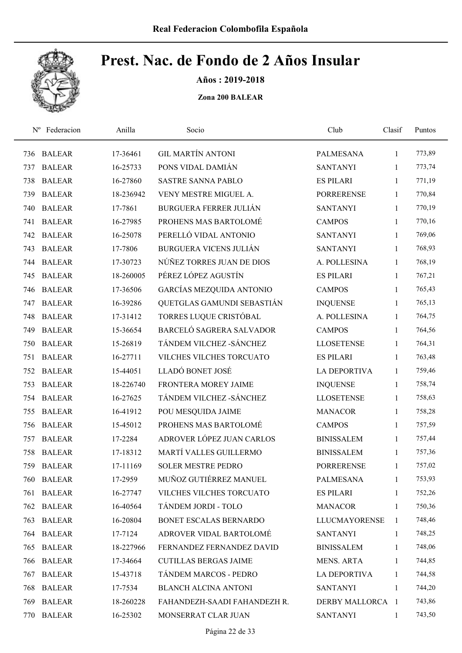

Años : 2019-2018

|     | Nº Federacion | Anilla    | Socio                         | Club                | Clasif       | Puntos |
|-----|---------------|-----------|-------------------------------|---------------------|--------------|--------|
| 736 | <b>BALEAR</b> | 17-36461  | <b>GIL MARTÍN ANTONI</b>      | PALMESANA           | 1            | 773,89 |
| 737 | <b>BALEAR</b> | 16-25733  | PONS VIDAL DAMIÁN             | <b>SANTANYI</b>     | 1            | 773,74 |
| 738 | <b>BALEAR</b> | 16-27860  | <b>SASTRE SANNA PABLO</b>     | <b>ES PILARI</b>    | 1            | 771,19 |
| 739 | <b>BALEAR</b> | 18-236942 | VENY MESTRE MIGUEL A.         | <b>PORRERENSE</b>   | 1            | 770,84 |
| 740 | <b>BALEAR</b> | 17-7861   | <b>BURGUERA FERRER JULIÁN</b> | <b>SANTANYI</b>     | 1            | 770,19 |
| 741 | <b>BALEAR</b> | 16-27985  | PROHENS MAS BARTOLOMÉ         | <b>CAMPOS</b>       | 1            | 770,16 |
| 742 | <b>BALEAR</b> | 16-25078  | PERELLÓ VIDAL ANTONIO         | <b>SANTANYI</b>     | $\mathbf{1}$ | 769,06 |
| 743 | <b>BALEAR</b> | 17-7806   | <b>BURGUERA VICENS JULIÁN</b> | <b>SANTANYI</b>     | 1            | 768,93 |
| 744 | <b>BALEAR</b> | 17-30723  | NÚÑEZ TORRES JUAN DE DIOS     | A. POLLESINA        | 1            | 768,19 |
| 745 | <b>BALEAR</b> | 18-260005 | PÉREZ LÓPEZ AGUSTÍN           | <b>ES PILARI</b>    | 1            | 767,21 |
| 746 | <b>BALEAR</b> | 17-36506  | GARCÍAS MEZQUIDA ANTONIO      | <b>CAMPOS</b>       | 1            | 765,43 |
| 747 | <b>BALEAR</b> | 16-39286  | QUETGLAS GAMUNDI SEBASTIÁN    | <b>INQUENSE</b>     | 1            | 765,13 |
| 748 | <b>BALEAR</b> | 17-31412  | TORRES LUQUE CRISTÓBAL        | A. POLLESINA        | 1            | 764,75 |
| 749 | <b>BALEAR</b> | 15-36654  | BARCELÓ SAGRERA SALVADOR      | <b>CAMPOS</b>       | 1            | 764,56 |
| 750 | <b>BALEAR</b> | 15-26819  | TÁNDEM VILCHEZ - SÁNCHEZ      | <b>LLOSETENSE</b>   | 1            | 764,31 |
| 751 | <b>BALEAR</b> | 16-27711  | VILCHES VILCHES TORCUATO      | <b>ES PILARI</b>    | 1            | 763,48 |
| 752 | <b>BALEAR</b> | 15-44051  | LLADÓ BONET JOSÉ              | <b>LA DEPORTIVA</b> | 1            | 759,46 |
| 753 | <b>BALEAR</b> | 18-226740 | FRONTERA MOREY JAIME          | <b>INQUENSE</b>     | $\mathbf{1}$ | 758,74 |
| 754 | <b>BALEAR</b> | 16-27625  | TÁNDEM VILCHEZ - SÁNCHEZ      | <b>LLOSETENSE</b>   | $\mathbf{1}$ | 758,63 |
| 755 | <b>BALEAR</b> | 16-41912  | POU MESQUIDA JAIME            | <b>MANACOR</b>      | $\mathbf{1}$ | 758,28 |
| 756 | <b>BALEAR</b> | 15-45012  | PROHENS MAS BARTOLOMÉ         | <b>CAMPOS</b>       | $\mathbf{1}$ | 757,59 |
| 757 | <b>BALEAR</b> | 17-2284   | ADROVER LÓPEZ JUAN CARLOS     | <b>BINISSALEM</b>   | 1            | 757,44 |
| 758 | <b>BALEAR</b> | 17-18312  | MARTÍ VALLES GUILLERMO        | <b>BINISSALEM</b>   | $\mathbf{1}$ | 757,36 |
| 759 | <b>BALEAR</b> | 17-11169  | <b>SOLER MESTRE PEDRO</b>     | <b>PORRERENSE</b>   | $\mathbf{1}$ | 757,02 |
| 760 | <b>BALEAR</b> | 17-2959   | MUÑOZ GUTIÉRREZ MANUEL        | <b>PALMESANA</b>    | 1            | 753,93 |
| 761 | <b>BALEAR</b> | 16-27747  | VILCHES VILCHES TORCUATO      | <b>ES PILARI</b>    | 1            | 752,26 |
| 762 | <b>BALEAR</b> | 16-40564  | TÁNDEM JORDI - TOLO           | <b>MANACOR</b>      | 1            | 750,36 |
| 763 | <b>BALEAR</b> | 16-20804  | BONET ESCALAS BERNARDO        | LLUCMAYORENSE       | 1            | 748,46 |
| 764 | <b>BALEAR</b> | 17-7124   | ADROVER VIDAL BARTOLOMÉ       | <b>SANTANYI</b>     | 1            | 748,25 |
| 765 | <b>BALEAR</b> | 18-227966 | FERNANDEZ FERNANDEZ DAVID     | <b>BINISSALEM</b>   | $\mathbf{1}$ | 748,06 |
| 766 | <b>BALEAR</b> | 17-34664  | <b>CUTILLAS BERGAS JAIME</b>  | MENS. ARTA          | $\mathbf{1}$ | 744,85 |
| 767 | <b>BALEAR</b> | 15-43718  | TÁNDEM MARCOS - PEDRO         | <b>LA DEPORTIVA</b> | 1            | 744,58 |
| 768 | <b>BALEAR</b> | 17-7534   | <b>BLANCH ALCINA ANTONI</b>   | <b>SANTANYI</b>     | 1            | 744,20 |
| 769 | <b>BALEAR</b> | 18-260228 | FAHANDEZH-SAADI FAHANDEZH R.  | DERBY MALLORCA 1    |              | 743,86 |
| 770 | <b>BALEAR</b> | 16-25302  | MONSERRAT CLAR JUAN           | <b>SANTANYI</b>     | $\mathbf{1}$ | 743,50 |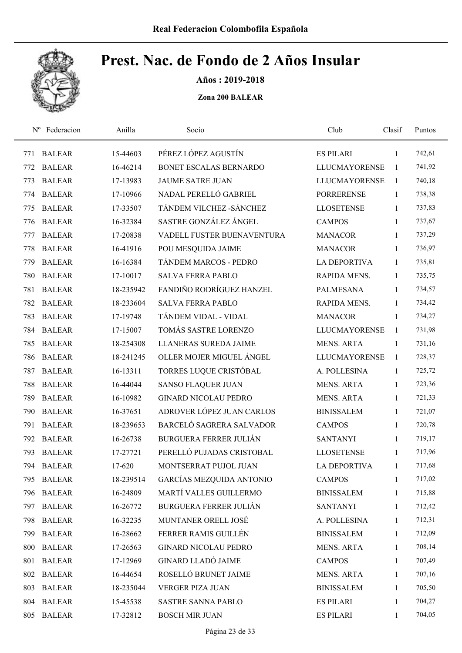

Años : 2019-2018

| $N^{\rm o}$ | Federacion    | Anilla    | Socio                         | Club                 | Clasif       | Puntos |
|-------------|---------------|-----------|-------------------------------|----------------------|--------------|--------|
| 771         | <b>BALEAR</b> | 15-44603  | PÉREZ LÓPEZ AGUSTÍN           | <b>ES PILARI</b>     | 1            | 742,61 |
| 772         | <b>BALEAR</b> | 16-46214  | BONET ESCALAS BERNARDO        | <b>LLUCMAYORENSE</b> | $\mathbf{1}$ | 741,92 |
| 773         | <b>BALEAR</b> | 17-13983  | <b>JAUME SATRE JUAN</b>       | <b>LLUCMAYORENSE</b> | 1            | 740,18 |
| 774         | <b>BALEAR</b> | 17-10966  | NADAL PERELLÓ GABRIEL         | <b>PORRERENSE</b>    | 1            | 738,38 |
| 775         | <b>BALEAR</b> | 17-33507  | TÁNDEM VILCHEZ - SÁNCHEZ      | <b>LLOSETENSE</b>    | $\mathbf{1}$ | 737,83 |
| 776         | <b>BALEAR</b> | 16-32384  | SASTRE GONZÁLEZ ÁNGEL         | <b>CAMPOS</b>        | $\mathbf{1}$ | 737,67 |
| 777         | <b>BALEAR</b> | 17-20838  | VADELL FUSTER BUENAVENTURA    | <b>MANACOR</b>       | 1            | 737,29 |
| 778         | <b>BALEAR</b> | 16-41916  | POU MESQUIDA JAIME            | <b>MANACOR</b>       | 1            | 736,97 |
| 779         | <b>BALEAR</b> | 16-16384  | TÁNDEM MARCOS - PEDRO         | <b>LA DEPORTIVA</b>  | 1            | 735,81 |
| 780         | <b>BALEAR</b> | 17-10017  | <b>SALVA FERRA PABLO</b>      | RAPIDA MENS.         | 1            | 735,75 |
| 781         | <b>BALEAR</b> | 18-235942 | FANDIÑO RODRÍGUEZ HANZEL      | <b>PALMESANA</b>     | 1            | 734,57 |
| 782         | <b>BALEAR</b> | 18-233604 | <b>SALVA FERRA PABLO</b>      | RAPIDA MENS.         | 1            | 734,42 |
| 783         | <b>BALEAR</b> | 17-19748  | TÁNDEM VIDAL - VIDAL          | <b>MANACOR</b>       | 1            | 734,27 |
| 784         | <b>BALEAR</b> | 17-15007  | TOMÁS SASTRE LORENZO          | <b>LLUCMAYORENSE</b> | 1            | 731,98 |
| 785         | <b>BALEAR</b> | 18-254308 | <b>LLANERAS SUREDA JAIME</b>  | <b>MENS. ARTA</b>    | $\mathbf{1}$ | 731,16 |
| 786         | <b>BALEAR</b> | 18-241245 | OLLER MOJER MIGUEL ÁNGEL      | <b>LLUCMAYORENSE</b> | 1            | 728,37 |
| 787         | <b>BALEAR</b> | 16-13311  | TORRES LUQUE CRISTÓBAL        | A. POLLESINA         | $\mathbf{1}$ | 725,72 |
| 788         | <b>BALEAR</b> | 16-44044  | <b>SANSO FLAQUER JUAN</b>     | <b>MENS. ARTA</b>    | $\mathbf{1}$ | 723,36 |
| 789         | <b>BALEAR</b> | 16-10982  | <b>GINARD NICOLAU PEDRO</b>   | <b>MENS. ARTA</b>    | 1            | 721,33 |
| 790         | <b>BALEAR</b> | 16-37651  | ADROVER LÓPEZ JUAN CARLOS     | <b>BINISSALEM</b>    | 1            | 721,07 |
| 791         | <b>BALEAR</b> | 18-239653 | BARCELÓ SAGRERA SALVADOR      | <b>CAMPOS</b>        | 1            | 720,78 |
| 792         | <b>BALEAR</b> | 16-26738  | <b>BURGUERA FERRER JULIÁN</b> | <b>SANTANYI</b>      | 1            | 719,17 |
| 793         | <b>BALEAR</b> | 17-27721  | PERELLÓ PUJADAS CRISTOBAL     | <b>LLOSETENSE</b>    | 1            | 717,96 |
| 794         | <b>BALEAR</b> | 17-620    | MONTSERRAT PUJOL JUAN         | <b>LA DEPORTIVA</b>  | 1            | 717,68 |
| 795         | <b>BALEAR</b> | 18-239514 | GARCÍAS MEZQUIDA ANTONIO      | <b>CAMPOS</b>        | 1            | 717,02 |
| 796         | <b>BALEAR</b> | 16-24809  | MARTÍ VALLES GUILLERMO        | <b>BINISSALEM</b>    | $\mathbf{1}$ | 715,88 |
| 797         | <b>BALEAR</b> | 16-26772  | <b>BURGUERA FERRER JULIÁN</b> | <b>SANTANYI</b>      | 1            | 712,42 |
| 798         | <b>BALEAR</b> | 16-32235  | MUNTANER ORELL JOSÉ           | A. POLLESINA         | $\mathbf{1}$ | 712,31 |
| 799         | <b>BALEAR</b> | 16-28662  | FERRER RAMIS GUILLÉN          | <b>BINISSALEM</b>    | 1            | 712,09 |
| 800         | <b>BALEAR</b> | 17-26563  | <b>GINARD NICOLAU PEDRO</b>   | <b>MENS. ARTA</b>    | 1            | 708,14 |
| 801         | <b>BALEAR</b> | 17-12969  | <b>GINARD LLADÓ JAIME</b>     | <b>CAMPOS</b>        | $\mathbf{1}$ | 707,49 |
| 802         | <b>BALEAR</b> | 16-44654  | ROSELLÓ BRUNET JAIME          | <b>MENS. ARTA</b>    | 1            | 707,16 |
| 803         | <b>BALEAR</b> | 18-235044 | <b>VERGER PIZA JUAN</b>       | <b>BINISSALEM</b>    | $\mathbf{1}$ | 705,50 |
| 804         | <b>BALEAR</b> | 15-45538  | <b>SASTRE SANNA PABLO</b>     | <b>ES PILARI</b>     | 1            | 704,27 |
| 805         | <b>BALEAR</b> | 17-32812  | <b>BOSCH MIR JUAN</b>         | <b>ES PILARI</b>     | $\mathbf{1}$ | 704,05 |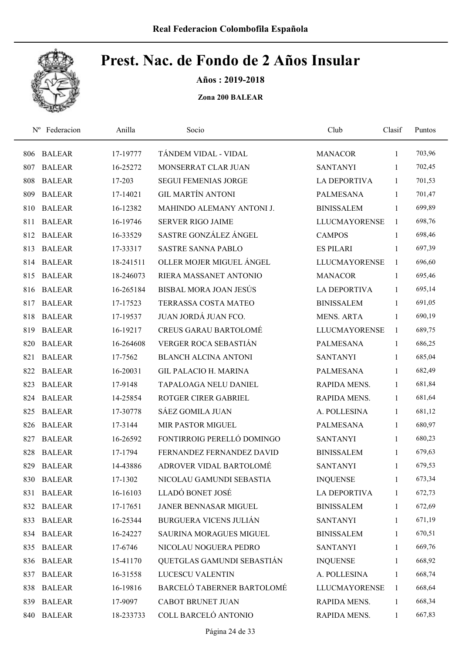Años : 2019-2018

| $N^{\rm o}$ | Federacion    | Anilla    | Socio                         | Club                 | Clasif       | Puntos |
|-------------|---------------|-----------|-------------------------------|----------------------|--------------|--------|
| 806         | <b>BALEAR</b> | 17-19777  | TÁNDEM VIDAL - VIDAL          | <b>MANACOR</b>       | $\mathbf{1}$ | 703,96 |
| 807         | <b>BALEAR</b> | 16-25272  | MONSERRAT CLAR JUAN           | <b>SANTANYI</b>      | $\mathbf{1}$ | 702,45 |
| 808         | <b>BALEAR</b> | 17-203    | <b>SEGUI FEMENIAS JORGE</b>   | <b>LA DEPORTIVA</b>  | $\mathbf{1}$ | 701,53 |
| 809         | <b>BALEAR</b> | 17-14021  | <b>GIL MARTÍN ANTONI</b>      | <b>PALMESANA</b>     | $\mathbf{1}$ | 701,47 |
| 810         | <b>BALEAR</b> | 16-12382  | MAHINDO ALEMANY ANTONI J.     | <b>BINISSALEM</b>    | $\mathbf{1}$ | 699,89 |
| 811         | <b>BALEAR</b> | 16-19746  | <b>SERVER RIGO JAIME</b>      | <b>LLUCMAYORENSE</b> | $\mathbf{1}$ | 698,76 |
| 812         | <b>BALEAR</b> | 16-33529  | SASTRE GONZÁLEZ ÁNGEL         | <b>CAMPOS</b>        | $\mathbf{1}$ | 698,46 |
| 813         | <b>BALEAR</b> | 17-33317  | <b>SASTRE SANNA PABLO</b>     | <b>ES PILARI</b>     | 1            | 697,39 |
| 814         | <b>BALEAR</b> | 18-241511 | OLLER MOJER MIGUEL ÁNGEL      | <b>LLUCMAYORENSE</b> | $\mathbf{1}$ | 696,60 |
| 815         | <b>BALEAR</b> | 18-246073 | RIERA MASSANET ANTONIO        | <b>MANACOR</b>       | 1            | 695,46 |
| 816         | <b>BALEAR</b> | 16-265184 | BISBAL MORA JOAN JESÚS        | <b>LA DEPORTIVA</b>  | $\mathbf{1}$ | 695,14 |
| 817         | <b>BALEAR</b> | 17-17523  | <b>TERRASSA COSTA MATEO</b>   | <b>BINISSALEM</b>    | $\mathbf{1}$ | 691,05 |
| 818         | <b>BALEAR</b> | 17-19537  | JUAN JORDÁ JUAN FCO.          | <b>MENS. ARTA</b>    | 1            | 690,19 |
| 819         | <b>BALEAR</b> | 16-19217  | <b>CREUS GARAU BARTOLOMÉ</b>  | <b>LLUCMAYORENSE</b> | 1            | 689,75 |
| 820         | <b>BALEAR</b> | 16-264608 | VERGER ROCA SEBASTIÁN         | <b>PALMESANA</b>     | $\mathbf{1}$ | 686,25 |
| 821         | <b>BALEAR</b> | 17-7562   | <b>BLANCH ALCINA ANTONI</b>   | <b>SANTANYI</b>      | $\mathbf{1}$ | 685,04 |
| 822         | <b>BALEAR</b> | 16-20031  | <b>GIL PALACIO H. MARINA</b>  | <b>PALMESANA</b>     | $\mathbf{1}$ | 682,49 |
| 823         | <b>BALEAR</b> | 17-9148   | TAPALOAGA NELU DANIEL         | RAPIDA MENS.         | 1            | 681,84 |
| 824         | <b>BALEAR</b> | 14-25854  | ROTGER CIRER GABRIEL          | RAPIDA MENS.         | 1            | 681,64 |
| 825         | <b>BALEAR</b> | 17-30778  | SÁEZ GOMILA JUAN              | A. POLLESINA         | $\mathbf{1}$ | 681,12 |
| 826         | <b>BALEAR</b> | 17-3144   | MIR PASTOR MIGUEL             | PALMESANA            | 1            | 680,97 |
| 827         | <b>BALEAR</b> | 16-26592  | FONTIRROIG PERELLÓ DOMINGO    | <b>SANTANYI</b>      | 1            | 680,23 |
| 828         | <b>BALEAR</b> | 17-1794   | FERNANDEZ FERNANDEZ DAVID     | <b>BINISSALEM</b>    | 1            | 679,63 |
| 829         | <b>BALEAR</b> | 14-43886  | ADROVER VIDAL BARTOLOMÉ       | <b>SANTANYI</b>      | $\mathbf{1}$ | 679,53 |
| 830         | <b>BALEAR</b> | 17-1302   | NICOLAU GAMUNDI SEBASTIA      | <b>INQUENSE</b>      | 1            | 673,34 |
| 831         | <b>BALEAR</b> | 16-16103  | LLADÓ BONET JOSÉ              | <b>LA DEPORTIVA</b>  | 1            | 672,73 |
|             | 832 BALEAR    | 17-17651  | JANER BENNASAR MIGUEL         | <b>BINISSALEM</b>    | $\mathbf{1}$ | 672,69 |
| 833         | <b>BALEAR</b> | 16-25344  | <b>BURGUERA VICENS JULIÁN</b> | <b>SANTANYI</b>      | 1            | 671,19 |
| 834         | <b>BALEAR</b> | 16-24227  | SAURINA MORAGUES MIGUEL       | <b>BINISSALEM</b>    | $\mathbf{1}$ | 670,51 |
| 835         | <b>BALEAR</b> | 17-6746   | NICOLAU NOGUERA PEDRO         | <b>SANTANYI</b>      | $\mathbf{1}$ | 669,76 |
| 836         | <b>BALEAR</b> | 15-41170  | QUETGLAS GAMUNDI SEBASTIÁN    | <b>INQUENSE</b>      | $\mathbf{1}$ | 668,92 |
| 837         | <b>BALEAR</b> | 16-31558  | LUCESCU VALENTIN              | A. POLLESINA         | 1            | 668,74 |
| 838         | <b>BALEAR</b> | 16-19816  | BARCELÓ TABERNER BARTOLOMÉ    | <b>LLUCMAYORENSE</b> | 1            | 668,64 |
| 839         | <b>BALEAR</b> | 17-9097   | <b>CABOT BRUNET JUAN</b>      | RAPIDA MENS.         | 1            | 668,34 |
| 840         | <b>BALEAR</b> | 18-233733 | COLL BARCELÓ ANTONIO          | RAPIDA MENS.         | $\mathbf{1}$ | 667,83 |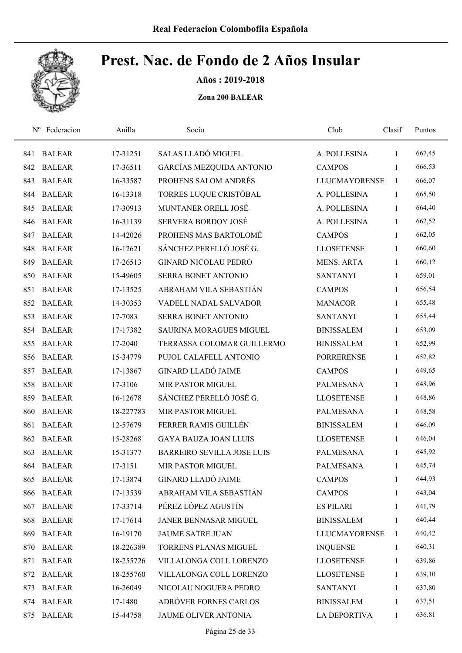

Años : 2019-2018

| $N^{\rm o}$ | Federacion    | Anilla    | Socio                             | Club                 | Clasif       | Puntos |
|-------------|---------------|-----------|-----------------------------------|----------------------|--------------|--------|
| 841         | <b>BALEAR</b> | 17-31251  | SALAS LLADÓ MIGUEL                | A. POLLESINA         | 1            | 667,45 |
| 842         | <b>BALEAR</b> | 17-36511  | GARCÍAS MEZQUIDA ANTONIO          | <b>CAMPOS</b>        | $\mathbf{1}$ | 666,53 |
| 843         | <b>BALEAR</b> | 16-33587  | PROHENS SALOM ANDRÉS              | <b>LLUCMAYORENSE</b> | 1            | 666,07 |
| 844         | <b>BALEAR</b> | 16-13318  | TORRES LUQUE CRISTÓBAL            | A. POLLESINA         | 1            | 665,50 |
| 845         | <b>BALEAR</b> | 17-30913  | MUNTANER ORELL JOSÉ               | A. POLLESINA         | $\mathbf{1}$ | 664,40 |
| 846         | <b>BALEAR</b> | 16-31139  | <b>SERVERA BORDOY JOSÉ</b>        | A. POLLESINA         | 1            | 662,52 |
| 847         | <b>BALEAR</b> | 14-42026  | PROHENS MAS BARTOLOMÉ             | <b>CAMPOS</b>        | 1            | 662,05 |
| 848         | <b>BALEAR</b> | 16-12621  | SÁNCHEZ PERELLÓ JOSÉ G.           | <b>LLOSETENSE</b>    | 1            | 660,60 |
| 849         | <b>BALEAR</b> | 17-26513  | <b>GINARD NICOLAU PEDRO</b>       | <b>MENS. ARTA</b>    | 1            | 660,12 |
| 850         | <b>BALEAR</b> | 15-49605  | <b>SERRA BONET ANTONIO</b>        | <b>SANTANYI</b>      | 1            | 659,01 |
| 851         | <b>BALEAR</b> | 17-13525  | ABRAHAM VILA SEBASTIÁN            | <b>CAMPOS</b>        | 1            | 656,54 |
| 852         | <b>BALEAR</b> | 14-30353  | VADELL NADAL SALVADOR             | <b>MANACOR</b>       | 1            | 655,48 |
| 853         | <b>BALEAR</b> | 17-7083   | <b>SERRA BONET ANTONIO</b>        | <b>SANTANYI</b>      | 1            | 655,44 |
| 854         | <b>BALEAR</b> | 17-17382  | <b>SAURINA MORAGUES MIGUEL</b>    | <b>BINISSALEM</b>    | 1            | 653,09 |
| 855         | <b>BALEAR</b> | 17-2040   | TERRASSA COLOMAR GUILLERMO        | <b>BINISSALEM</b>    | $\mathbf{1}$ | 652,99 |
| 856         | <b>BALEAR</b> | 15-34779  | PUJOL CALAFELL ANTONIO            | <b>PORRERENSE</b>    | 1            | 652,82 |
| 857         | <b>BALEAR</b> | 17-13867  | <b>GINARD LLADÓ JAIME</b>         | <b>CAMPOS</b>        | $\mathbf{1}$ | 649,65 |
| 858         | <b>BALEAR</b> | 17-3106   | MIR PASTOR MIGUEL                 | <b>PALMESANA</b>     | $\mathbf{1}$ | 648,96 |
| 859         | <b>BALEAR</b> | 16-12678  | SÁNCHEZ PERELLÓ JOSÉ G.           | <b>LLOSETENSE</b>    | 1            | 648,86 |
| 860         | <b>BALEAR</b> | 18-227783 | MIR PASTOR MIGUEL                 | <b>PALMESANA</b>     | 1            | 648,58 |
| 861         | <b>BALEAR</b> | 12-57679  | FERRER RAMIS GUILLÉN              | <b>BINISSALEM</b>    | 1            | 646,09 |
| 862         | <b>BALEAR</b> | 15-28268  | <b>GAYA BAUZA JOAN LLUIS</b>      | <b>LLOSETENSE</b>    | 1            | 646,04 |
| 863         | <b>BALEAR</b> | 15-31377  | <b>BARREIRO SEVILLA JOSE LUIS</b> | <b>PALMESANA</b>     | 1            | 645,92 |
| 864         | <b>BALEAR</b> | 17-3151   | MIR PASTOR MIGUEL                 | <b>PALMESANA</b>     | 1            | 645,74 |
| 865         | <b>BALEAR</b> | 17-13874  | <b>GINARD LLADÓ JAIME</b>         | <b>CAMPOS</b>        | $\mathbf{1}$ | 644,93 |
| 866         | <b>BALEAR</b> | 17-13539  | ABRAHAM VILA SEBASTIÁN            | <b>CAMPOS</b>        | 1            | 643,04 |
| 867         | <b>BALEAR</b> | 17-33714  | PÉREZ LÓPEZ AGUSTÍN               | <b>ES PILARI</b>     | 1            | 641,79 |
| 868         | <b>BALEAR</b> | 17-17614  | JANER BENNASAR MIGUEL             | <b>BINISSALEM</b>    | 1            | 640,44 |
| 869         | <b>BALEAR</b> | 16-19170  | <b>JAUME SATRE JUAN</b>           | <b>LLUCMAYORENSE</b> | 1            | 640,42 |
| 870         | <b>BALEAR</b> | 18-226389 | TORRENS PLANAS MIGUEL             | <b>INQUENSE</b>      | 1            | 640,31 |
| 871         | <b>BALEAR</b> | 18-255726 | VILLALONGA COLL LORENZO           | <b>LLOSETENSE</b>    | 1            | 639,86 |
| 872         | <b>BALEAR</b> | 18-255760 | VILLALONGA COLL LORENZO           | <b>LLOSETENSE</b>    | 1            | 639,10 |
| 873         | <b>BALEAR</b> | 16-26049  | NICOLAU NOGUERA PEDRO             | <b>SANTANYI</b>      | 1            | 637,80 |
| 874         | <b>BALEAR</b> | 17-1480   | ADRÓVER FORNES CARLOS             | <b>BINISSALEM</b>    | 1            | 637,51 |
| 875         | <b>BALEAR</b> | 15-44758  | JAUME OLIVER ANTONIA              | <b>LA DEPORTIVA</b>  | $\mathbf{1}$ | 636,81 |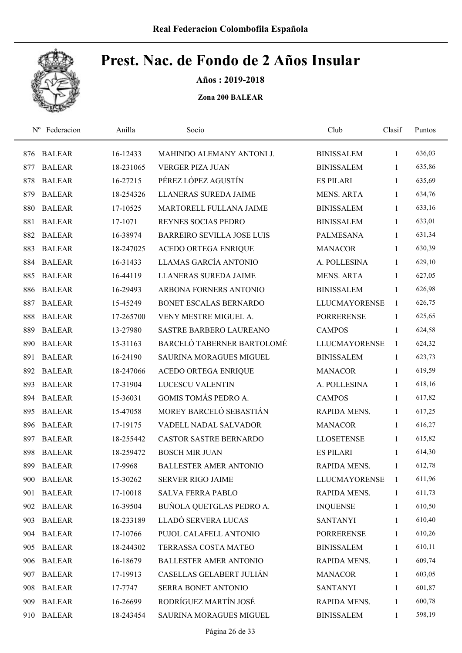

Años : 2019-2018

| $N^{\rm o}$ | Federacion    | Anilla    | Socio                             | Club                 | Clasif       | Puntos |
|-------------|---------------|-----------|-----------------------------------|----------------------|--------------|--------|
| 876         | <b>BALEAR</b> | 16-12433  | MAHINDO ALEMANY ANTONI J.         | <b>BINISSALEM</b>    | 1            | 636,03 |
| 877         | <b>BALEAR</b> | 18-231065 | <b>VERGER PIZA JUAN</b>           | <b>BINISSALEM</b>    | 1            | 635,86 |
| 878         | <b>BALEAR</b> | 16-27215  | PÉREZ LÓPEZ AGUSTÍN               | <b>ES PILARI</b>     | $\mathbf{1}$ | 635,69 |
| 879         | <b>BALEAR</b> | 18-254326 | LLANERAS SUREDA JAIME             | <b>MENS. ARTA</b>    | 1            | 634,76 |
| 880         | <b>BALEAR</b> | 17-10525  | MARTORELL FULLANA JAIME           | <b>BINISSALEM</b>    | $\mathbf{1}$ | 633,16 |
| 881         | <b>BALEAR</b> | 17-1071   | REYNES SOCIAS PEDRO               | <b>BINISSALEM</b>    | 1            | 633,01 |
| 882         | <b>BALEAR</b> | 16-38974  | <b>BARREIRO SEVILLA JOSE LUIS</b> | <b>PALMESANA</b>     | 1            | 631,34 |
| 883         | <b>BALEAR</b> | 18-247025 | <b>ACEDO ORTEGA ENRIQUE</b>       | <b>MANACOR</b>       | 1            | 630,39 |
| 884         | <b>BALEAR</b> | 16-31433  | LLAMAS GARCÍA ANTONIO             | A. POLLESINA         | 1            | 629,10 |
| 885         | <b>BALEAR</b> | 16-44119  | LLANERAS SUREDA JAIME             | <b>MENS. ARTA</b>    | 1            | 627,05 |
| 886         | <b>BALEAR</b> | 16-29493  | ARBONA FORNERS ANTONIO            | <b>BINISSALEM</b>    | 1            | 626,98 |
| 887         | <b>BALEAR</b> | 15-45249  | <b>BONET ESCALAS BERNARDO</b>     | <b>LLUCMAYORENSE</b> | 1            | 626,75 |
| 888         | <b>BALEAR</b> | 17-265700 | VENY MESTRE MIGUEL A.             | <b>PORRERENSE</b>    | 1            | 625,65 |
| 889         | <b>BALEAR</b> | 13-27980  | SASTRE BARBERO LAUREANO           | <b>CAMPOS</b>        | 1            | 624,58 |
| 890         | <b>BALEAR</b> | 15-31163  | BARCELÓ TABERNER BARTOLOMÉ        | <b>LLUCMAYORENSE</b> | 1            | 624,32 |
| 891         | <b>BALEAR</b> | 16-24190  | SAURINA MORAGUES MIGUEL           | <b>BINISSALEM</b>    | 1            | 623,73 |
| 892         | <b>BALEAR</b> | 18-247066 | ACEDO ORTEGA ENRIQUE              | <b>MANACOR</b>       | $\mathbf{1}$ | 619,59 |
| 893         | <b>BALEAR</b> | 17-31904  | <b>LUCESCU VALENTIN</b>           | A. POLLESINA         | 1            | 618,16 |
| 894         | <b>BALEAR</b> | 15-36031  | <b>GOMIS TOMÁS PEDRO A.</b>       | <b>CAMPOS</b>        | 1            | 617,82 |
| 895         | <b>BALEAR</b> | 15-47058  | MOREY BARCELÓ SEBASTIÁN           | RAPIDA MENS.         | 1            | 617,25 |
| 896         | <b>BALEAR</b> | 17-19175  | VADELL NADAL SALVADOR             | <b>MANACOR</b>       | 1            | 616,27 |
| 897         | <b>BALEAR</b> | 18-255442 | <b>CASTOR SASTRE BERNARDO</b>     | <b>LLOSETENSE</b>    | 1            | 615,82 |
| 898         | <b>BALEAR</b> | 18-259472 | <b>BOSCH MIR JUAN</b>             | <b>ES PILARI</b>     | 1            | 614,30 |
| 899         | <b>BALEAR</b> | 17-9968   | <b>BALLESTER AMER ANTONIO</b>     | RAPIDA MENS.         | $\mathbf{1}$ | 612,78 |
| 900         | <b>BALEAR</b> | 15-30262  | SERVER RIGO JAIME                 | <b>LLUCMAYORENSE</b> | 1            | 611,96 |
| 901         | <b>BALEAR</b> | 17-10018  | <b>SALVA FERRA PABLO</b>          | RAPIDA MENS.         | 1            | 611,73 |
|             | 902 BALEAR    | 16-39504  | BUÑOLA QUETGLAS PEDRO A.          | <b>INQUENSE</b>      | $\mathbf{1}$ | 610,50 |
| 903         | <b>BALEAR</b> | 18-233189 | LLADÓ SERVERA LUCAS               | <b>SANTANYI</b>      | $\mathbf{1}$ | 610,40 |
|             | 904 BALEAR    | 17-10766  | PUJOL CALAFELL ANTONIO            | <b>PORRERENSE</b>    | 1            | 610,26 |
| 905         | <b>BALEAR</b> | 18-244302 | TERRASSA COSTA MATEO              | <b>BINISSALEM</b>    | $\mathbf{1}$ | 610,11 |
| 906         | <b>BALEAR</b> | 16-18679  | <b>BALLESTER AMER ANTONIO</b>     | RAPIDA MENS.         | $\mathbf{1}$ | 609,74 |
| 907         | <b>BALEAR</b> | 17-19913  | CASELLAS GELABERT JULIÁN          | <b>MANACOR</b>       | 1            | 603,05 |
| 908         | <b>BALEAR</b> | 17-7747   | SERRA BONET ANTONIO               | <b>SANTANYI</b>      | $\mathbf{1}$ | 601,87 |
| 909         | <b>BALEAR</b> | 16-26699  | RODRÍGUEZ MARTÍN JOSÉ             | RAPIDA MENS.         | $\mathbf{1}$ | 600,78 |
| 910         | <b>BALEAR</b> | 18-243454 | SAURINA MORAGUES MIGUEL           | <b>BINISSALEM</b>    | $\mathbf{1}$ | 598,19 |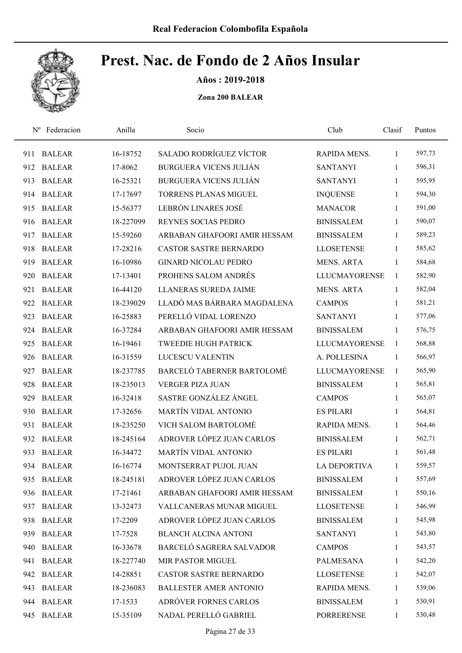

Años : 2019-2018

| $N^{\rm o}$ | Federacion    | Anilla    | Socio                         | Club                 | Clasif       | Puntos |
|-------------|---------------|-----------|-------------------------------|----------------------|--------------|--------|
| 911         | <b>BALEAR</b> | 16-18752  | SALADO RODRÍGUEZ VÍCTOR       | RAPIDA MENS.         | 1            | 597,73 |
| 912         | <b>BALEAR</b> | 17-8062   | <b>BURGUERA VICENS JULIÁN</b> | <b>SANTANYI</b>      | 1            | 596,31 |
| 913         | <b>BALEAR</b> | 16-25321  | <b>BURGUERA VICENS JULIÁN</b> | <b>SANTANYI</b>      | $\mathbf{1}$ | 595,95 |
| 914         | <b>BALEAR</b> | 17-17697  | <b>TORRENS PLANAS MIGUEL</b>  | <b>INQUENSE</b>      | $\mathbf{1}$ | 594,30 |
| 915         | <b>BALEAR</b> | 15-56377  | LEBRÓN LINARES JOSÉ           | <b>MANACOR</b>       | $\mathbf{1}$ | 591,00 |
| 916         | <b>BALEAR</b> | 18-227099 | REYNES SOCIAS PEDRO           | <b>BINISSALEM</b>    | $\mathbf{1}$ | 590,07 |
| 917         | <b>BALEAR</b> | 15-59260  | ARBABAN GHAFOORI AMIR HESSAM  | <b>BINISSALEM</b>    | $\mathbf{1}$ | 589,23 |
| 918         | <b>BALEAR</b> | 17-28216  | <b>CASTOR SASTRE BERNARDO</b> | <b>LLOSETENSE</b>    | $\mathbf{1}$ | 585,62 |
| 919         | <b>BALEAR</b> | 16-10986  | <b>GINARD NICOLAU PEDRO</b>   | <b>MENS. ARTA</b>    | 1            | 584,68 |
| 920         | <b>BALEAR</b> | 17-13401  | PROHENS SALOM ANDRÉS          | <b>LLUCMAYORENSE</b> | 1            | 582,90 |
| 921         | <b>BALEAR</b> | 16-44120  | <b>LLANERAS SUREDA JAIME</b>  | <b>MENS. ARTA</b>    | $\mathbf{1}$ | 582,04 |
| 922         | <b>BALEAR</b> | 18-239029 | LLADÓ MAS BÁRBARA MAGDALENA   | <b>CAMPOS</b>        | 1            | 581,21 |
| 923         | <b>BALEAR</b> | 16-25883  | PERELLÓ VIDAL LORENZO         | <b>SANTANYI</b>      | 1            | 577,06 |
| 924         | <b>BALEAR</b> | 16-37284  | ARBABAN GHAFOORI AMIR HESSAM  | <b>BINISSALEM</b>    | $\mathbf{1}$ | 576,75 |
| 925         | <b>BALEAR</b> | 16-19461  | <b>TWEEDIE HUGH PATRICK</b>   | <b>LLUCMAYORENSE</b> | $\mathbf{1}$ | 568,88 |
| 926         | <b>BALEAR</b> | 16-31559  | LUCESCU VALENTIN              | A. POLLESINA         | 1            | 566,97 |
| 927         | <b>BALEAR</b> | 18-237785 | BARCELÓ TABERNER BARTOLOMÉ    | <b>LLUCMAYORENSE</b> | 1            | 565,90 |
| 928         | <b>BALEAR</b> | 18-235013 | <b>VERGER PIZA JUAN</b>       | <b>BINISSALEM</b>    | $\mathbf{1}$ | 565,81 |
| 929         | <b>BALEAR</b> | 16-32418  | SASTRE GONZÁLEZ ÁNGEL         | <b>CAMPOS</b>        | $\mathbf{1}$ | 565,07 |
| 930         | <b>BALEAR</b> | 17-32656  | <b>MARTÍN VIDAL ANTONIO</b>   | <b>ES PILARI</b>     | $\mathbf{1}$ | 564,81 |
| 931         | <b>BALEAR</b> | 18-235250 | VICH SALOM BARTOLOMÉ          | RAPIDA MENS.         | $\mathbf{1}$ | 564,46 |
| 932         | <b>BALEAR</b> | 18-245164 | ADROVER LÓPEZ JUAN CARLOS     | <b>BINISSALEM</b>    | 1            | 562,71 |
| 933         | <b>BALEAR</b> | 16-34472  | <b>MARTÍN VIDAL ANTONIO</b>   | <b>ES PILARI</b>     | 1            | 561,48 |
| 934         | <b>BALEAR</b> | 16-16774  | MONTSERRAT PUJOL JUAN         | <b>LA DEPORTIVA</b>  | $\mathbf{1}$ | 559,57 |
| 935         | <b>BALEAR</b> | 18-245181 | ADROVER LÓPEZ JUAN CARLOS     | <b>BINISSALEM</b>    | 1            | 557,69 |
| 936         | <b>BALEAR</b> | 17-21461  | ARBABAN GHAFOORI AMIR HESSAM  | <b>BINISSALEM</b>    | $\mathbf{1}$ | 550,16 |
| 937         | <b>BALEAR</b> | 13-32473  | VALLCANERAS MUNAR MIGUEL      | <b>LLOSETENSE</b>    | 1            | 546,99 |
| 938         | <b>BALEAR</b> | 17-2209   | ADROVER LÓPEZ JUAN CARLOS     | <b>BINISSALEM</b>    | $\mathbf{1}$ | 545,98 |
| 939         | <b>BALEAR</b> | 17-7528   | <b>BLANCH ALCINA ANTONI</b>   | <b>SANTANYI</b>      | 1            | 543,80 |
| 940         | <b>BALEAR</b> | 16-33678  | BARCELÓ SAGRERA SALVADOR      | <b>CAMPOS</b>        | 1            | 543,57 |
| 941         | <b>BALEAR</b> | 18-227740 | MIR PASTOR MIGUEL             | PALMESANA            | $\mathbf{1}$ | 542,20 |
| 942         | <b>BALEAR</b> | 14-28851  | <b>CASTOR SASTRE BERNARDO</b> | <b>LLOSETENSE</b>    | $\mathbf{1}$ | 542,07 |
| 943         | <b>BALEAR</b> | 18-236083 | <b>BALLESTER AMER ANTONIO</b> | RAPIDA MENS.         | $\mathbf{1}$ | 539,06 |
|             | 944 BALEAR    | 17-1533   | ADRÓVER FORNES CARLOS         | <b>BINISSALEM</b>    | $\mathbf{1}$ | 530,91 |
| 945         | <b>BALEAR</b> | 15-35109  | NADAL PERELLÓ GABRIEL         | PORRERENSE           | $\mathbf{1}$ | 530,48 |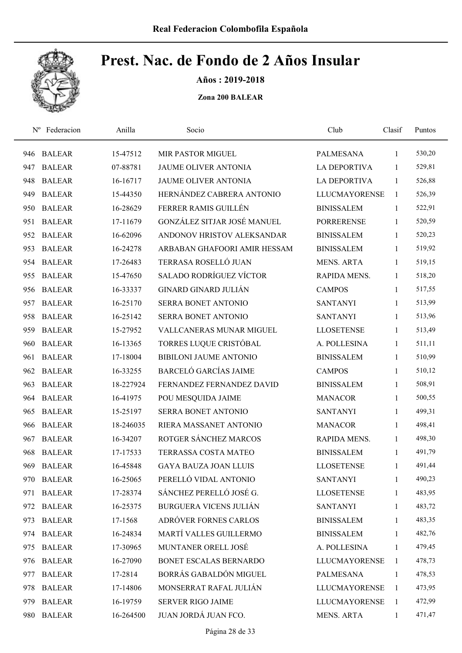

Años : 2019-2018

| $N^{\rm o}$ | Federacion    | Anilla    | Socio                         | Club                 | Clasif       | Puntos |
|-------------|---------------|-----------|-------------------------------|----------------------|--------------|--------|
| 946         | <b>BALEAR</b> | 15-47512  | MIR PASTOR MIGUEL             | PALMESANA            | 1            | 530,20 |
| 947         | <b>BALEAR</b> | 07-88781  | JAUME OLIVER ANTONIA          | <b>LA DEPORTIVA</b>  | 1            | 529,81 |
| 948         | <b>BALEAR</b> | 16-16717  | JAUME OLIVER ANTONIA          | <b>LA DEPORTIVA</b>  | 1            | 526,88 |
| 949         | <b>BALEAR</b> | 15-44350  | HERNÁNDEZ CABRERA ANTONIO     | <b>LLUCMAYORENSE</b> | 1            | 526,39 |
| 950         | <b>BALEAR</b> | 16-28629  | FERRER RAMIS GUILLÉN          | <b>BINISSALEM</b>    | 1            | 522,91 |
| 951         | <b>BALEAR</b> | 17-11679  | GONZÁLEZ SITJAR JOSÉ MANUEL   | <b>PORRERENSE</b>    | $\mathbf{1}$ | 520,59 |
| 952         | <b>BALEAR</b> | 16-62096  | ANDONOV HRISTOV ALEKSANDAR    | <b>BINISSALEM</b>    | $\mathbf{1}$ | 520,23 |
| 953         | <b>BALEAR</b> | 16-24278  | ARBABAN GHAFOORI AMIR HESSAM  | <b>BINISSALEM</b>    | 1            | 519,92 |
| 954         | <b>BALEAR</b> | 17-26483  | TERRASA ROSELLÓ JUAN          | <b>MENS. ARTA</b>    | 1            | 519,15 |
| 955         | <b>BALEAR</b> | 15-47650  | SALADO RODRÍGUEZ VÍCTOR       | RAPIDA MENS.         | 1            | 518,20 |
| 956         | <b>BALEAR</b> | 16-33337  | <b>GINARD GINARD JULIÁN</b>   | <b>CAMPOS</b>        | 1            | 517,55 |
| 957         | <b>BALEAR</b> | 16-25170  | SERRA BONET ANTONIO           | <b>SANTANYI</b>      | 1            | 513,99 |
| 958         | <b>BALEAR</b> | 16-25142  | SERRA BONET ANTONIO           | <b>SANTANYI</b>      | 1            | 513,96 |
| 959         | <b>BALEAR</b> | 15-27952  | VALLCANERAS MUNAR MIGUEL      | <b>LLOSETENSE</b>    | 1            | 513,49 |
| 960         | <b>BALEAR</b> | 16-13365  | TORRES LUQUE CRISTÓBAL        | A. POLLESINA         | 1            | 511,11 |
| 961         | <b>BALEAR</b> | 17-18004  | <b>BIBILONI JAUME ANTONIO</b> | <b>BINISSALEM</b>    | 1            | 510,99 |
| 962         | <b>BALEAR</b> | 16-33255  | <b>BARCELÓ GARCÍAS JAIME</b>  | <b>CAMPOS</b>        | $\mathbf{1}$ | 510,12 |
| 963         | <b>BALEAR</b> | 18-227924 | FERNANDEZ FERNANDEZ DAVID     | <b>BINISSALEM</b>    | $\mathbf{1}$ | 508,91 |
| 964         | <b>BALEAR</b> | 16-41975  | POU MESQUIDA JAIME            | <b>MANACOR</b>       | 1            | 500,55 |
| 965         | <b>BALEAR</b> | 15-25197  | SERRA BONET ANTONIO           | <b>SANTANYI</b>      | $\mathbf{1}$ | 499,31 |
| 966         | <b>BALEAR</b> | 18-246035 | RIERA MASSANET ANTONIO        | <b>MANACOR</b>       | 1            | 498,41 |
| 967         | <b>BALEAR</b> | 16-34207  | ROTGER SÁNCHEZ MARCOS         | RAPIDA MENS.         | 1            | 498,30 |
| 968         | <b>BALEAR</b> | 17-17533  | TERRASSA COSTA MATEO          | <b>BINISSALEM</b>    | 1            | 491,79 |
| 969         | <b>BALEAR</b> | 16-45848  | <b>GAYA BAUZA JOAN LLUIS</b>  | <b>LLOSETENSE</b>    | $\mathbf{1}$ | 491,44 |
| 970         | <b>BALEAR</b> | 16-25065  | PERELLÓ VIDAL ANTONIO         | <b>SANTANYI</b>      | 1            | 490,23 |
| 971         | <b>BALEAR</b> | 17-28374  | SÁNCHEZ PERELLÓ JOSÉ G.       | <b>LLOSETENSE</b>    | $\mathbf{1}$ | 483,95 |
| 972         | <b>BALEAR</b> | 16-25375  | <b>BURGUERA VICENS JULIÁN</b> | <b>SANTANYI</b>      | 1            | 483,72 |
| 973         | <b>BALEAR</b> | 17-1568   | ADRÓVER FORNES CARLOS         | <b>BINISSALEM</b>    | 1            | 483,35 |
| 974         | <b>BALEAR</b> | 16-24834  | MARTÍ VALLES GUILLERMO        | <b>BINISSALEM</b>    | 1            | 482,76 |
| 975         | <b>BALEAR</b> | 17-30965  | MUNTANER ORELL JOSÉ           | A. POLLESINA         | 1            | 479,45 |
| 976         | <b>BALEAR</b> | 16-27090  | BONET ESCALAS BERNARDO        | <b>LLUCMAYORENSE</b> | 1            | 478,73 |
| 977         | <b>BALEAR</b> | 17-2814   | BORRÁS GABALDÓN MIGUEL        | PALMESANA            | $\mathbf{1}$ | 478,53 |
| 978         | <b>BALEAR</b> | 17-14806  | MONSERRAT RAFAL JULIÁN        | <b>LLUCMAYORENSE</b> | $\mathbf{1}$ | 473,95 |
| 979         | <b>BALEAR</b> | 16-19759  | <b>SERVER RIGO JAIME</b>      | <b>LLUCMAYORENSE</b> | 1            | 472,99 |
| 980         | <b>BALEAR</b> | 16-264500 | JUAN JORDÁ JUAN FCO.          | MENS. ARTA           | $\mathbf{1}$ | 471,47 |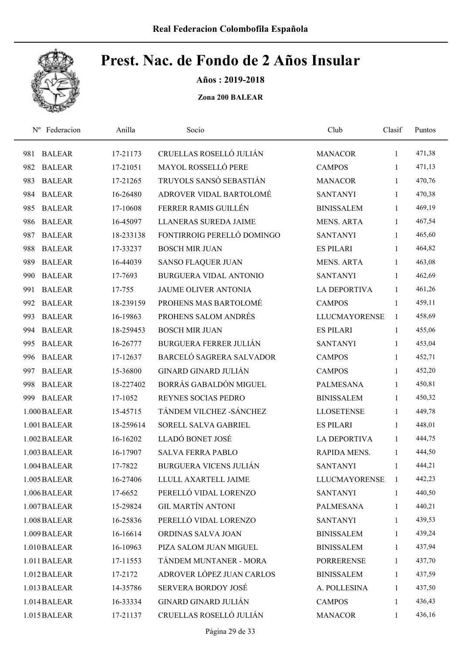

Años : 2019-2018

| Federacion<br>$N^{\rm o}$ | Anilla    | Socio                           | Club                 | Clasif       | Puntos |  |
|---------------------------|-----------|---------------------------------|----------------------|--------------|--------|--|
| <b>BALEAR</b><br>981      | 17-21173  | CRUELLAS ROSELLÓ JULIÁN         | <b>MANACOR</b>       | 1            | 471,38 |  |
| 982<br><b>BALEAR</b>      | 17-21051  | MAYOL ROSSELLÓ PERE             | <b>CAMPOS</b>        | 1            | 471,13 |  |
| 983<br><b>BALEAR</b>      | 17-21265  | TRUYOLS SANSÓ SEBASTIÁN         | <b>MANACOR</b>       | $\mathbf{1}$ | 470,76 |  |
| <b>BALEAR</b><br>984      | 16-26480  | ADROVER VIDAL BARTOLOMÉ         | <b>SANTANYI</b>      | $\mathbf{1}$ | 470,38 |  |
| <b>BALEAR</b><br>985      | 17-10608  | FERRER RAMIS GUILLÉN            | <b>BINISSALEM</b>    | $\mathbf{1}$ | 469,19 |  |
| <b>BALEAR</b><br>986      | 16-45097  | <b>LLANERAS SUREDA JAIME</b>    | <b>MENS. ARTA</b>    | $\mathbf{1}$ | 467,54 |  |
| <b>BALEAR</b><br>987      | 18-233138 | FONTIRROIG PERELLÓ DOMINGO      | <b>SANTANYI</b>      | 1            | 465,60 |  |
| <b>BALEAR</b><br>988      | 17-33237  | <b>BOSCH MIR JUAN</b>           | <b>ES PILARI</b>     | 1            | 464,82 |  |
| <b>BALEAR</b><br>989      | 16-44039  | <b>SANSO FLAQUER JUAN</b>       | <b>MENS. ARTA</b>    | 1            | 463,08 |  |
| <b>BALEAR</b><br>990      | 17-7693   | <b>BURGUERA VIDAL ANTONIO</b>   | <b>SANTANYI</b>      | 1            | 462,69 |  |
| <b>BALEAR</b><br>991      | 17-755    | <b>JAUME OLIVER ANTONIA</b>     | <b>LA DEPORTIVA</b>  | $\mathbf{1}$ | 461,26 |  |
| 992<br><b>BALEAR</b>      | 18-239159 | PROHENS MAS BARTOLOMÉ           | <b>CAMPOS</b>        | 1            | 459,11 |  |
| 993<br><b>BALEAR</b>      | 16-19863  | PROHENS SALOM ANDRÉS            | <b>LLUCMAYORENSE</b> | $\mathbf{1}$ | 458,69 |  |
| 994<br><b>BALEAR</b>      | 18-259453 | <b>BOSCH MIR JUAN</b>           | <b>ES PILARI</b>     | 1            | 455,06 |  |
| <b>BALEAR</b><br>995      | 16-26777  | <b>BURGUERA FERRER JULIÁN</b>   | <b>SANTANYI</b>      | $\mathbf{1}$ | 453,04 |  |
| <b>BALEAR</b><br>996      | 17-12637  | <b>BARCELÓ SAGRERA SALVADOR</b> | <b>CAMPOS</b>        | $\mathbf{1}$ | 452,71 |  |
| <b>BALEAR</b><br>997      | 15-36800  | <b>GINARD GINARD JULIÁN</b>     | <b>CAMPOS</b>        | $\mathbf{1}$ | 452,20 |  |
| <b>BALEAR</b><br>998      | 18-227402 | BORRÁS GABALDÓN MIGUEL          | <b>PALMESANA</b>     | $\mathbf{1}$ | 450,81 |  |
| <b>BALEAR</b><br>999      | 17-1052   | REYNES SOCIAS PEDRO             | <b>BINISSALEM</b>    | 1            | 450,32 |  |
| 1.000 BALEAR              | 15-45715  | TÁNDEM VILCHEZ - SÁNCHEZ        | <b>LLOSETENSE</b>    | 1            | 449,78 |  |
| 1.001 BALEAR              | 18-259614 | SORELL SALVA GABRIEL            | <b>ES PILARI</b>     | 1            | 448,01 |  |
| 1.002 BALEAR              | 16-16202  | LLADÓ BONET JOSÉ                | <b>LA DEPORTIVA</b>  | 1            | 444,75 |  |
| 1.003 BALEAR              | 16-17907  | <b>SALVA FERRA PABLO</b>        | RAPIDA MENS.         | 1            | 444,50 |  |
| 1.004 BALEAR              | 17-7822   | <b>BURGUERA VICENS JULIAN</b>   | <b>SANTANYI</b>      | 1            | 444,21 |  |
| 1.005 BALEAR              | 16-27406  | LLULL AXARTELL JAIME            | <b>LLUCMAYORENSE</b> | 1            | 442,23 |  |
| 1.006 BALEAR              | 17-6652   | PERELLÓ VIDAL LORENZO           | <b>SANTANYI</b>      | 1            | 440,50 |  |
| 1.007 BALEAR              | 15-29824  | <b>GIL MARTÍN ANTONI</b>        | <b>PALMESANA</b>     | 1            | 440,21 |  |
| 1.008 BALEAR              | 16-25836  | PERELLÓ VIDAL LORENZO           | <b>SANTANYI</b>      | 1            | 439,53 |  |
| 1.009 BALEAR              | 16-16614  | ORDINAS SALVA JOAN              | <b>BINISSALEM</b>    | 1            | 439,24 |  |
| 1.010 BALEAR              | 16-10963  | PIZA SALOM JUAN MIGUEL          | <b>BINISSALEM</b>    | $\mathbf{1}$ | 437,94 |  |
| 1.011 BALEAR              | 17-11553  | TÁNDEM MUNTANER - MORA          | <b>PORRERENSE</b>    | 1            | 437,70 |  |
| 1.012 BALEAR              | 17-2172   | ADROVER LÓPEZ JUAN CARLOS       | <b>BINISSALEM</b>    | 1            | 437,59 |  |
| 1.013 BALEAR              | 14-35786  | SERVERA BORDOY JOSÉ             | A. POLLESINA         | 1            | 437,50 |  |
| 1.014 BALEAR              | 16-33334  | <b>GINARD GINARD JULIÁN</b>     | <b>CAMPOS</b>        | 1            | 436,43 |  |
| 1.015 BALEAR              | 17-21137  | CRUELLAS ROSELLÓ JULIÁN         | <b>MANACOR</b>       | 1            | 436,16 |  |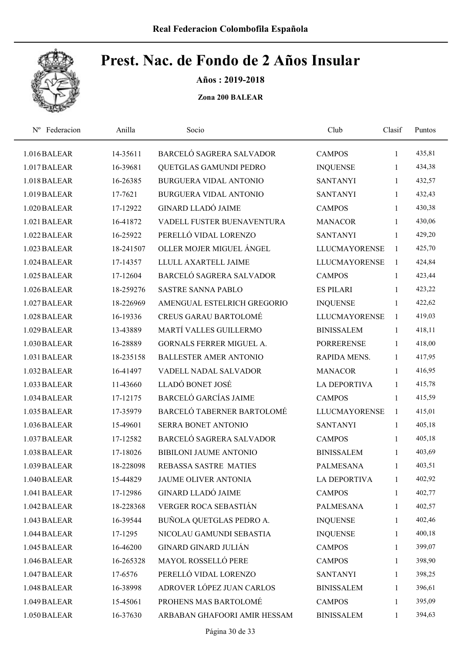

Años : 2019-2018

| Federacion<br>$N^{\rm o}$ | Anilla    | Socio                           | Club                 | Clasif       | Puntos |
|---------------------------|-----------|---------------------------------|----------------------|--------------|--------|
| 1.016 BALEAR              | 14-35611  | BARCELÓ SAGRERA SALVADOR        | <b>CAMPOS</b>        | $\mathbf{1}$ | 435,81 |
| 1.017 BALEAR              | 16-39681  | QUETGLAS GAMUNDI PEDRO          | <b>INQUENSE</b>      | 1            | 434,38 |
| 1.018 BALEAR              | 16-26385  | <b>BURGUERA VIDAL ANTONIO</b>   | <b>SANTANYI</b>      | 1            | 432,57 |
| 1.019 BALEAR              | 17-7621   | BURGUERA VIDAL ANTONIO          | <b>SANTANYI</b>      | 1            | 432,43 |
| 1.020 BALEAR              | 17-12922  | <b>GINARD LLADÓ JAIME</b>       | <b>CAMPOS</b>        | 1            | 430,38 |
| 1.021 BALEAR              | 16-41872  | VADELL FUSTER BUENAVENTURA      | <b>MANACOR</b>       | 1            | 430,06 |
| 1.022 BALEAR              | 16-25922  | PERELLÓ VIDAL LORENZO           | <b>SANTANYI</b>      | 1            | 429,20 |
| 1.023 BALEAR              | 18-241507 | OLLER MOJER MIGUEL ÁNGEL        | <b>LLUCMAYORENSE</b> | $\mathbf{1}$ | 425,70 |
| 1.024 BALEAR              | 17-14357  | LLULL AXARTELL JAIME            | <b>LLUCMAYORENSE</b> | 1            | 424,84 |
| 1.025 BALEAR              | 17-12604  | BARCELÓ SAGRERA SALVADOR        | <b>CAMPOS</b>        | 1            | 423,44 |
| 1.026 BALEAR              | 18-259276 | <b>SASTRE SANNA PABLO</b>       | <b>ES PILARI</b>     | 1            | 423,22 |
| 1.027 BALEAR              | 18-226969 | AMENGUAL ESTELRICH GREGORIO     | <b>INQUENSE</b>      | 1            | 422,62 |
| 1.028 BALEAR              | 16-19336  | <b>CREUS GARAU BARTOLOMÉ</b>    | <b>LLUCMAYORENSE</b> | $\mathbf{1}$ | 419,03 |
| 1.029 BALEAR              | 13-43889  | MARTÍ VALLES GUILLERMO          | <b>BINISSALEM</b>    | 1            | 418,11 |
| 1.030 BALEAR              | 16-28889  | <b>GORNALS FERRER MIGUEL A.</b> | <b>PORRERENSE</b>    | 1            | 418,00 |
| 1.031 BALEAR              | 18-235158 | <b>BALLESTER AMER ANTONIO</b>   | RAPIDA MENS.         | 1            | 417,95 |
| 1.032 BALEAR              | 16-41497  | VADELL NADAL SALVADOR           | <b>MANACOR</b>       | 1            | 416,95 |
| 1.033 BALEAR              | 11-43660  | LLADÓ BONET JOSÉ                | <b>LA DEPORTIVA</b>  | 1            | 415,78 |
| 1.034 BALEAR              | 17-12175  | <b>BARCELÓ GARCÍAS JAIME</b>    | <b>CAMPOS</b>        | $\mathbf{1}$ | 415,59 |
| 1.035 BALEAR              | 17-35979  | BARCELÓ TABERNER BARTOLOMÉ      | <b>LLUCMAYORENSE</b> | 1            | 415,01 |
| 1.036 BALEAR              | 15-49601  | SERRA BONET ANTONIO             | <b>SANTANYI</b>      | 1            | 405,18 |
| 1.037 BALEAR              | 17-12582  | <b>BARCELÓ SAGRERA SALVADOR</b> | <b>CAMPOS</b>        | 1            | 405,18 |
| 1.038 BALEAR              | 17-18026  | <b>BIBILONI JAUME ANTONIO</b>   | <b>BINISSALEM</b>    | 1            | 403,69 |
| 1.039 BALEAR              | 18-228098 | <b>REBASSA SASTRE MATIES</b>    | <b>PALMESANA</b>     | 1            | 403,51 |
| 1.040 BALEAR              | 15-44829  | <b>JAUME OLIVER ANTONIA</b>     | <b>LA DEPORTIVA</b>  | 1            | 402,92 |
| 1.041 BALEAR              | 17-12986  | <b>GINARD LLADÓ JAIME</b>       | <b>CAMPOS</b>        | 1            | 402,77 |
| 1.042 BALEAR              | 18-228368 | VERGER ROCA SEBASTIÁN           | PALMESANA            | 1            | 402,57 |
| 1.043 BALEAR              | 16-39544  | BUÑOLA QUETGLAS PEDRO A.        | <b>INQUENSE</b>      | 1            | 402,46 |
| 1.044 BALEAR              | 17-1295   | NICOLAU GAMUNDI SEBASTIA        | <b>INQUENSE</b>      | 1            | 400,18 |
| 1.045 BALEAR              | 16-46200  | <b>GINARD GINARD JULIÁN</b>     | <b>CAMPOS</b>        | $\mathbf{1}$ | 399,07 |
| 1.046 BALEAR              | 16-265328 | MAYOL ROSSELLÓ PERE             | <b>CAMPOS</b>        | $\mathbf{1}$ | 398,90 |
| 1.047 BALEAR              | 17-6576   | PERELLÓ VIDAL LORENZO           | <b>SANTANYI</b>      | 1            | 398,25 |
| 1.048 BALEAR              | 16-38998  | ADROVER LÓPEZ JUAN CARLOS       | <b>BINISSALEM</b>    | 1            | 396,61 |
| 1.049 BALEAR              | 15-45061  | PROHENS MAS BARTOLOMÉ           | <b>CAMPOS</b>        | 1            | 395,09 |
| 1.050 BALEAR              | 16-37630  | ARBABAN GHAFOORI AMIR HESSAM    | <b>BINISSALEM</b>    | $\mathbf{1}$ | 394,63 |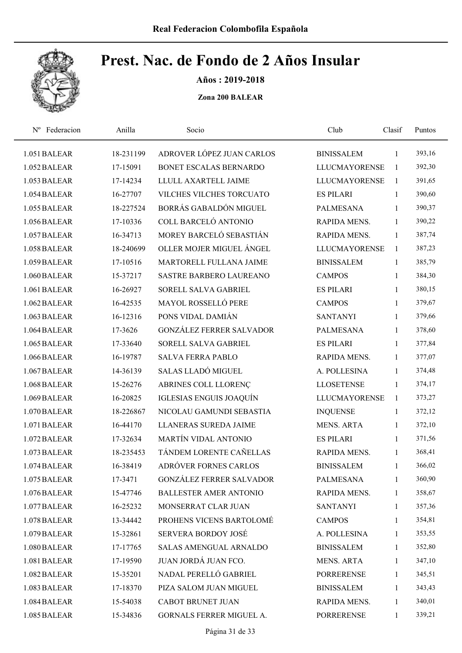

Años : 2019-2018

| Federacion<br>$N^{\rm o}$ | Anilla    | Socio                           | Club                 | Clasif       | Puntos |  |
|---------------------------|-----------|---------------------------------|----------------------|--------------|--------|--|
| 1.051 BALEAR              | 18-231199 | ADROVER LÓPEZ JUAN CARLOS       | <b>BINISSALEM</b>    | 1            | 393,16 |  |
| 1.052 BALEAR              | 17-15091  | BONET ESCALAS BERNARDO          | <b>LLUCMAYORENSE</b> | $\mathbf{1}$ | 392,30 |  |
| 1.053 BALEAR              | 17-14234  | LLULL AXARTELL JAIME            | <b>LLUCMAYORENSE</b> | $\mathbf{1}$ | 391,65 |  |
| 1.054 BALEAR              | 16-27707  | VILCHES VILCHES TORCUATO        | <b>ES PILARI</b>     | $\mathbf{1}$ | 390,60 |  |
| 1.055 BALEAR              | 18-227524 | BORRÁS GABALDÓN MIGUEL          | <b>PALMESANA</b>     | $\mathbf{1}$ | 390,37 |  |
| 1.056 BALEAR              | 17-10336  | COLL BARCELÓ ANTONIO            | RAPIDA MENS.         | $\mathbf{1}$ | 390,22 |  |
| 1.057 BALEAR              | 16-34713  | MOREY BARCELÓ SEBASTIÁN         | <b>RAPIDA MENS.</b>  | $\mathbf{1}$ | 387,74 |  |
| 1.058 BALEAR              | 18-240699 | OLLER MOJER MIGUEL ÁNGEL        | <b>LLUCMAYORENSE</b> | $\mathbf{1}$ | 387,23 |  |
| 1.059 BALEAR              | 17-10516  | MARTORELL FULLANA JAIME         | <b>BINISSALEM</b>    | $\mathbf{1}$ | 385,79 |  |
| 1.060 BALEAR              | 15-37217  | <b>SASTRE BARBERO LAUREANO</b>  | <b>CAMPOS</b>        | $\mathbf{1}$ | 384,30 |  |
| 1.061 BALEAR              | 16-26927  | SORELL SALVA GABRIEL            | <b>ES PILARI</b>     | $\mathbf{1}$ | 380,15 |  |
| 1.062 BALEAR              | 16-42535  | <b>MAYOL ROSSELLÓ PERE</b>      | <b>CAMPOS</b>        | $\mathbf{1}$ | 379,67 |  |
| 1.063 BALEAR              | 16-12316  | PONS VIDAL DAMIÁN               | <b>SANTANYI</b>      | $\mathbf{1}$ | 379,66 |  |
| 1.064 BALEAR              | 17-3626   | <b>GONZÁLEZ FERRER SALVADOR</b> | <b>PALMESANA</b>     | $\mathbf{1}$ | 378,60 |  |
| 1.065 BALEAR              | 17-33640  | SORELL SALVA GABRIEL            | <b>ES PILARI</b>     | $\mathbf{1}$ | 377,84 |  |
| 1.066 BALEAR              | 16-19787  | <b>SALVA FERRA PABLO</b>        | RAPIDA MENS.         | $\mathbf{1}$ | 377,07 |  |
| 1.067 BALEAR              | 14-36139  | <b>SALAS LLADÓ MIGUEL</b>       | A. POLLESINA         | $\mathbf{1}$ | 374,48 |  |
| 1.068 BALEAR              | 15-26276  | ABRINES COLL LLORENÇ            | <b>LLOSETENSE</b>    | $\mathbf{1}$ | 374,17 |  |
| 1.069 BALEAR              | 16-20825  | IGLESIAS ENGUIS JOAQUÍN         | <b>LLUCMAYORENSE</b> | 1            | 373,27 |  |
| 1.070 BALEAR              | 18-226867 | NICOLAU GAMUNDI SEBASTIA        | <b>INQUENSE</b>      | $\mathbf{1}$ | 372,12 |  |
| 1.071 BALEAR              | 16-44170  | LLANERAS SUREDA JAIME           | <b>MENS. ARTA</b>    | $\mathbf{1}$ | 372,10 |  |
| 1.072 BALEAR              | 17-32634  | MARTÍN VIDAL ANTONIO            | <b>ES PILARI</b>     | 1            | 371,56 |  |
| 1.073 BALEAR              | 18-235453 | TÁNDEM LORENTE CAÑELLAS         | <b>RAPIDA MENS.</b>  | $\mathbf{1}$ | 368,41 |  |
| 1.074 BALEAR              | 16-38419  | ADRÓVER FORNES CARLOS           | <b>BINISSALEM</b>    | $\mathbf{1}$ | 366,02 |  |
| 1.075 BALEAR              | 17-3471   | <b>GONZÁLEZ FERRER SALVADOR</b> | PALMESANA            | $\mathbf{1}$ | 360,90 |  |
| 1.076 BALEAR              | 15-47746  | <b>BALLESTER AMER ANTONIO</b>   | RAPIDA MENS.         | $\mathbf{1}$ | 358,67 |  |
| 1.077 BALEAR              | 16-25232  | MONSERRAT CLAR JUAN             | <b>SANTANYI</b>      | 1            | 357,36 |  |
| 1.078 BALEAR              | 13-34442  | PROHENS VICENS BARTOLOMÉ        | <b>CAMPOS</b>        | $\mathbf{1}$ | 354,81 |  |
| 1.079 BALEAR              | 15-32861  | SERVERA BORDOY JOSÉ             | A. POLLESINA         | 1            | 353,55 |  |
| 1.080 BALEAR              | 17-17765  | SALAS AMENGUAL ARNALDO          | <b>BINISSALEM</b>    | $\mathbf{1}$ | 352,80 |  |
| 1.081 BALEAR              | 17-19590  | JUAN JORDÁ JUAN FCO.            | <b>MENS. ARTA</b>    | $\mathbf{1}$ | 347,10 |  |
| 1.082 BALEAR              | 15-35201  | NADAL PERELLÓ GABRIEL           | <b>PORRERENSE</b>    | 1            | 345,51 |  |
| 1.083 BALEAR              | 17-18370  | PIZA SALOM JUAN MIGUEL          | <b>BINISSALEM</b>    | $\mathbf{1}$ | 343,43 |  |
| 1.084 BALEAR              | 15-54038  | CABOT BRUNET JUAN               | RAPIDA MENS.         | 1            | 340,01 |  |
| 1.085 BALEAR              | 15-34836  | GORNALS FERRER MIGUEL A.        | PORRERENSE           | $\mathbf{1}$ | 339,21 |  |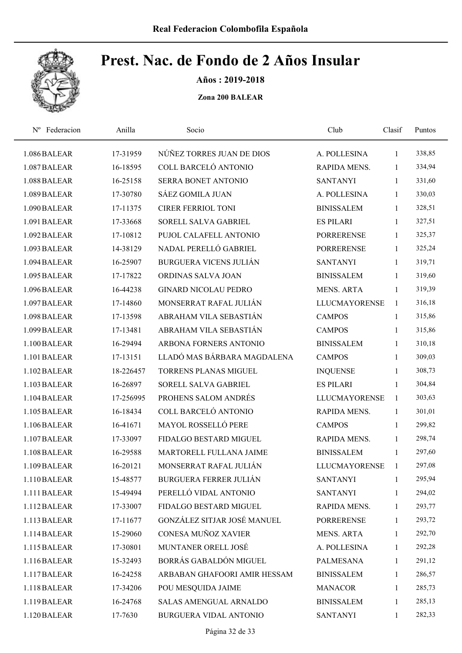

Años : 2019-2018

| Federacion<br>$N^{\rm o}$ | Anilla    | Socio                         | Club                 | Clasif       | Puntos |
|---------------------------|-----------|-------------------------------|----------------------|--------------|--------|
| 1.086 BALEAR              | 17-31959  | NÚÑEZ TORRES JUAN DE DIOS     | A. POLLESINA         | 1            | 338,85 |
| 1.087 BALEAR              | 16-18595  | COLL BARCELÓ ANTONIO          | RAPIDA MENS.         | 1            | 334,94 |
| 1.088 BALEAR              | 16-25158  | SERRA BONET ANTONIO           | <b>SANTANYI</b>      | 1            | 331,60 |
| 1.089 BALEAR              | 17-30780  | SÁEZ GOMILA JUAN              | A. POLLESINA         | 1            | 330,03 |
| 1.090 BALEAR              | 17-11375  | <b>CIRER FERRIOL TONI</b>     | <b>BINISSALEM</b>    | $\mathbf{1}$ | 328,51 |
| 1.091 BALEAR              | 17-33668  | SORELL SALVA GABRIEL          | <b>ES PILARI</b>     | $\mathbf{1}$ | 327,51 |
| 1.092 BALEAR              | 17-10812  | PUJOL CALAFELL ANTONIO        | <b>PORRERENSE</b>    | 1            | 325,37 |
| 1.093 BALEAR              | 14-38129  | NADAL PERELLÓ GABRIEL         | <b>PORRERENSE</b>    | 1            | 325,24 |
| 1.094 BALEAR              | 16-25907  | <b>BURGUERA VICENS JULIÁN</b> | <b>SANTANYI</b>      | 1            | 319,71 |
| 1.095 BALEAR              | 17-17822  | ORDINAS SALVA JOAN            | <b>BINISSALEM</b>    | 1            | 319,60 |
| 1.096 BALEAR              | 16-44238  | <b>GINARD NICOLAU PEDRO</b>   | <b>MENS. ARTA</b>    | 1            | 319,39 |
| 1.097 BALEAR              | 17-14860  | MONSERRAT RAFAL JULIÁN        | <b>LLUCMAYORENSE</b> | 1            | 316,18 |
| 1.098 BALEAR              | 17-13598  | ABRAHAM VILA SEBASTIÁN        | <b>CAMPOS</b>        | 1            | 315,86 |
| 1.099 BALEAR              | 17-13481  | ABRAHAM VILA SEBASTIÁN        | <b>CAMPOS</b>        | $\mathbf{1}$ | 315,86 |
| 1.100 BALEAR              | 16-29494  | ARBONA FORNERS ANTONIO        | <b>BINISSALEM</b>    | $\mathbf{1}$ | 310,18 |
| 1.101 BALEAR              | 17-13151  | LLADÓ MAS BÁRBARA MAGDALENA   | <b>CAMPOS</b>        | $\mathbf{1}$ | 309,03 |
| 1.102 BALEAR              | 18-226457 | <b>TORRENS PLANAS MIGUEL</b>  | <b>INQUENSE</b>      | 1            | 308,73 |
| 1.103 BALEAR              | 16-26897  | SORELL SALVA GABRIEL          | <b>ES PILARI</b>     | 1            | 304,84 |
| 1.104 BALEAR              | 17-256995 | PROHENS SALOM ANDRÉS          | <b>LLUCMAYORENSE</b> | 1            | 303,63 |
| 1.105 BALEAR              | 16-18434  | COLL BARCELÓ ANTONIO          | RAPIDA MENS.         | 1            | 301,01 |
| 1.106 BALEAR              | 16-41671  | MAYOL ROSSELLÓ PERE           | <b>CAMPOS</b>        | 1            | 299,82 |
| 1.107 BALEAR              | 17-33097  | FIDALGO BESTARD MIGUEL        | RAPIDA MENS.         | $\mathbf{1}$ | 298,74 |
| 1.108 BALEAR              | 16-29588  | MARTORELL FULLANA JAIME       | <b>BINISSALEM</b>    | $\mathbf{1}$ | 297,60 |
| 1.109 BALEAR              | 16-20121  | MONSERRAT RAFAL JULIÁN        | <b>LLUCMAYORENSE</b> | 1            | 297,08 |
| 1.110 BALEAR              | 15-48577  | <b>BURGUERA FERRER JULIÁN</b> | <b>SANTANYI</b>      | 1            | 295,94 |
| 1.111 BALEAR              | 15-49494  | PERELLÓ VIDAL ANTONIO         | <b>SANTANYI</b>      | 1            | 294,02 |
| 1.112 BALEAR              | 17-33007  | FIDALGO BESTARD MIGUEL        | RAPIDA MENS.         | 1            | 293,77 |
| 1.113 BALEAR              | 17-11677  | GONZÁLEZ SITJAR JOSÉ MANUEL   | <b>PORRERENSE</b>    | $\mathbf{1}$ | 293,72 |
| 1.114 BALEAR              | 15-29060  | CONESA MUÑOZ XAVIER           | <b>MENS. ARTA</b>    | $\mathbf{1}$ | 292,70 |
| 1.115 BALEAR              | 17-30801  | MUNTANER ORELL JOSÉ           | A. POLLESINA         | $\mathbf{1}$ | 292,28 |
| 1.116 BALEAR              | 15-32493  | BORRÁS GABALDÓN MIGUEL        | PALMESANA            | $\mathbf{1}$ | 291,12 |
| 1.117 BALEAR              | 16-24258  | ARBABAN GHAFOORI AMIR HESSAM  | <b>BINISSALEM</b>    | $\mathbf{1}$ | 286,57 |
| 1.118 BALEAR              | 17-34206  | POU MESQUIDA JAIME            | <b>MANACOR</b>       | $\mathbf{1}$ | 285,73 |
| 1.119 BALEAR              | 16-24768  | SALAS AMENGUAL ARNALDO        | <b>BINISSALEM</b>    | 1            | 285,13 |
| 1.120 BALEAR              | 17-7630   | BURGUERA VIDAL ANTONIO        | <b>SANTANYI</b>      | $\mathbf{1}$ | 282,33 |